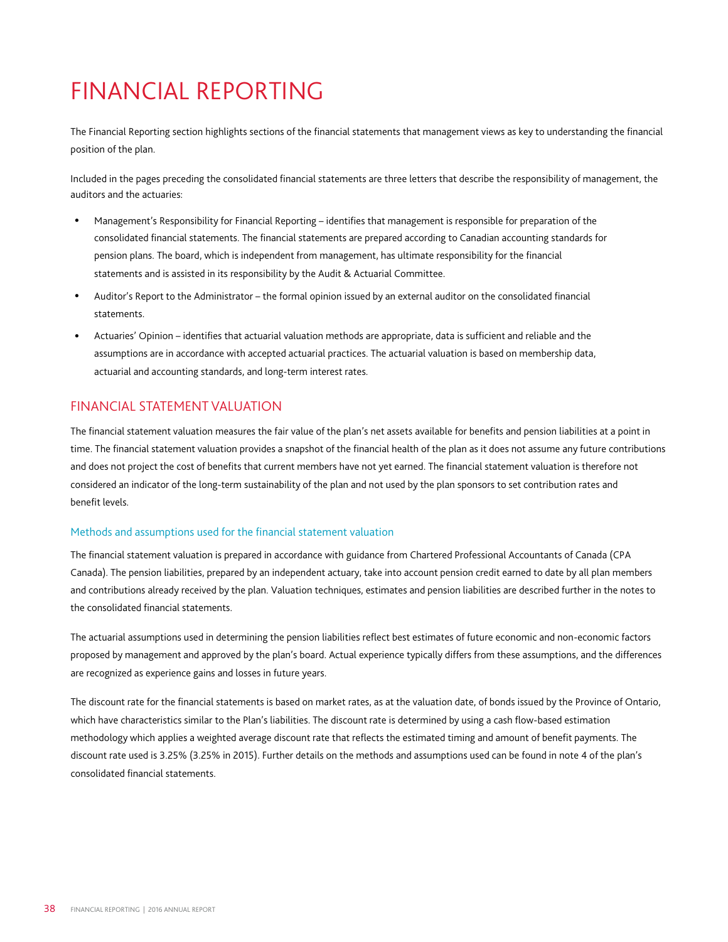# FINANCIAL REPORTING

The Financial Reporting section highlights sections of the financial statements that management views as key to understanding the financial position of the plan.

Included in the pages preceding the consolidated financial statements are three letters that describe the responsibility of management, the auditors and the actuaries:

- - Management's Responsibility for Financial Reporting – identifies that management is responsible for preparation of the consolidated financial statements. The financial statements are prepared according to Canadian accounting standards for pension plans. The board, which is independent from management, has ultimate responsibility for the financial statements and is assisted in its responsibility by the Audit & Actuarial Committee.
- $\bullet$  Auditor's Report to the Administrator – the formal opinion issued by an external auditor on the consolidated financial statements.
- - Actuaries' Opinion – identifies that actuarial valuation methods are appropriate, data is sufficient and reliable and the assumptions are in accordance with accepted actuarial practices. The actuarial valuation is based on membership data, actuarial and accounting standards, and long-term interest rates.

# FINANCIAL STATEMENT VALUATION

The financial statement valuation measures the fair value of the plan's net assets available for benefits and pension liabilities at a point in time. The financial statement valuation provides a snapshot of the financial health of the plan as it does not assume any future contributions and does not project the cost of benefits that current members have not yet earned. The financial statement valuation is therefore not considered an indicator of the long-term sustainability of the plan and not used by the plan sponsors to set contribution rates and benefit levels.

#### Methods and assumptions used for the financial statement valuation

The financial statement valuation is prepared in accordance with guidance from Chartered Professional Accountants of Canada (CPA Canada). The pension liabilities, prepared by an independent actuary, take into account pension credit earned to date by all plan members and contributions already received by the plan. Valuation techniques, estimates and pension liabilities are described further in the notes to the consolidated financial statements.

The actuarial assumptions used in determining the pension liabilities reflect best estimates of future economic and non-economic factors proposed by management and approved by the plan's board. Actual experience typically differs from these assumptions, and the differences are recognized as experience gains and losses in future years.

The discount rate for the financial statements is based on market rates, as at the valuation date, of bonds issued by the Province of Ontario, which have characteristics similar to the Plan's liabilities. The discount rate is determined by using a cash flow-based estimation methodology which applies a weighted average discount rate that reflects the estimated timing and amount of benefit payments. The discount rate used is 3.25% (3.25% in 2015). Further details on the methods and assumptions used can be found in note 4 of the plan's consolidated financial statements.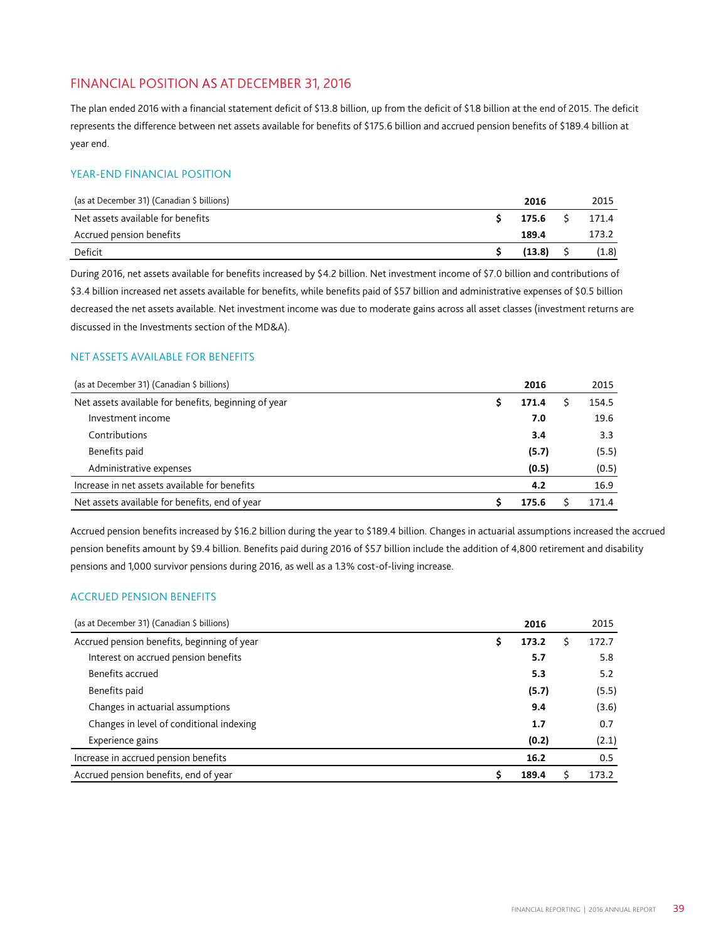# FINANCIAL POSITION AS AT DECEMBER 31, 2016

The plan ended 2016 with a financial statement deficit of \$13.8 billion, up from the deficit of \$1.8 billion at the end of 2015. The deficit represents the difference between net assets available for benefits of \$175.6 billion and accrued pension benefits of \$189.4 billion at year end.

## YEAR-END FINANCIAL POSITION

| (as at December 31) (Canadian \$ billions) | 2016   | 2015  |
|--------------------------------------------|--------|-------|
| Net assets available for benefits          | 175.6  | 171.4 |
| Accrued pension benefits                   | 189.4  | 173.2 |
| Deficit                                    | (13.8) | (1.8) |

During 2016, net assets available for benefits increased by \$4.2 billion. Net investment income of \$7.0 billion and contributions of \$3.4 billion increased net assets available for benefits, while benefits paid of \$5.7 billion and administrative expenses of \$0.5 billion decreased the net assets available. Net investment income was due to moderate gains across all asset classes (investment returns are discussed in the Investments section of the MD&A).

#### NET ASSETS AVAILABLE FOR BENEFITS

| (as at December 31) (Canadian \$ billions)           | 2016  | 2015  |
|------------------------------------------------------|-------|-------|
| Net assets available for benefits, beginning of year | 171.4 | 154.5 |
| Investment income                                    | 7.0   | 19.6  |
| Contributions                                        | 3.4   | 3.3   |
| Benefits paid                                        | (5.7) | (5.5) |
| Administrative expenses                              | (0.5) | (0.5) |
| Increase in net assets available for benefits        | 4.2   | 16.9  |
| Net assets available for benefits, end of year       | 175.6 | 171.4 |

Accrued pension benefits increased by \$16.2 billion during the year to \$189.4 billion. Changes in actuarial assumptions increased the accrued pension benefits amount by \$9.4 billion. Benefits paid during 2016 of \$5.7 billion include the addition of 4,800 retirement and disability pensions and 1,000 survivor pensions during 2016, as well as a 1.3% cost-of-living increase.

## ACCRUED PENSION BENEFITS

| (as at December 31) (Canadian \$ billions)  |   | 2016  |   | 2015  |
|---------------------------------------------|---|-------|---|-------|
| Accrued pension benefits, beginning of year | S | 173.2 | S | 172.7 |
| Interest on accrued pension benefits        |   | 5.7   |   | 5.8   |
| Benefits accrued                            |   | 5.3   |   | 5.2   |
| Benefits paid                               |   | (5.7) |   | (5.5) |
| Changes in actuarial assumptions            |   | 9.4   |   | (3.6) |
| Changes in level of conditional indexing    |   | 1.7   |   | 0.7   |
| Experience gains                            |   | (0.2) |   | (2.1) |
| Increase in accrued pension benefits        |   | 16.2  |   | 0.5   |
| Accrued pension benefits, end of year       |   | 189.4 |   | 173.2 |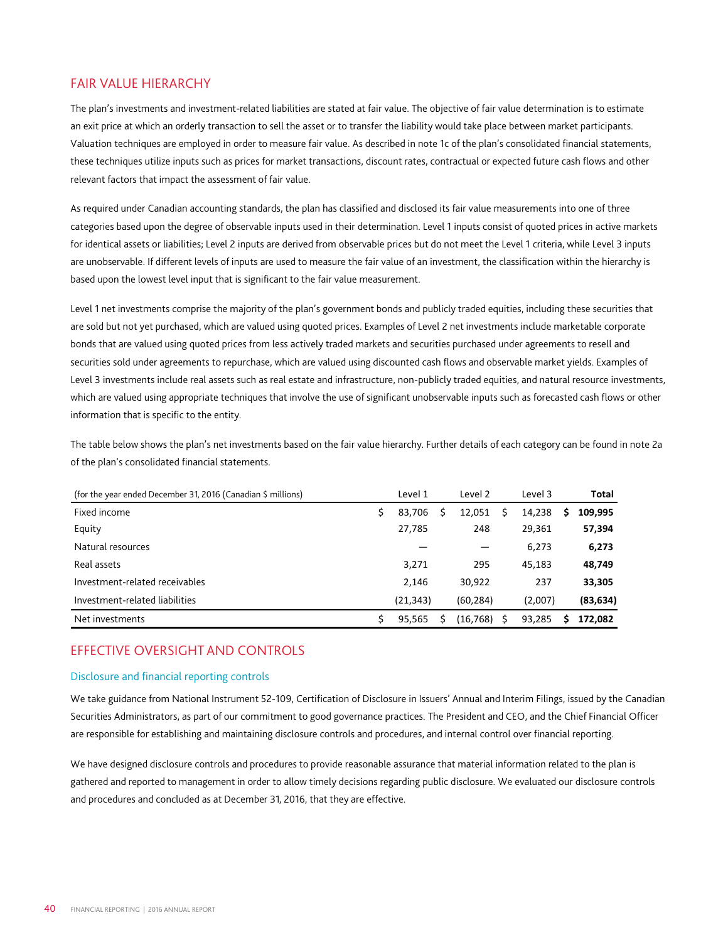# FAIR VALUE HIERARCHY

The plan's investments and investment-related liabilities are stated at fair value. The objective of fair value determination is to estimate an exit price at which an orderly transaction to sell the asset or to transfer the liability would take place between market participants. Valuation techniques are employed in order to measure fair value. As described in note 1c of the plan's consolidated financial statements, these techniques utilize inputs such as prices for market transactions, discount rates, contractual or expected future cash flows and other relevant factors that impact the assessment of fair value.

As required under Canadian accounting standards, the plan has classified and disclosed its fair value measurements into one of three categories based upon the degree of observable inputs used in their determination. Level 1 inputs consist of quoted prices in active markets for identical assets or liabilities; Level 2 inputs are derived from observable prices but do not meet the Level 1 criteria, while Level 3 inputs are unobservable. If different levels of inputs are used to measure the fair value of an investment, the classification within the hierarchy is based upon the lowest level input that is significant to the fair value measurement.

Level 1 net investments comprise the majority of the plan's government bonds and publicly traded equities, including these securities that are sold but not yet purchased, which are valued using quoted prices. Examples of Level 2 net investments include marketable corporate bonds that are valued using quoted prices from less actively traded markets and securities purchased under agreements to resell and securities sold under agreements to repurchase, which are valued using discounted cash flows and observable market yields. Examples of Level 3 investments include real assets such as real estate and infrastructure, non-publicly traded equities, and natural resource investments, which are valued using appropriate techniques that involve the use of significant unobservable inputs such as forecasted cash flows or other information that is specific to the entity.

The table below shows the plan's net investments based on the fair value hierarchy. Further details of each category can be found in note 2a of the plan's consolidated financial statements.

| (for the year ended December 31, 2016 (Canadian \$ millions) | Level 1      | Level 2   | Level 3 | Total     |
|--------------------------------------------------------------|--------------|-----------|---------|-----------|
| Fixed income                                                 | \$<br>83.706 | 12,051    | 14,238  | 109,995   |
| Equity                                                       | 27,785       | 248       | 29,361  | 57,394    |
| Natural resources                                            |              |           | 6,273   | 6,273     |
| Real assets                                                  | 3,271        | 295       | 45,183  | 48,749    |
| Investment-related receivables                               | 2.146        | 30.922    | 237     | 33,305    |
| Investment-related liabilities                               | (21, 343)    | (60, 284) | (2,007) | (83, 634) |
| Net investments                                              | \$<br>95,565 | (16, 768) | 93,285  | 172,082   |

# EFFECTIVE OVERSIGHT AND CONTROLS

## Disclosure and financial reporting controls

We take guidance from National Instrument 52-109, Certification of Disclosure in Issuers' Annual and Interim Filings, issued by the Canadian Securities Administrators, as part of our commitment to good governance practices. The President and CEO, and the Chief Financial Officer are responsible for establishing and maintaining disclosure controls and procedures, and internal control over financial reporting.

We have designed disclosure controls and procedures to provide reasonable assurance that material information related to the plan is gathered and reported to management in order to allow timely decisions regarding public disclosure. We evaluated our disclosure controls and procedures and concluded as at December 31, 2016, that they are effective.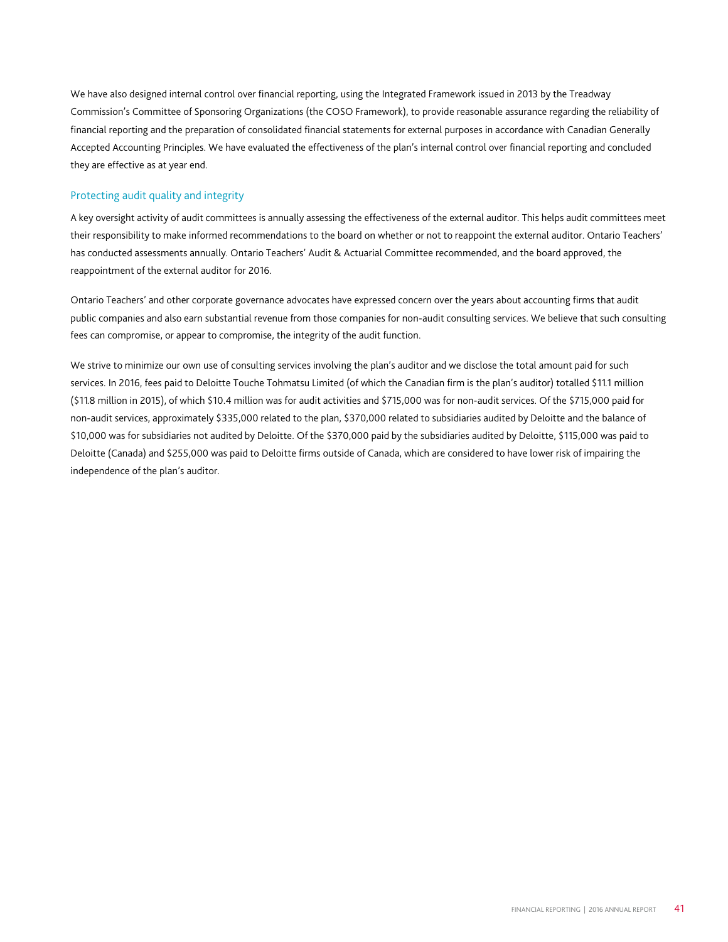We have also designed internal control over financial reporting, using the Integrated Framework issued in 2013 by the Treadway Commission's Committee of Sponsoring Organizations (the COSO Framework), to provide reasonable assurance regarding the reliability of financial reporting and the preparation of consolidated financial statements for external purposes in accordance with Canadian Generally Accepted Accounting Principles. We have evaluated the effectiveness of the plan's internal control over financial reporting and concluded they are effective as at year end.

#### Protecting audit quality and integrity

A key oversight activity of audit committees is annually assessing the effectiveness of the external auditor. This helps audit committees meet their responsibility to make informed recommendations to the board on whether or not to reappoint the external auditor. Ontario Teachers' has conducted assessments annually. Ontario Teachers' Audit & Actuarial Committee recommended, and the board approved, the reappointment of the external auditor for 2016.

Ontario Teachers' and other corporate governance advocates have expressed concern over the years about accounting firms that audit public companies and also earn substantial revenue from those companies for non-audit consulting services. We believe that such consulting fees can compromise, or appear to compromise, the integrity of the audit function.

We strive to minimize our own use of consulting services involving the plan's auditor and we disclose the total amount paid for such services. In 2016, fees paid to Deloitte Touche Tohmatsu Limited (of which the Canadian firm is the plan's auditor) totalled \$11.1 million (\$11.8 million in 2015), of which \$10.4 million was for audit activities and \$715,000 was for non-audit services. Of the \$715,000 paid for non-audit services, approximately \$335,000 related to the plan, \$370,000 related to subsidiaries audited by Deloitte and the balance of \$10,000 was for subsidiaries not audited by Deloitte. Of the \$370,000 paid by the subsidiaries audited by Deloitte, \$115,000 was paid to Deloitte (Canada) and \$255,000 was paid to Deloitte firms outside of Canada, which are considered to have lower risk of impairing the independence of the plan's auditor.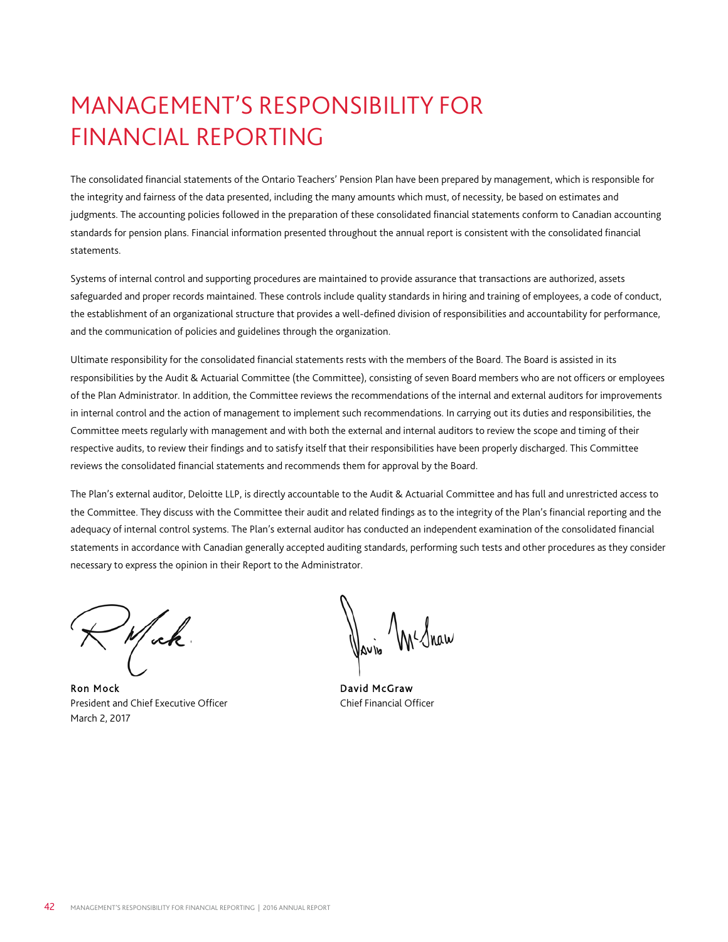# MANAGEMENT'S RESPONSIBILITY FOR FINANCIAL REPORTING

The consolidated financial statements of the Ontario Teachers' Pension Plan have been prepared by management, which is responsible for the integrity and fairness of the data presented, including the many amounts which must, of necessity, be based on estimates and judgments. The accounting policies followed in the preparation of these consolidated financial statements conform to Canadian accounting standards for pension plans. Financial information presented throughout the annual report is consistent with the consolidated financial statements.

Systems of internal control and supporting procedures are maintained to provide assurance that transactions are authorized, assets safeguarded and proper records maintained. These controls include quality standards in hiring and training of employees, a code of conduct, the establishment of an organizational structure that provides a well-defined division of responsibilities and accountability for performance, and the communication of policies and guidelines through the organization.

Ultimate responsibility for the consolidated financial statements rests with the members of the Board. The Board is assisted in its responsibilities by the Audit & Actuarial Committee (the Committee), consisting of seven Board members who are not officers or employees of the Plan Administrator. In addition, the Committee reviews the recommendations of the internal and external auditors for improvements in internal control and the action of management to implement such recommendations. In carrying out its duties and responsibilities, the Committee meets regularly with management and with both the external and internal auditors to review the scope and timing of their respective audits, to review their findings and to satisfy itself that their responsibilities have been properly discharged. This Committee reviews the consolidated financial statements and recommends them for approval by the Board.

The Plan's external auditor, Deloitte LLP, is directly accountable to the Audit & Actuarial Committee and has full and unrestricted access to the Committee. They discuss with the Committee their audit and related findings as to the integrity of the Plan's financial reporting and the adequacy of internal control systems. The Plan's external auditor has conducted an independent examination of the consolidated financial statements in accordance with Canadian generally accepted auditing standards, performing such tests and other procedures as they consider necessary to express the opinion in their Report to the Administrator.

Mak.

Ron Mock **David McGraw** President and Chief Executive Officer Chief Financial Officer March 2, 2017

Vario Me Inaw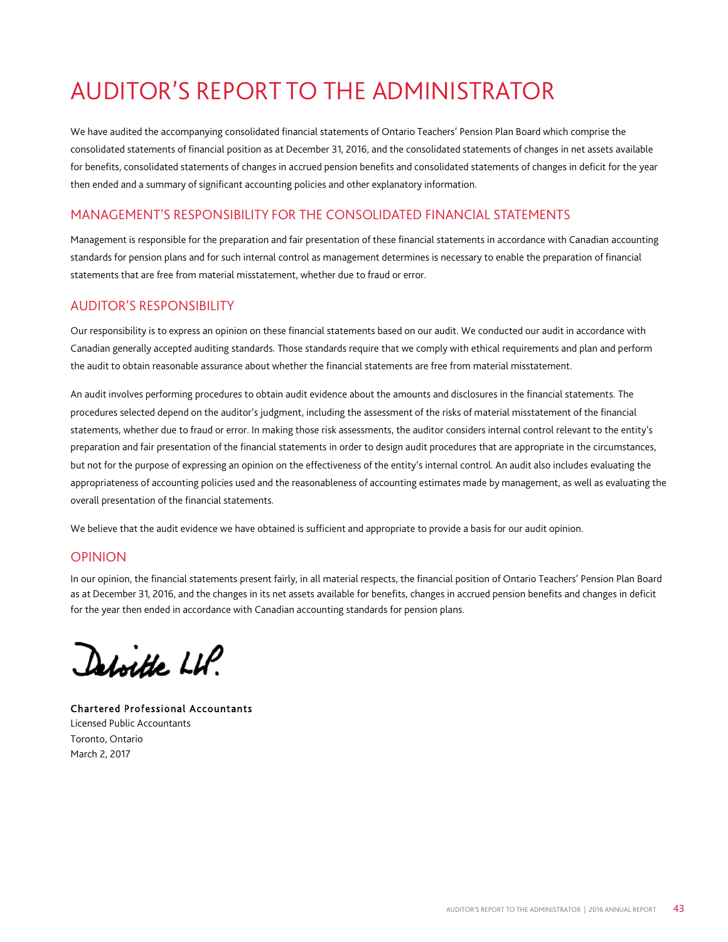# AUDITOR'S REPORT TO THE ADMINISTRATOR

We have audited the accompanying consolidated financial statements of Ontario Teachers' Pension Plan Board which comprise the consolidated statements of financial position as at December 31, 2016, and the consolidated statements of changes in net assets available for benefits, consolidated statements of changes in accrued pension benefits and consolidated statements of changes in deficit for the year then ended and a summary of significant accounting policies and other explanatory information.

# MANAGEMENT'S RESPONSIBILITY FOR THE CONSOLIDATED FINANCIAL STATEMENTS

Management is responsible for the preparation and fair presentation of these financial statements in accordance with Canadian accounting standards for pension plans and for such internal control as management determines is necessary to enable the preparation of financial statements that are free from material misstatement, whether due to fraud or error.

# AUDITOR'S RESPONSIBILITY

Our responsibility is to express an opinion on these financial statements based on our audit. We conducted our audit in accordance with Canadian generally accepted auditing standards. Those standards require that we comply with ethical requirements and plan and perform the audit to obtain reasonable assurance about whether the financial statements are free from material misstatement.

An audit involves performing procedures to obtain audit evidence about the amounts and disclosures in the financial statements. The procedures selected depend on the auditor's judgment, including the assessment of the risks of material misstatement of the financial statements, whether due to fraud or error. In making those risk assessments, the auditor considers internal control relevant to the entity's preparation and fair presentation of the financial statements in order to design audit procedures that are appropriate in the circumstances, but not for the purpose of expressing an opinion on the effectiveness of the entity's internal control. An audit also includes evaluating the appropriateness of accounting policies used and the reasonableness of accounting estimates made by management, as well as evaluating the overall presentation of the financial statements.

We believe that the audit evidence we have obtained is sufficient and appropriate to provide a basis for our audit opinion.

# OPINION

In our opinion, the financial statements present fairly, in all material respects, the financial position of Ontario Teachers' Pension Plan Board as at December 31, 2016, and the changes in its net assets available for benefits, changes in accrued pension benefits and changes in deficit for the year then ended in accordance with Canadian accounting standards for pension plans.

Deboitte LHP.

Chartered Professional Accountants Licensed Public Accountants Toronto, Ontario March 2, 2017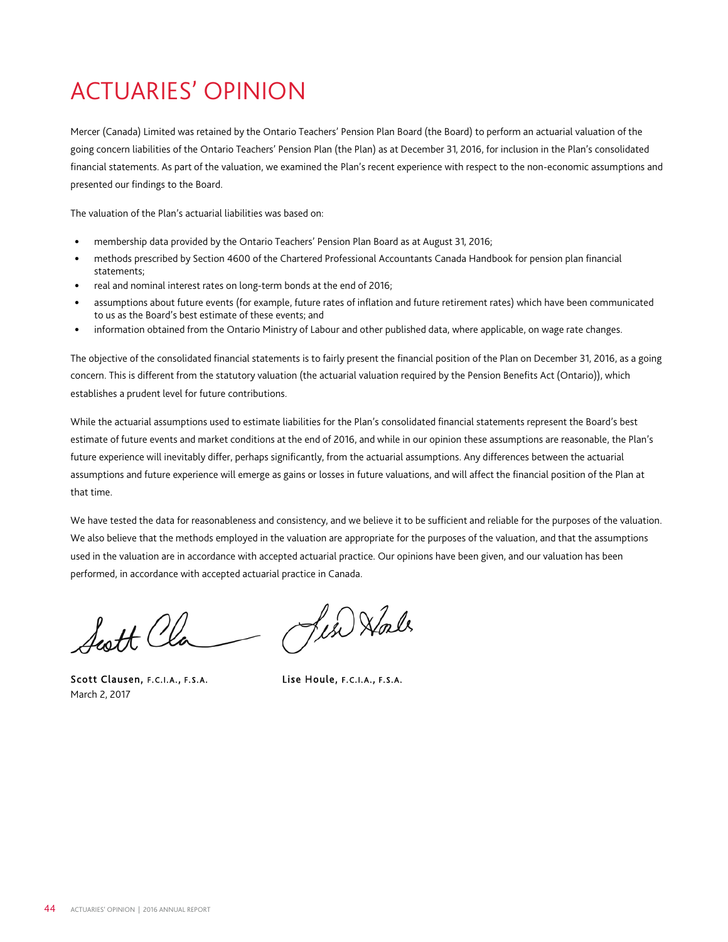# ACTUARIES' OPINION

Mercer (Canada) Limited was retained by the Ontario Teachers' Pension Plan Board (the Board) to perform an actuarial valuation of the going concern liabilities of the Ontario Teachers' Pension Plan (the Plan) as at December 31, 2016, for inclusion in the Plan's consolidated financial statements. As part of the valuation, we examined the Plan's recent experience with respect to the non-economic assumptions and presented our findings to the Board.

The valuation of the Plan's actuarial liabilities was based on:

- membership data provided by the Ontario Teachers' Pension Plan Board as at August 31, 2016;
- methods prescribed by Section 4600 of the Chartered Professional Accountants Canada Handbook for pension plan financial statements;
- real and nominal interest rates on long-term bonds at the end of 2016;
- assumptions about future events (for example, future rates of inflation and future retirement rates) which have been communicated to us as the Board's best estimate of these events; and
- information obtained from the Ontario Ministry of Labour and other published data, where applicable, on wage rate changes.

The objective of the consolidated financial statements is to fairly present the financial position of the Plan on December 31, 2016, as a going concern. This is different from the statutory valuation (the actuarial valuation required by the Pension Benefits Act (Ontario)), which establishes a prudent level for future contributions.

While the actuarial assumptions used to estimate liabilities for the Plan's consolidated financial statements represent the Board's best estimate of future events and market conditions at the end of 2016, and while in our opinion these assumptions are reasonable, the Plan's future experience will inevitably differ, perhaps significantly, from the actuarial assumptions. Any differences between the actuarial assumptions and future experience will emerge as gains or losses in future valuations, and will affect the financial position of the Plan at that time.

We have tested the data for reasonableness and consistency, and we believe it to be sufficient and reliable for the purposes of the valuation. We also believe that the methods employed in the valuation are appropriate for the purposes of the valuation, and that the assumptions used in the valuation are in accordance with accepted actuarial practice. Our opinions have been given, and our valuation has been performed, in accordance with accepted actuarial practice in Canada.

Scott Cla

Scott Clausen, F.C.I.A., F.S.A. Lise Houle, F.C.I.A., F.S.A. March 2, 2017

Jes Hale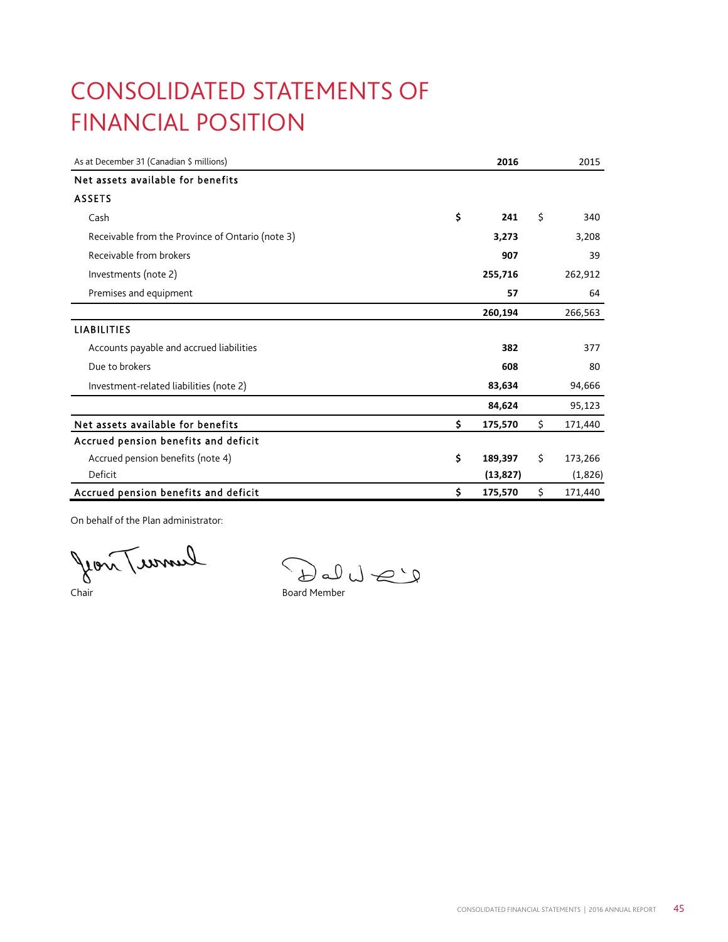# CONSOLIDATED STATEMENTS OF FINANCIAL POSITION

| As at December 31 (Canadian \$ millions)         | 2016          | 2015          |
|--------------------------------------------------|---------------|---------------|
| Net assets available for benefits                |               |               |
| <b>ASSETS</b>                                    |               |               |
| Cash                                             | \$<br>241     | \$<br>340     |
| Receivable from the Province of Ontario (note 3) | 3,273         | 3,208         |
| Receivable from brokers                          | 907           | 39            |
| Investments (note 2)                             | 255,716       | 262,912       |
| Premises and equipment                           | 57            | 64            |
|                                                  | 260,194       | 266,563       |
| <b>LIABILITIES</b>                               |               |               |
| Accounts payable and accrued liabilities         | 382           | 377           |
| Due to brokers                                   | 608           | 80            |
| Investment-related liabilities (note 2)          | 83,634        | 94,666        |
|                                                  | 84,624        | 95,123        |
| Net assets available for benefits                | \$<br>175,570 | \$<br>171,440 |
| Accrued pension benefits and deficit             |               |               |
| Accrued pension benefits (note 4)                | \$<br>189,397 | \$<br>173,266 |
| Deficit                                          | (13, 827)     | (1,826)       |
| Accrued pension benefits and deficit             | \$<br>175,570 | \$<br>171,440 |

Delues

On behalf of the Plan administrator:

Summer Troif Chair **Board Member** 

CONSOLIDATED FINANCIAL STATEMENTS | 2016 ANNUAL REPORT 45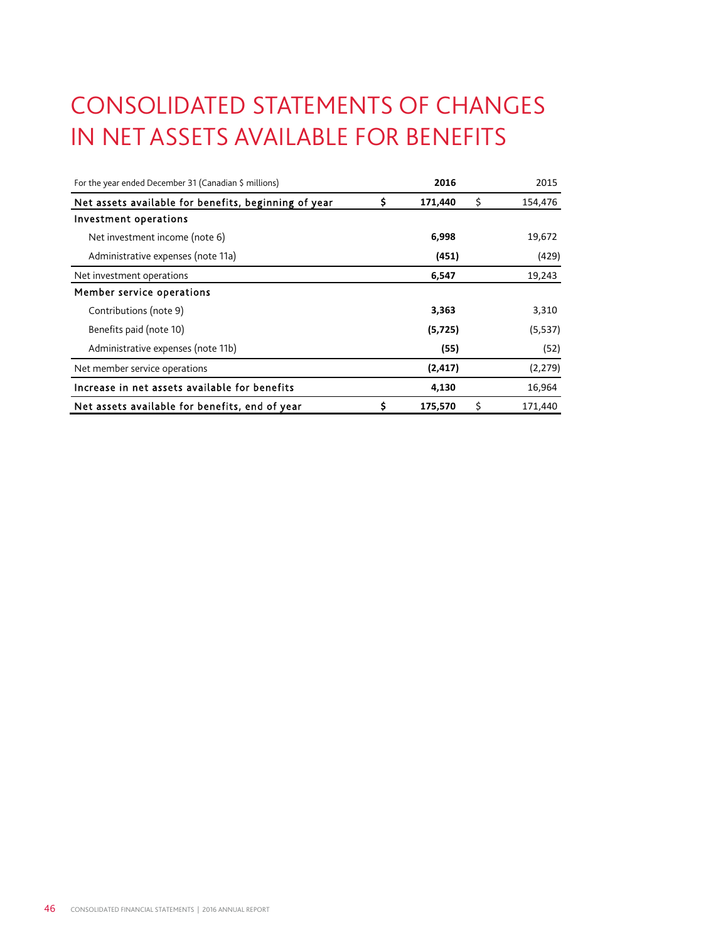# CONSOLIDATED STATEMENTS OF CHANGES IN NET ASSETS AVAILABLE FOR BENEFITS

| For the year ended December 31 (Canadian \$ millions) |   | 2016     | 2015          |
|-------------------------------------------------------|---|----------|---------------|
| Net assets available for benefits, beginning of year  | Ś | 171,440  | \$<br>154,476 |
| Investment operations                                 |   |          |               |
| Net investment income (note 6)                        |   | 6,998    | 19,672        |
| Administrative expenses (note 11a)                    |   | (451)    | (429)         |
| Net investment operations                             |   | 6,547    | 19,243        |
| Member service operations                             |   |          |               |
| Contributions (note 9)                                |   | 3,363    | 3,310         |
| Benefits paid (note 10)                               |   | (5, 725) | (5, 537)      |
| Administrative expenses (note 11b)                    |   | (55)     | (52)          |
| Net member service operations                         |   | (2, 417) | (2, 279)      |
| Increase in net assets available for benefits         |   | 4,130    | 16,964        |
| Net assets available for benefits, end of year        |   | 175,570  | \$<br>171,440 |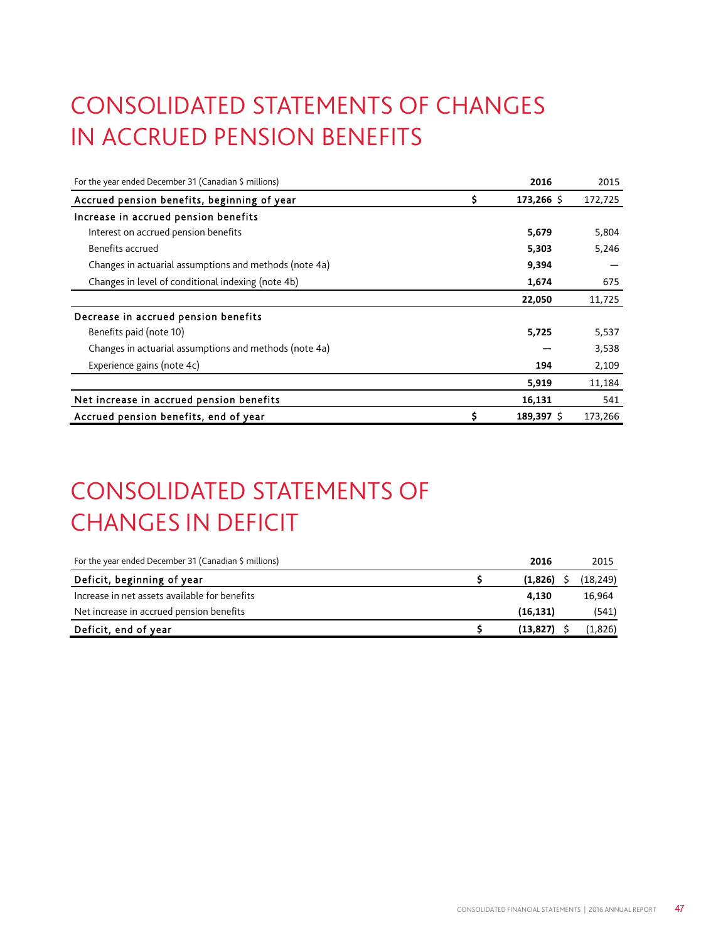# CONSOLIDATED STATEMENTS OF CHANGES IN ACCRUED PENSION BENEFITS

| For the year ended December 31 (Canadian \$ millions)  | 2016               | 2015    |
|--------------------------------------------------------|--------------------|---------|
| Accrued pension benefits, beginning of year            | \$<br>$173,266$ \$ | 172,725 |
| Increase in accrued pension benefits                   |                    |         |
| Interest on accrued pension benefits                   | 5,679              | 5,804   |
| Benefits accrued                                       | 5,303              | 5,246   |
| Changes in actuarial assumptions and methods (note 4a) | 9,394              |         |
| Changes in level of conditional indexing (note 4b)     | 1,674              | 675     |
|                                                        | 22,050             | 11,725  |
| Decrease in accrued pension benefits                   |                    |         |
| Benefits paid (note 10)                                | 5,725              | 5,537   |
| Changes in actuarial assumptions and methods (note 4a) |                    | 3,538   |
| Experience gains (note 4c)                             | 194                | 2,109   |
|                                                        | 5,919              | 11,184  |
| Net increase in accrued pension benefits               | 16,131             | 541     |
| Accrued pension benefits, end of year                  | \$<br>$189,397$ \$ | 173,266 |

# CONSOLIDATED STATEMENTS OF CHANGES IN DEFICIT

| For the year ended December 31 (Canadian \$ millions) | 2016      | 2015      |
|-------------------------------------------------------|-----------|-----------|
| Deficit, beginning of year                            | (1,826)   | (18, 249) |
| Increase in net assets available for benefits         | 4.130     | 16,964    |
| Net increase in accrued pension benefits              | (16, 131) | (541)     |
| Deficit, end of year                                  | (13, 827) | (1,826)   |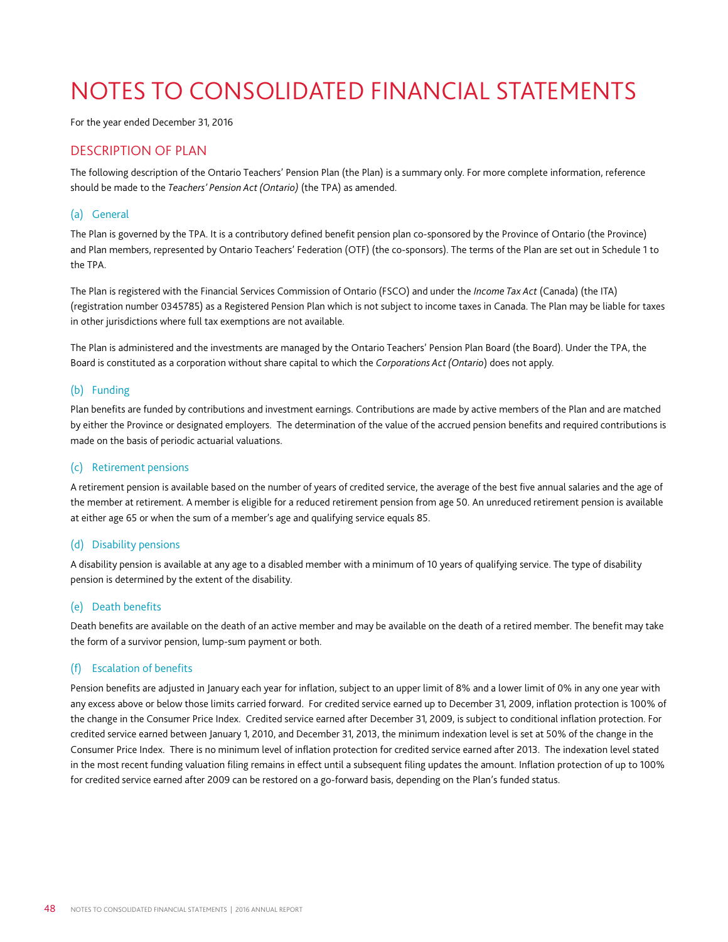# NOTES TO CONSOLIDATED FINANCIAL STATEMENTS

For the year ended December 31, 2016

# DESCRIPTION OF PLAN

The following description of the Ontario Teachers' Pension Plan (the Plan) is a summary only. For more complete information, reference should be made to the *Teachers' Pension Act (Ontario)* (the TPA) as amended.

## (a) General

The Plan is governed by the TPA. It is a contributory defined benefit pension plan co-sponsored by the Province of Ontario (the Province) and Plan members, represented by Ontario Teachers' Federation (OTF) (the co-sponsors). The terms of the Plan are set out in Schedule 1 to the TPA.

The Plan is registered with the Financial Services Commission of Ontario (FSCO) and under the *Income Tax Act* (Canada) (the ITA) (registration number 0345785) as a Registered Pension Plan which is not subject to income taxes in Canada. The Plan may be liable for taxes in other jurisdictions where full tax exemptions are not available.

The Plan is administered and the investments are managed by the Ontario Teachers' Pension Plan Board (the Board). Under the TPA, the Board is constituted as a corporation without share capital to which the *Corporations Act (Ontario*) does not apply.

## (b) Funding

Plan benefits are funded by contributions and investment earnings. Contributions are made by active members of the Plan and are matched by either the Province or designated employers. The determination of the value of the accrued pension benefits and required contributions is made on the basis of periodic actuarial valuations.

#### (c) Retirement pensions

A retirement pension is available based on the number of years of credited service, the average of the best five annual salaries and the age of the member at retirement. A member is eligible for a reduced retirement pension from age 50. An unreduced retirement pension is available at either age 65 or when the sum of a member's age and qualifying service equals 85.

## (d) Disability pensions

A disability pension is available at any age to a disabled member with a minimum of 10 years of qualifying service. The type of disability pension is determined by the extent of the disability.

## (e) Death benefits

Death benefits are available on the death of an active member and may be available on the death of a retired member. The benefit may take the form of a survivor pension, lump-sum payment or both.

## (f) Escalation of benefits

Pension benefits are adjusted in January each year for inflation, subject to an upper limit of 8% and a lower limit of 0% in any one year with any excess above or below those limits carried forward. For credited service earned up to December 31, 2009, inflation protection is 100% of the change in the Consumer Price Index. Credited service earned after December 31, 2009, is subject to conditional inflation protection. For credited service earned between January 1, 2010, and December 31, 2013, the minimum indexation level is set at 50% of the change in the Consumer Price Index. There is no minimum level of inflation protection for credited service earned after 2013. The indexation level stated in the most recent funding valuation filing remains in effect until a subsequent filing updates the amount. Inflation protection of up to 100% for credited service earned after 2009 can be restored on a go-forward basis, depending on the Plan's funded status.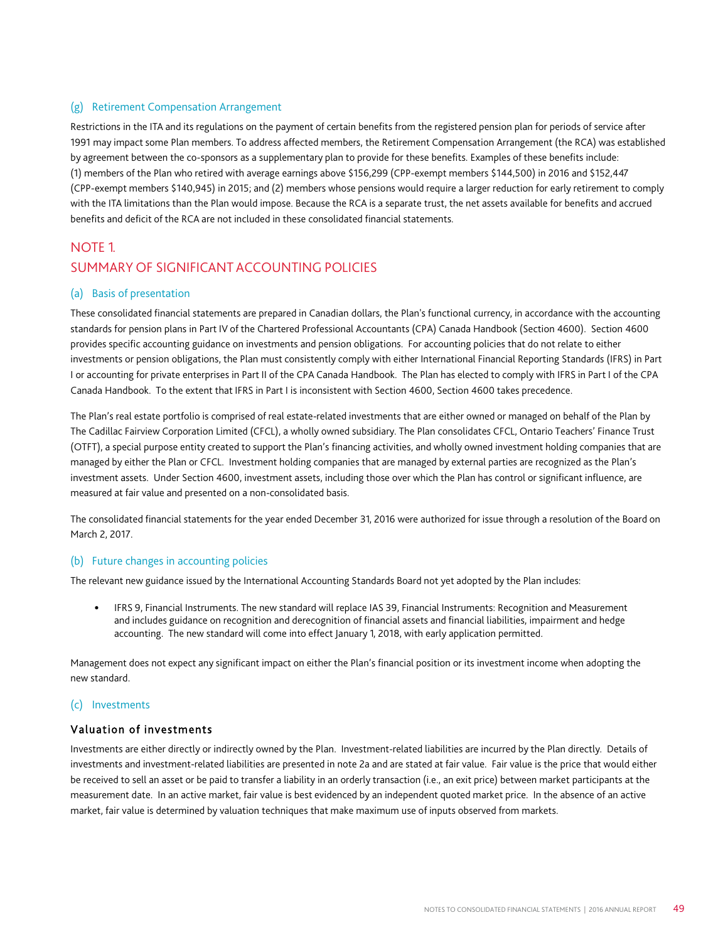#### (g) Retirement Compensation Arrangement

Restrictions in the ITA and its regulations on the payment of certain benefits from the registered pension plan for periods of service after 1991 may impact some Plan members. To address affected members, the Retirement Compensation Arrangement (the RCA) was established by agreement between the co-sponsors as a supplementary plan to provide for these benefits. Examples of these benefits include: (1) members of the Plan who retired with average earnings above \$156,299 (CPP-exempt members \$144,500) in 2016 and \$152,447 (CPP-exempt members \$140,945) in 2015; and (2) members whose pensions would require a larger reduction for early retirement to comply with the ITA limitations than the Plan would impose. Because the RCA is a separate trust, the net assets available for benefits and accrued benefits and deficit of the RCA are not included in these consolidated financial statements.

# NOTE 1. SUMMARY OF SIGNIFICANT ACCOUNTING POLICIES

#### (a) Basis of presentation

These consolidated financial statements are prepared in Canadian dollars, the Plan's functional currency, in accordance with the accounting standards for pension plans in Part IV of the Chartered Professional Accountants (CPA) Canada Handbook (Section 4600). Section 4600 provides specific accounting guidance on investments and pension obligations. For accounting policies that do not relate to either investments or pension obligations, the Plan must consistently comply with either International Financial Reporting Standards (IFRS) in Part I or accounting for private enterprises in Part II of the CPA Canada Handbook. The Plan has elected to comply with IFRS in Part I of the CPA Canada Handbook. To the extent that IFRS in Part I is inconsistent with Section 4600, Section 4600 takes precedence.

The Plan's real estate portfolio is comprised of real estate-related investments that are either owned or managed on behalf of the Plan by The Cadillac Fairview Corporation Limited (CFCL), a wholly owned subsidiary. The Plan consolidates CFCL, Ontario Teachers' Finance Trust (OTFT), a special purpose entity created to support the Plan's financing activities, and wholly owned investment holding companies that are managed by either the Plan or CFCL. Investment holding companies that are managed by external parties are recognized as the Plan's investment assets. Under Section 4600, investment assets, including those over which the Plan has control or significant influence, are measured at fair value and presented on a non-consolidated basis.

The consolidated financial statements for the year ended December 31, 2016 were authorized for issue through a resolution of the Board on March 2, 2017.

#### (b) Future changes in accounting policies

The relevant new guidance issued by the International Accounting Standards Board not yet adopted by the Plan includes:

 IFRS 9, Financial Instruments. The new standard will replace IAS 39, Financial Instruments: Recognition and Measurement and includes guidance on recognition and derecognition of financial assets and financial liabilities, impairment and hedge accounting. The new standard will come into effect January 1, 2018, with early application permitted.

Management does not expect any significant impact on either the Plan's financial position or its investment income when adopting the new standard.

#### (c) Investments

## Valuation of investments

Investments are either directly or indirectly owned by the Plan. Investment-related liabilities are incurred by the Plan directly. Details of investments and investment-related liabilities are presented in note 2a and are stated at fair value. Fair value is the price that would either be received to sell an asset or be paid to transfer a liability in an orderly transaction (i.e., an exit price) between market participants at the measurement date. In an active market, fair value is best evidenced by an independent quoted market price. In the absence of an active market, fair value is determined by valuation techniques that make maximum use of inputs observed from markets.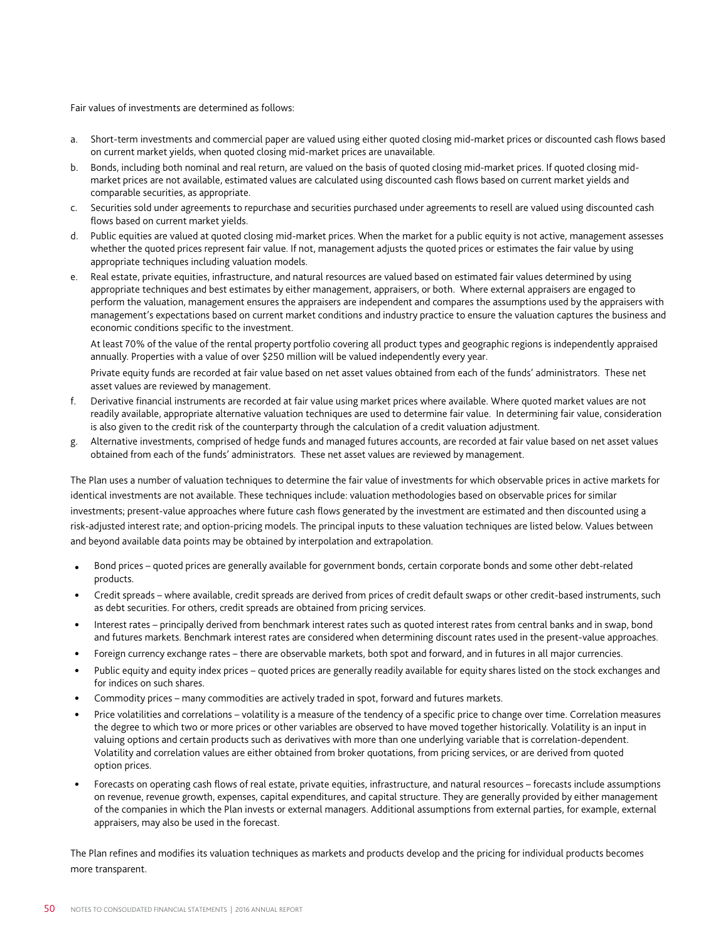Fair values of investments are determined as follows:

- a. Short-term investments and commercial paper are valued using either quoted closing mid-market prices or discounted cash flows based on current market yields, when quoted closing mid-market prices are unavailable.
- b. Bonds, including both nominal and real return, are valued on the basis of quoted closing mid-market prices. If quoted closing midmarket prices are not available, estimated values are calculated using discounted cash flows based on current market yields and comparable securities, as appropriate.
- c. Securities sold under agreements to repurchase and securities purchased under agreements to resell are valued using discounted cash flows based on current market yields.
- d. Public equities are valued at quoted closing mid-market prices. When the market for a public equity is not active, management assesses whether the quoted prices represent fair value. If not, management adjusts the quoted prices or estimates the fair value by using appropriate techniques including valuation models.
- e. Real estate, private equities, infrastructure, and natural resources are valued based on estimated fair values determined by using appropriate techniques and best estimates by either management, appraisers, or both. Where external appraisers are engaged to perform the valuation, management ensures the appraisers are independent and compares the assumptions used by the appraisers with management's expectations based on current market conditions and industry practice to ensure the valuation captures the business and economic conditions specific to the investment.

 At least 70% of the value of the rental property portfolio covering all product types and geographic regions is independently appraised annually. Properties with a value of over \$250 million will be valued independently every year.

 Private equity funds are recorded at fair value based on net asset values obtained from each of the funds' administrators. These net asset values are reviewed by management.

- f. Derivative financial instruments are recorded at fair value using market prices where available. Where quoted market values are not readily available, appropriate alternative valuation techniques are used to determine fair value. In determining fair value, consideration is also given to the credit risk of the counterparty through the calculation of a credit valuation adjustment.
- g. Alternative investments, comprised of hedge funds and managed futures accounts, are recorded at fair value based on net asset values obtained from each of the funds' administrators. These net asset values are reviewed by management.

The Plan uses a number of valuation techniques to determine the fair value of investments for which observable prices in active markets for identical investments are not available. These techniques include: valuation methodologies based on observable prices for similar investments; present-value approaches where future cash flows generated by the investment are estimated and then discounted using a risk-adjusted interest rate; and option-pricing models. The principal inputs to these valuation techniques are listed below. Values between and beyond available data points may be obtained by interpolation and extrapolation.

- Bond prices quoted prices are generally available for government bonds, certain corporate bonds and some other debt-related products.
- Credit spreads where available, credit spreads are derived from prices of credit default swaps or other credit-based instruments, such as debt securities. For others, credit spreads are obtained from pricing services.
- Interest rates principally derived from benchmark interest rates such as quoted interest rates from central banks and in swap, bond and futures markets. Benchmark interest rates are considered when determining discount rates used in the present-value approaches.
- Foreign currency exchange rates there are observable markets, both spot and forward, and in futures in all major currencies.
- Public equity and equity index prices quoted prices are generally readily available for equity shares listed on the stock exchanges and for indices on such shares.
- Commodity prices many commodities are actively traded in spot, forward and futures markets.
- Price volatilities and correlations volatility is a measure of the tendency of a specific price to change over time. Correlation measures the degree to which two or more prices or other variables are observed to have moved together historically. Volatility is an input in valuing options and certain products such as derivatives with more than one underlying variable that is correlation-dependent. Volatility and correlation values are either obtained from broker quotations, from pricing services, or are derived from quoted option prices.
- Forecasts on operating cash flows of real estate, private equities, infrastructure, and natural resources forecasts include assumptions on revenue, revenue growth, expenses, capital expenditures, and capital structure. They are generally provided by either management of the companies in which the Plan invests or external managers. Additional assumptions from external parties, for example, external appraisers, may also be used in the forecast.

The Plan refines and modifies its valuation techniques as markets and products develop and the pricing for individual products becomes more transparent.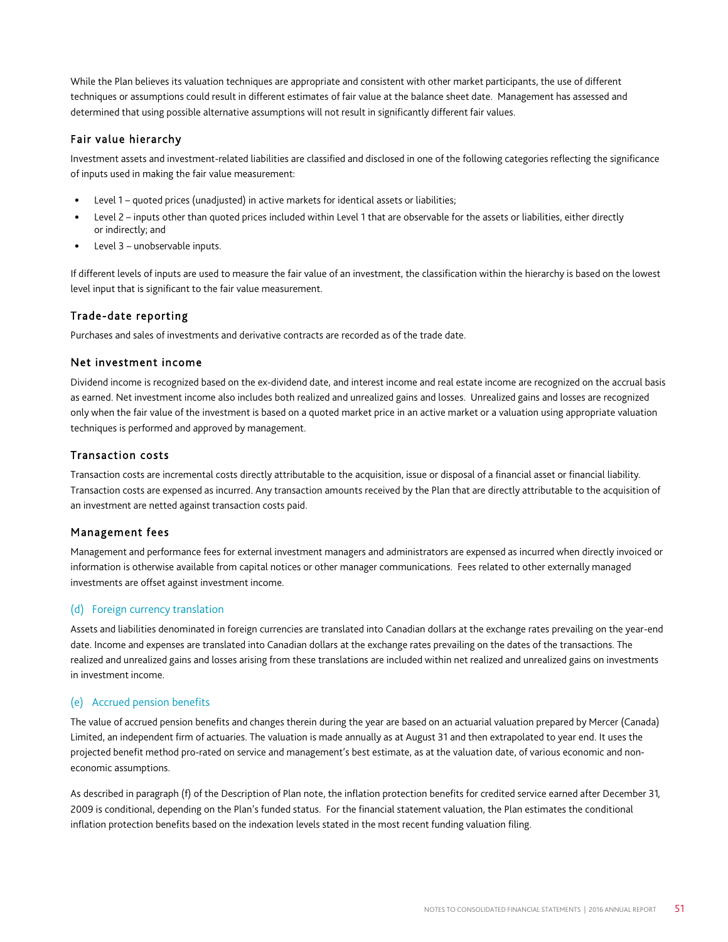While the Plan believes its valuation techniques are appropriate and consistent with other market participants, the use of different techniques or assumptions could result in different estimates of fair value at the balance sheet date. Management has assessed and determined that using possible alternative assumptions will not result in significantly different fair values.

## Fair value hierarchy

Investment assets and investment-related liabilities are classified and disclosed in one of the following categories reflecting the significance of inputs used in making the fair value measurement:

- Level 1 quoted prices (unadjusted) in active markets for identical assets or liabilities;
- Level 2 inputs other than quoted prices included within Level 1 that are observable for the assets or liabilities, either directly or indirectly; and
- Level 3 unobservable inputs.

If different levels of inputs are used to measure the fair value of an investment, the classification within the hierarchy is based on the lowest level input that is significant to the fair value measurement.

# Trade-date reporting

Purchases and sales of investments and derivative contracts are recorded as of the trade date.

## Net investment income

Dividend income is recognized based on the ex-dividend date, and interest income and real estate income are recognized on the accrual basis as earned. Net investment income also includes both realized and unrealized gains and losses. Unrealized gains and losses are recognized only when the fair value of the investment is based on a quoted market price in an active market or a valuation using appropriate valuation techniques is performed and approved by management.

# Transaction costs

Transaction costs are incremental costs directly attributable to the acquisition, issue or disposal of a financial asset or financial liability. Transaction costs are expensed as incurred. Any transaction amounts received by the Plan that are directly attributable to the acquisition of an investment are netted against transaction costs paid.

## Management fees

Management and performance fees for external investment managers and administrators are expensed as incurred when directly invoiced or information is otherwise available from capital notices or other manager communications. Fees related to other externally managed investments are offset against investment income.

## (d) Foreign currency translation

Assets and liabilities denominated in foreign currencies are translated into Canadian dollars at the exchange rates prevailing on the year-end date. Income and expenses are translated into Canadian dollars at the exchange rates prevailing on the dates of the transactions. The realized and unrealized gains and losses arising from these translations are included within net realized and unrealized gains on investments in investment income.

## (e) Accrued pension benefits

The value of accrued pension benefits and changes therein during the year are based on an actuarial valuation prepared by Mercer (Canada) Limited, an independent firm of actuaries. The valuation is made annually as at August 31 and then extrapolated to year end. It uses the projected benefit method pro-rated on service and management's best estimate, as at the valuation date, of various economic and noneconomic assumptions.

As described in paragraph (f) of the Description of Plan note, the inflation protection benefits for credited service earned after December 31, 2009 is conditional, depending on the Plan's funded status. For the financial statement valuation, the Plan estimates the conditional inflation protection benefits based on the indexation levels stated in the most recent funding valuation filing.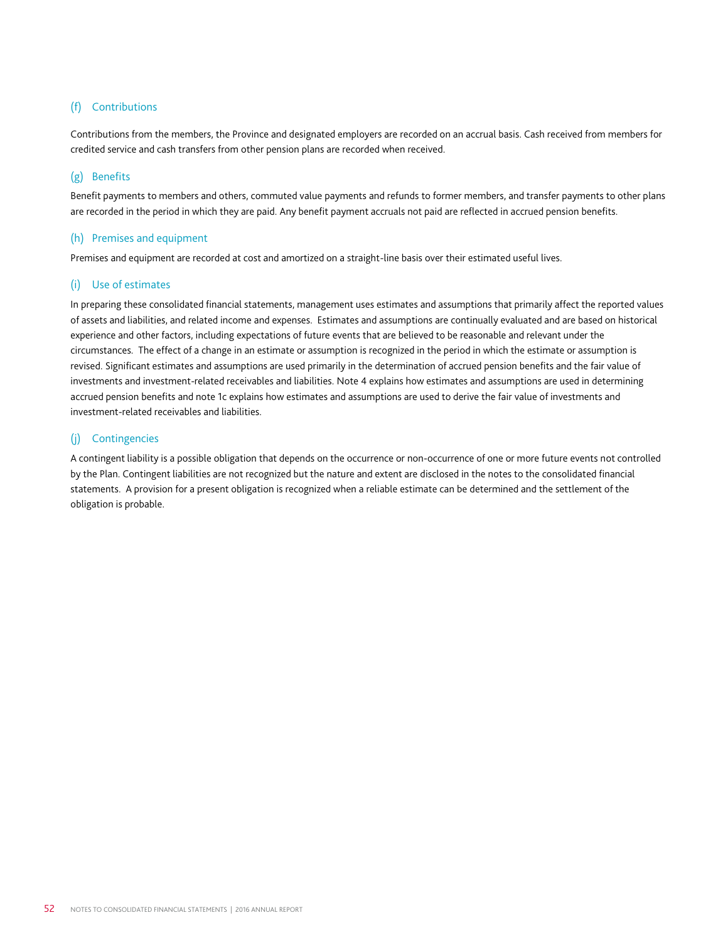## (f) Contributions

Contributions from the members, the Province and designated employers are recorded on an accrual basis. Cash received from members for credited service and cash transfers from other pension plans are recorded when received.

## (g) Benefits

Benefit payments to members and others, commuted value payments and refunds to former members, and transfer payments to other plans are recorded in the period in which they are paid. Any benefit payment accruals not paid are reflected in accrued pension benefits.

## (h) Premises and equipment

Premises and equipment are recorded at cost and amortized on a straight-line basis over their estimated useful lives.

# (i) Use of estimates

In preparing these consolidated financial statements, management uses estimates and assumptions that primarily affect the reported values of assets and liabilities, and related income and expenses. Estimates and assumptions are continually evaluated and are based on historical experience and other factors, including expectations of future events that are believed to be reasonable and relevant under the circumstances. The effect of a change in an estimate or assumption is recognized in the period in which the estimate or assumption is revised. Significant estimates and assumptions are used primarily in the determination of accrued pension benefits and the fair value of investments and investment-related receivables and liabilities. Note 4 explains how estimates and assumptions are used in determining accrued pension benefits and note 1c explains how estimates and assumptions are used to derive the fair value of investments and investment-related receivables and liabilities.

# (j) Contingencies

A contingent liability is a possible obligation that depends on the occurrence or non-occurrence of one or more future events not controlled by the Plan. Contingent liabilities are not recognized but the nature and extent are disclosed in the notes to the consolidated financial statements. A provision for a present obligation is recognized when a reliable estimate can be determined and the settlement of the obligation is probable.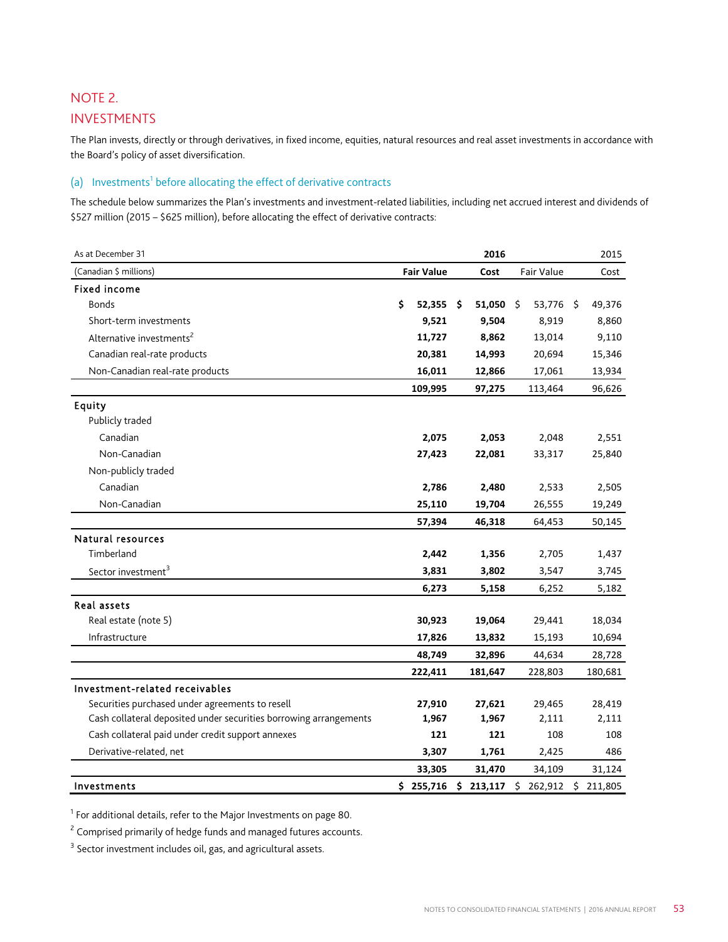# NOTE 2.

# INVESTMENTS

The Plan invests, directly or through derivatives, in fixed income, equities, natural resources and real asset investments in accordance with the Board's policy of asset diversification.

#### (a) Investments<sup>1</sup> before allocating the effect of derivative contracts

The schedule below summarizes the Plan's investments and investment-related liabilities, including net accrued interest and dividends of \$527 million (2015 – \$625 million), before allocating the effect of derivative contracts:

| As at December 31                                                 |                           | 2016        |            |     | 2015    |
|-------------------------------------------------------------------|---------------------------|-------------|------------|-----|---------|
| (Canadian \$ millions)                                            | <b>Fair Value</b>         | Cost        | Fair Value |     | Cost    |
| <b>Fixed income</b>                                               |                           |             |            |     |         |
| <b>Bonds</b>                                                      | \$<br>$52,355$ \$         | $51,050$ \$ | 53,776     | -\$ | 49,376  |
| Short-term investments                                            | 9,521                     | 9,504       | 8,919      |     | 8,860   |
| Alternative investments <sup>2</sup>                              | 11,727                    | 8,862       | 13,014     |     | 9,110   |
| Canadian real-rate products                                       | 20,381                    | 14,993      | 20,694     |     | 15,346  |
| Non-Canadian real-rate products                                   | 16,011                    | 12,866      | 17,061     |     | 13,934  |
|                                                                   | 109,995                   | 97,275      | 113,464    |     | 96,626  |
| Equity                                                            |                           |             |            |     |         |
| Publicly traded                                                   |                           |             |            |     |         |
| Canadian                                                          | 2,075                     | 2,053       | 2,048      |     | 2,551   |
| Non-Canadian                                                      | 27,423                    | 22,081      | 33,317     |     | 25,840  |
| Non-publicly traded                                               |                           |             |            |     |         |
| Canadian                                                          | 2,786                     | 2,480       | 2,533      |     | 2,505   |
| Non-Canadian                                                      | 25,110                    | 19,704      | 26,555     |     | 19,249  |
|                                                                   | 57,394                    | 46,318      | 64,453     |     | 50,145  |
| <b>Natural resources</b>                                          |                           |             |            |     |         |
| Timberland                                                        | 2,442                     | 1,356       | 2,705      |     | 1,437   |
| Sector investment <sup>3</sup>                                    | 3,831                     | 3,802       | 3,547      |     | 3,745   |
|                                                                   | 6,273                     | 5,158       | 6,252      |     | 5,182   |
| Real assets                                                       |                           |             |            |     |         |
| Real estate (note 5)                                              | 30,923                    | 19,064      | 29,441     |     | 18,034  |
| Infrastructure                                                    | 17,826                    | 13,832      | 15,193     |     | 10,694  |
|                                                                   | 48,749                    | 32,896      | 44,634     |     | 28,728  |
|                                                                   | 222,411                   | 181,647     | 228,803    |     | 180,681 |
| Investment-related receivables                                    |                           |             |            |     |         |
| Securities purchased under agreements to resell                   | 27,910                    | 27,621      | 29,465     |     | 28,419  |
| Cash collateral deposited under securities borrowing arrangements | 1,967                     | 1,967       | 2,111      |     | 2,111   |
| Cash collateral paid under credit support annexes                 | 121                       | 121         | 108        |     | 108     |
| Derivative-related, net                                           | 3,307                     | 1,761       | 2,425      |     | 486     |
|                                                                   | 33,305                    | 31,470      | 34,109     |     | 31,124  |
| Investments                                                       | $$255,716 \t$213,117 \t$$ |             | 262,912    | Ś.  | 211,805 |

 $1$  For additional details, refer to the Major Investments on page 80.

 $2$  Comprised primarily of hedge funds and managed futures accounts.

 $3$  Sector investment includes oil, gas, and agricultural assets.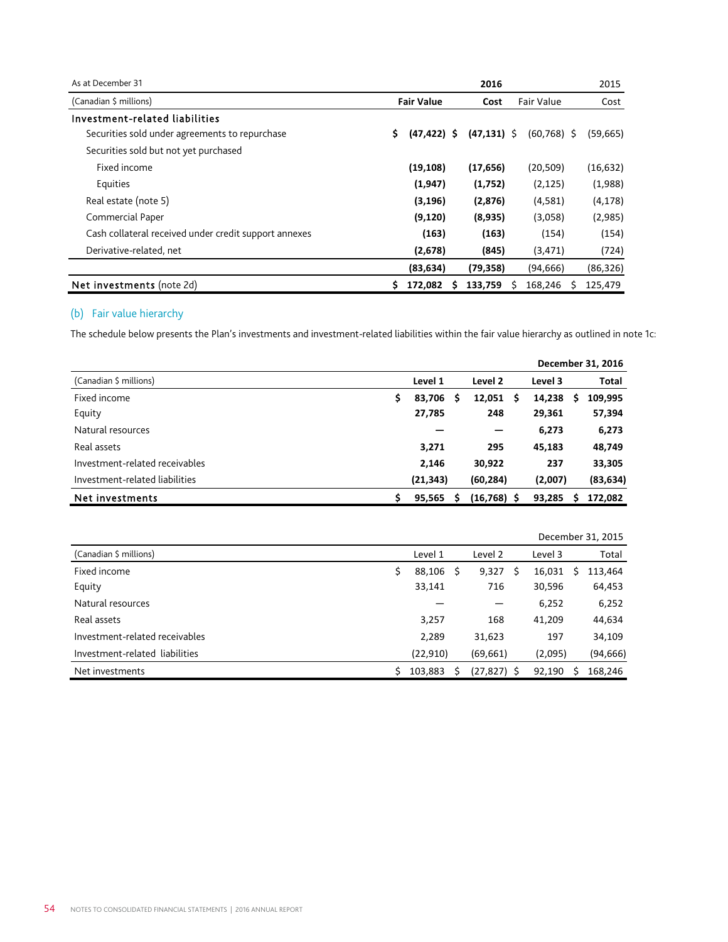| As at December 31                                     |                       | 2015           |                |           |
|-------------------------------------------------------|-----------------------|----------------|----------------|-----------|
| (Canadian \$ millions)                                | <b>Fair Value</b>     | Cost           | Fair Value     | Cost      |
| Investment-related liabilities                        |                       |                |                |           |
| Securities sold under agreements to repurchase        | \$.<br>$(47, 422)$ \$ | $(47, 131)$ \$ | $(60, 768)$ \$ | (59, 665) |
| Securities sold but not yet purchased                 |                       |                |                |           |
| Fixed income                                          | (19, 108)             | (17, 656)      | (20, 509)      | (16, 632) |
| Equities                                              | (1,947)               | (1,752)        | (2, 125)       | (1,988)   |
| Real estate (note 5)                                  | (3, 196)              | (2,876)        | (4,581)        | (4, 178)  |
| Commercial Paper                                      | (9, 120)              | (8,935)        | (3,058)        | (2,985)   |
| Cash collateral received under credit support annexes | (163)                 | (163)          | (154)          | (154)     |
| Derivative-related, net                               | (2,678)               | (845)          | (3, 471)       | (724)     |
|                                                       | (83, 634)             | (79, 358)      | (94, 666)      | (86, 326) |
| Net investments (note 2d)                             | 172,082<br>s          | 133.759        | 168,246        | 125,479   |

# (b) Fair value hierarchy

The schedule below presents the Plan's investments and investment-related liabilities within the fair value hierarchy as outlined in note 1c:

|                                | December 31, 2016 |           |   |               |  |         |   |              |
|--------------------------------|-------------------|-----------|---|---------------|--|---------|---|--------------|
| (Canadian \$ millions)         |                   | Level 1   |   | Level 2       |  | Level 3 |   | <b>Total</b> |
| Fixed income                   | \$                | 83,706    | S | 12,051<br>S   |  | 14,238  | S | 109,995      |
| Equity                         |                   | 27,785    |   | 248           |  | 29,361  |   | 57,394       |
| Natural resources              |                   |           |   |               |  | 6,273   |   | 6,273        |
| Real assets                    |                   | 3,271     |   | 295           |  | 45,183  |   | 48,749       |
| Investment-related receivables |                   | 2,146     |   | 30,922        |  | 237     |   | 33,305       |
| Investment-related liabilities |                   | (21, 343) |   | (60, 284)     |  | (2,007) |   | (83, 634)    |
| Net investments                |                   | 95,565    |   | $(16,768)$ \$ |  | 93,285  |   | 172,082      |

|                                | December 31, 2015 |           |    |                |   |         |  |           |
|--------------------------------|-------------------|-----------|----|----------------|---|---------|--|-----------|
| (Canadian \$ millions)         |                   | Level 1   |    | Level 2        |   | Level 3 |  | Total     |
| Fixed income                   | \$                | 88,106    | -S | 9,327          | S | 16,031  |  | 113,464   |
| Equity                         |                   | 33,141    |    | 716            |   | 30,596  |  | 64,453    |
| Natural resources              |                   |           |    |                |   | 6,252   |  | 6,252     |
| Real assets                    |                   | 3,257     |    | 168            |   | 41,209  |  | 44,634    |
| Investment-related receivables |                   | 2,289     |    | 31,623         |   | 197     |  | 34,109    |
| Investment-related liabilities |                   | (22, 910) |    | (69, 661)      |   | (2,095) |  | (94, 666) |
| Net investments                |                   | 103,883   |    | $(27, 827)$ \$ |   | 92,190  |  | 168,246   |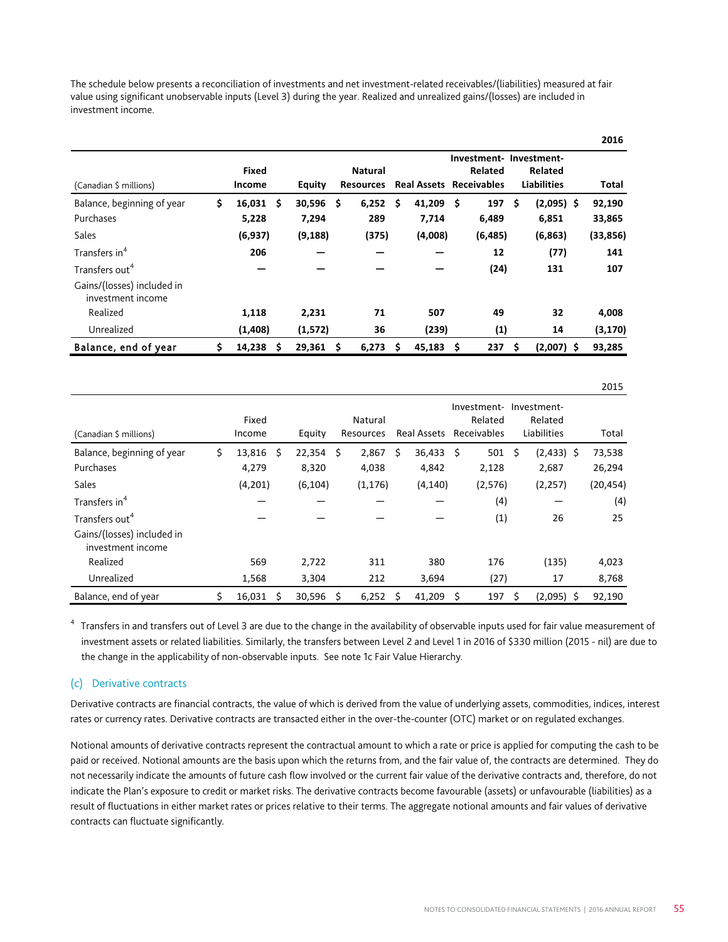The schedule below presents a reconciliation of investments and net investment-related receivables/(liabilities) measured at fair value using significant unobservable inputs (Level 3) during the year. Realized and unrealized gains/(losses) are included in investment income.

|                            |                                     |               |    |                  |    |                                |      |                        |   |                    | <b>ZUID</b> |
|----------------------------|-------------------------------------|---------------|----|------------------|----|--------------------------------|------|------------------------|---|--------------------|-------------|
|                            |                                     |               |    |                  |    |                                |      | Investment-Investment- |   |                    |             |
|                            | <b>Fixed</b>                        |               |    | <b>Natural</b>   |    |                                |      | Related                |   | Related            |             |
| (Canadian \$ millions)     | Income                              | <b>Equity</b> |    | <b>Resources</b> |    | <b>Real Assets Receivables</b> |      |                        |   | <b>Liabilities</b> | Total       |
| Balance, beginning of year | \$<br>16,031<br>$\ddot{\mathsf{s}}$ | 30,596        | -S | 6,252            | \$ | 41,209                         | - \$ | 197                    | S | $(2,095)$ \$       | 92,190      |
| Purchases                  | 5,228                               | 7,294         |    | 289              |    | 7,714                          |      | 6,489                  |   | 6,851              | 33,865      |
| Sales                      | (6,937)                             | (9, 188)      |    | (375)            |    | (4,008)                        |      | (6, 485)               |   | (6,863)            | (33, 856)   |
| Transfers in <sup>4</sup>  | 206                                 |               |    |                  |    |                                |      | 12                     |   | (77)               | 141         |
| Transfers out <sup>4</sup> |                                     |               |    |                  |    |                                |      | (24)                   |   | 131                | 107         |
| Gains/(losses) included in |                                     |               |    |                  |    |                                |      |                        |   |                    |             |
| investment income          |                                     |               |    |                  |    |                                |      |                        |   |                    |             |
| Realized                   | 1,118                               | 2,231         |    | 71               |    | 507                            |      | 49                     |   | 32                 | 4,008       |
| Unrealized                 | (1,408)                             | (1,572)       |    | 36               |    | (239)                          |      | (1)                    |   | 14                 | (3, 170)    |
| Balance, end of year       | \$<br>14,238<br>S                   | 29,361        | S  | 6,273            | S  | 45,183                         | -S   | 237                    | S | $(2,007)$ \$       | 93,285      |

|                                                 |                 |   |          |   |                      |    |             |    |                                       |    |                                       |     | د⊥∪∠      |
|-------------------------------------------------|-----------------|---|----------|---|----------------------|----|-------------|----|---------------------------------------|----|---------------------------------------|-----|-----------|
| (Canadian \$ millions)                          | Fixed<br>Income |   | Equity   |   | Natural<br>Resources |    | Real Assets |    | Investment-<br>Related<br>Receivables |    | Investment-<br>Related<br>Liabilities |     | Total     |
| Balance, beginning of year                      | \$<br>13,816    | S | 22,354   | Ŝ | 2,867                | \$ | 36,433      | -Ś | 501                                   | \$ | $(2,433)$ \$                          |     | 73,538    |
| Purchases                                       | 4,279           |   | 8,320    |   | 4,038                |    | 4,842       |    | 2,128                                 |    | 2,687                                 |     | 26,294    |
| Sales                                           | (4,201)         |   | (6, 104) |   | (1, 176)             |    | (4, 140)    |    | (2,576)                               |    | (2, 257)                              |     | (20, 454) |
| Transfers in <sup>4</sup>                       |                 |   |          |   |                      |    |             |    | (4)                                   |    |                                       |     | (4)       |
| Transfers out <sup>4</sup>                      |                 |   |          |   |                      |    |             |    | (1)                                   |    | 26                                    |     | 25        |
| Gains/(losses) included in<br>investment income |                 |   |          |   |                      |    |             |    |                                       |    |                                       |     |           |
| Realized                                        | 569             |   | 2,722    |   | 311                  |    | 380         |    | 176                                   |    | (135)                                 |     | 4,023     |
| Unrealized                                      | 1,568           |   | 3,304    |   | 212                  |    | 3,694       |    | (27)                                  |    | 17                                    |     | 8,768     |
| Balance, end of year                            | \$<br>16,031    | Ś | 30,596   | Ŝ | 6,252                | Ŝ. | 41,209      | -Ś | 197                                   | Ś  | (2,095)                               | - Ś | 92,190    |

<sup>4</sup> Transfers in and transfers out of Level 3 are due to the change in the availability of observable inputs used for fair value measurement of investment assets or related liabilities. Similarly, the transfers between Level 2 and Level 1 in 2016 of \$330 million (2015 - nil) are due to the change in the applicability of non-observable inputs. See note 1c Fair Value Hierarchy.

#### (c) Derivative contracts

Derivative contracts are financial contracts, the value of which is derived from the value of underlying assets, commodities, indices, interest rates or currency rates. Derivative contracts are transacted either in the over-the-counter (OTC) market or on regulated exchanges.

Notional amounts of derivative contracts represent the contractual amount to which a rate or price is applied for computing the cash to be paid or received. Notional amounts are the basis upon which the returns from, and the fair value of, the contracts are determined. They do not necessarily indicate the amounts of future cash flow involved or the current fair value of the derivative contracts and, therefore, do not indicate the Plan's exposure to credit or market risks. The derivative contracts become favourable (assets) or unfavourable (liabilities) as a result of fluctuations in either market rates or prices relative to their terms. The aggregate notional amounts and fair values of derivative contracts can fluctuate significantly.

**'%&+**

 $2015$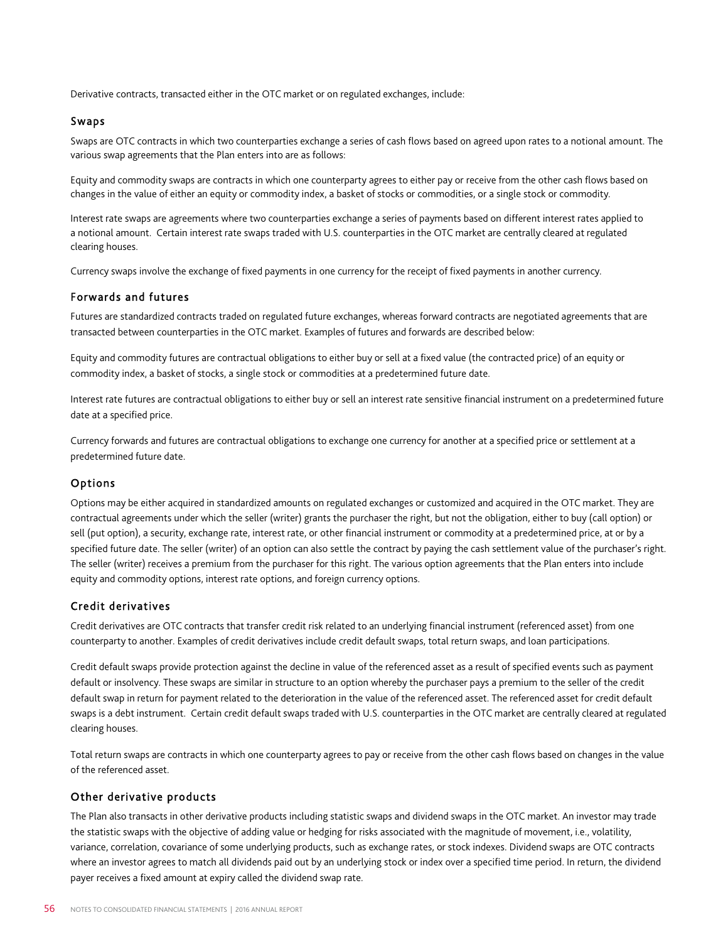Derivative contracts, transacted either in the OTC market or on regulated exchanges, include:

#### Swaps

Swaps are OTC contracts in which two counterparties exchange a series of cash flows based on agreed upon rates to a notional amount. The various swap agreements that the Plan enters into are as follows:

Equity and commodity swaps are contracts in which one counterparty agrees to either pay or receive from the other cash flows based on changes in the value of either an equity or commodity index, a basket of stocks or commodities, or a single stock or commodity.

Interest rate swaps are agreements where two counterparties exchange a series of payments based on different interest rates applied to a notional amount. Certain interest rate swaps traded with U.S. counterparties in the OTC market are centrally cleared at regulated clearing houses.

Currency swaps involve the exchange of fixed payments in one currency for the receipt of fixed payments in another currency.

## Forwards and futures

Futures are standardized contracts traded on regulated future exchanges, whereas forward contracts are negotiated agreements that are transacted between counterparties in the OTC market. Examples of futures and forwards are described below:

Equity and commodity futures are contractual obligations to either buy or sell at a fixed value (the contracted price) of an equity or commodity index, a basket of stocks, a single stock or commodities at a predetermined future date.

Interest rate futures are contractual obligations to either buy or sell an interest rate sensitive financial instrument on a predetermined future date at a specified price.

Currency forwards and futures are contractual obligations to exchange one currency for another at a specified price or settlement at a predetermined future date.

## Options

Options may be either acquired in standardized amounts on regulated exchanges or customized and acquired in the OTC market. They are contractual agreements under which the seller (writer) grants the purchaser the right, but not the obligation, either to buy (call option) or sell (put option), a security, exchange rate, interest rate, or other financial instrument or commodity at a predetermined price, at or by a specified future date. The seller (writer) of an option can also settle the contract by paying the cash settlement value of the purchaser's right. The seller (writer) receives a premium from the purchaser for this right. The various option agreements that the Plan enters into include equity and commodity options, interest rate options, and foreign currency options.

## Credit derivatives

Credit derivatives are OTC contracts that transfer credit risk related to an underlying financial instrument (referenced asset) from one counterparty to another. Examples of credit derivatives include credit default swaps, total return swaps, and loan participations.

Credit default swaps provide protection against the decline in value of the referenced asset as a result of specified events such as payment default or insolvency. These swaps are similar in structure to an option whereby the purchaser pays a premium to the seller of the credit default swap in return for payment related to the deterioration in the value of the referenced asset. The referenced asset for credit default swaps is a debt instrument. Certain credit default swaps traded with U.S. counterparties in the OTC market are centrally cleared at regulated clearing houses.

Total return swaps are contracts in which one counterparty agrees to pay or receive from the other cash flows based on changes in the value of the referenced asset.

#### Other derivative products

The Plan also transacts in other derivative products including statistic swaps and dividend swaps in the OTC market. An investor may trade the statistic swaps with the objective of adding value or hedging for risks associated with the magnitude of movement, i.e., volatility, variance, correlation, covariance of some underlying products, such as exchange rates, or stock indexes. Dividend swaps are OTC contracts where an investor agrees to match all dividends paid out by an underlying stock or index over a specified time period. In return, the dividend payer receives a fixed amount at expiry called the dividend swap rate.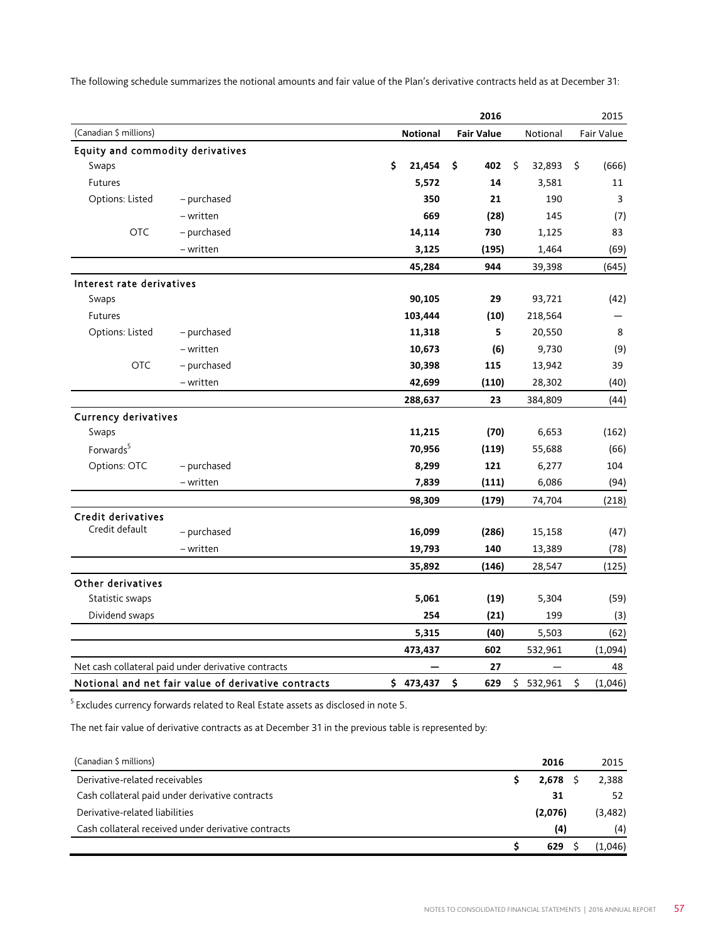| The following schedule summarizes the notional amounts and fair value of the Plan's derivative contracts held as at December 31: |  |  |
|----------------------------------------------------------------------------------------------------------------------------------|--|--|
|                                                                                                                                  |  |  |

|                                  |                                                     |                 | 2016              |              | 2015          |
|----------------------------------|-----------------------------------------------------|-----------------|-------------------|--------------|---------------|
| (Canadian \$ millions)           |                                                     | <b>Notional</b> | <b>Fair Value</b> | Notional     | Fair Value    |
| Equity and commodity derivatives |                                                     |                 |                   |              |               |
| Swaps                            |                                                     | \$<br>21,454    | \$<br>402         | \$<br>32,893 | \$<br>(666)   |
| <b>Futures</b>                   |                                                     | 5,572           | ${\bf 14}$        | 3,581        | 11            |
| Options: Listed                  | - purchased                                         | 350             | 21                | 190          | 3             |
|                                  | - written                                           | 669             | (28)              | 145          | (7)           |
| <b>OTC</b>                       | - purchased                                         | 14,114          | 730               | 1,125        | 83            |
|                                  | - written                                           | 3,125           | (195)             | 1,464        | (69)          |
|                                  |                                                     | 45,284          | 944               | 39,398       | (645)         |
| Interest rate derivatives        |                                                     |                 |                   |              |               |
| Swaps                            |                                                     | 90,105          | 29                | 93,721       | (42)          |
| Futures                          |                                                     | 103,444         | (10)              | 218,564      |               |
| Options: Listed                  | - purchased                                         | 11,318          | 5                 | 20,550       | 8             |
|                                  | – written                                           | 10,673          | (6)               | 9,730        | (9)           |
| <b>OTC</b>                       | - purchased                                         | 30,398          | 115               | 13,942       | 39            |
|                                  | - written                                           | 42,699          | (110)             | 28,302       | (40)          |
|                                  |                                                     | 288,637         | 23                | 384,809      | (44)          |
| <b>Currency derivatives</b>      |                                                     |                 |                   |              |               |
| Swaps                            |                                                     | 11,215          | (70)              | 6,653        | (162)         |
| Forwards <sup>5</sup>            |                                                     | 70,956          | (119)             | 55,688       | (66)          |
| Options: OTC                     | - purchased                                         | 8,299           | 121               | 6,277        | 104           |
|                                  | - written                                           | 7,839           | (111)             | 6,086        | (94)          |
|                                  |                                                     | 98,309          | (179)             | 74,704       | (218)         |
| Credit derivatives               |                                                     |                 |                   |              |               |
| Credit default                   | - purchased                                         | 16,099          | (286)             | 15,158       | (47)          |
|                                  | - written                                           | 19,793          | 140               | 13,389       | (78)          |
|                                  |                                                     | 35,892          | (146)             | 28,547       | (125)         |
| Other derivatives                |                                                     |                 |                   |              |               |
| Statistic swaps                  |                                                     | 5,061           | (19)              | 5,304        | (59)          |
| Dividend swaps                   |                                                     | 254             | (21)              | 199          | (3)           |
|                                  |                                                     | 5,315           | (40)              | 5,503        | (62)          |
|                                  |                                                     | 473,437         | 602               | 532,961      | (1,094)       |
|                                  | Net cash collateral paid under derivative contracts |                 | 27                |              | 48            |
|                                  | Notional and net fair value of derivative contracts | \$473,437       | \$<br>629         | \$532,961    | \$<br>(1,046) |

 $<sup>5</sup>$  Excludes currency forwards related to Real Estate assets as disclosed in note 5.</sup>

The net fair value of derivative contracts as at December 31 in the previous table is represented by:

| (Canadian \$ millions)                              | 2016       | 2015    |
|-----------------------------------------------------|------------|---------|
| Derivative-related receivables                      | $2,678$ \$ | 2,388   |
| Cash collateral paid under derivative contracts     | 31         | 52      |
| Derivative-related liabilities                      | (2,076)    | (3,482) |
| Cash collateral received under derivative contracts | (4)        | (4)     |
|                                                     | 629        | (1,046) |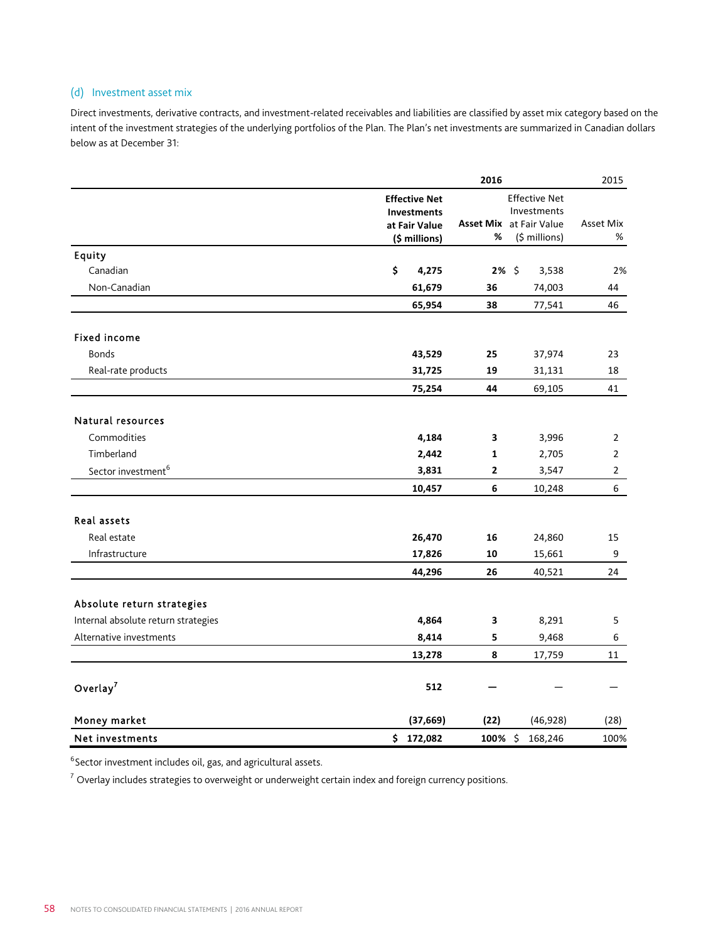# (d) Investment asset mix

Direct investments, derivative contracts, and investment-related receivables and liabilities are classified by asset mix category based on the intent of the investment strategies of the underlying portfolios of the Plan. The Plan's net investments are summarized in Canadian dollars below as at December 31:

|                                     |                                                                       | 2016                  |                                                                       | 2015           |
|-------------------------------------|-----------------------------------------------------------------------|-----------------------|-----------------------------------------------------------------------|----------------|
|                                     | <b>Effective Net</b><br>Investments<br>at Fair Value<br>(\$ millions) | <b>Asset Mix</b><br>% | <b>Effective Net</b><br>Investments<br>at Fair Value<br>(\$ millions) | Asset Mix<br>% |
| Equity                              |                                                                       |                       |                                                                       |                |
| Canadian                            | \$<br>4,275                                                           |                       | $2\%$ \$<br>3,538                                                     | 2%             |
| Non-Canadian                        | 61,679                                                                | 36                    | 74,003                                                                | 44             |
|                                     | 65,954                                                                | 38                    | 77,541                                                                | 46             |
| <b>Fixed income</b>                 |                                                                       |                       |                                                                       |                |
| <b>Bonds</b>                        | 43,529                                                                | 25                    | 37,974                                                                | 23             |
| Real-rate products                  | 31,725                                                                | 19                    | 31,131                                                                | 18             |
|                                     | 75,254                                                                | 44                    | 69,105                                                                | 41             |
| Natural resources                   |                                                                       |                       |                                                                       |                |
| Commodities                         | 4,184                                                                 | 3                     | 3,996                                                                 | $\overline{2}$ |
| Timberland                          | 2,442                                                                 | 1                     | 2,705                                                                 | $\overline{2}$ |
| Sector investment <sup>6</sup>      | 3,831                                                                 | $\mathbf{2}$          | 3,547                                                                 | $\overline{2}$ |
|                                     | 10,457                                                                | 6                     | 10,248                                                                | 6              |
| Real assets                         |                                                                       |                       |                                                                       |                |
| Real estate                         | 26,470                                                                | 16                    | 24,860                                                                | 15             |
| Infrastructure                      | 17,826                                                                | 10                    | 15,661                                                                | 9              |
|                                     | 44,296                                                                | 26                    | 40,521                                                                | 24             |
| Absolute return strategies          |                                                                       |                       |                                                                       |                |
| Internal absolute return strategies | 4,864                                                                 | 3                     | 8,291                                                                 | 5              |
| Alternative investments             | 8,414                                                                 | 5                     | 9,468                                                                 | 6              |
|                                     | 13,278                                                                | 8                     | 17,759                                                                | 11             |
| Overlay $7$                         | 512                                                                   |                       |                                                                       |                |
| Money market                        | (37, 669)                                                             | (22)                  | (46, 928)                                                             | (28)           |
| Net investments                     | \$172,082                                                             | 100% \$               | 168,246                                                               | 100%           |

<sup>6</sup>Sector investment includes oil, gas, and agricultural assets.

 $^7$  Overlay includes strategies to overweight or underweight certain index and foreign currency positions.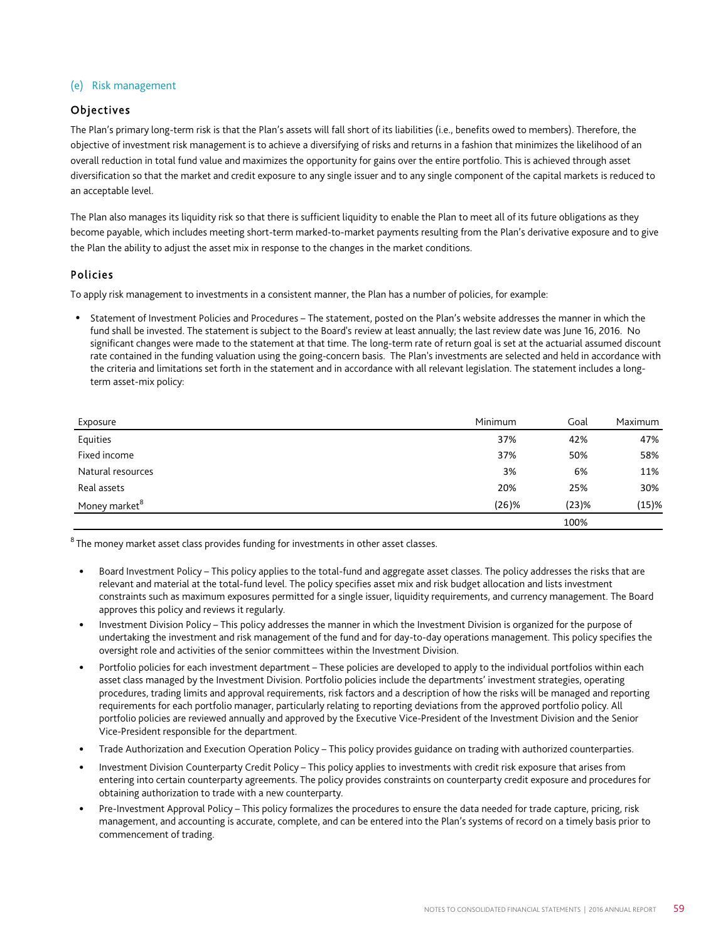#### (e) Risk management

## Objectives

The Plan's primary long-term risk is that the Plan's assets will fall short of its liabilities (i.e., benefits owed to members). Therefore, the objective of investment risk management is to achieve a diversifying of risks and returns in a fashion that minimizes the likelihood of an overall reduction in total fund value and maximizes the opportunity for gains over the entire portfolio. This is achieved through asset diversification so that the market and credit exposure to any single issuer and to any single component of the capital markets is reduced to an acceptable level.

The Plan also manages its liquidity risk so that there is sufficient liquidity to enable the Plan to meet all of its future obligations as they become payable, which includes meeting short-term marked-to-market payments resulting from the Plan's derivative exposure and to give the Plan the ability to adjust the asset mix in response to the changes in the market conditions.

#### Policies

To apply risk management to investments in a consistent manner, the Plan has a number of policies, for example:

- Statement of Investment Policies and Procedures – The statement, posted on the Plan's website addresses the manner in which the fund shall be invested. The statement is subject to the Board's review at least annually; the last review date was June 16, 2016. No significant changes were made to the statement at that time. The long-term rate of return goal is set at the actuarial assumed discount rate contained in the funding valuation using the going-concern basis. The Plan's investments are selected and held in accordance with the criteria and limitations set forth in the statement and in accordance with all relevant legislation. The statement includes a longterm asset-mix policy:

| Exposure                  | Minimum | Goal  | Maximum |
|---------------------------|---------|-------|---------|
| Equities                  | 37%     | 42%   | 47%     |
| Fixed income              | 37%     | 50%   | 58%     |
| Natural resources         | 3%      | 6%    | 11%     |
| Real assets               | 20%     | 25%   | 30%     |
| Money market <sup>8</sup> | (26)%   | (23)% | (15)%   |
|                           |         | 100%  |         |

<sup>8</sup> The money market asset class provides funding for investments in other asset classes.

- - Board Investment Policy – This policy applies to the total-fund and aggregate asset classes. The policy addresses the risks that are relevant and material at the total-fund level. The policy specifies asset mix and risk budget allocation and lists investment constraints such as maximum exposures permitted for a single issuer, liquidity requirements, and currency management. The Board approves this policy and reviews it regularly.
- - Investment Division Policy – This policy addresses the manner in which the Investment Division is organized for the purpose of undertaking the investment and risk management of the fund and for day-to-day operations management. This policy specifies the oversight role and activities of the senior committees within the Investment Division.
- - Portfolio policies for each investment department – These policies are developed to apply to the individual portfolios within each asset class managed by the Investment Division. Portfolio policies include the departments' investment strategies, operating procedures, trading limits and approval requirements, risk factors and a description of how the risks will be managed and reporting requirements for each portfolio manager, particularly relating to reporting deviations from the approved portfolio policy. All portfolio policies are reviewed annually and approved by the Executive Vice-President of the Investment Division and the Senior Vice-President responsible for the department.
- -Trade Authorization and Execution Operation Policy – This policy provides guidance on trading with authorized counterparties.
- - Investment Division Counterparty Credit Policy – This policy applies to investments with credit risk exposure that arises from entering into certain counterparty agreements. The policy provides constraints on counterparty credit exposure and procedures for obtaining authorization to trade with a new counterparty.
- - Pre-Investment Approval Policy – This policy formalizes the procedures to ensure the data needed for trade capture, pricing, risk management, and accounting is accurate, complete, and can be entered into the Plan's systems of record on a timely basis prior to commencement of trading.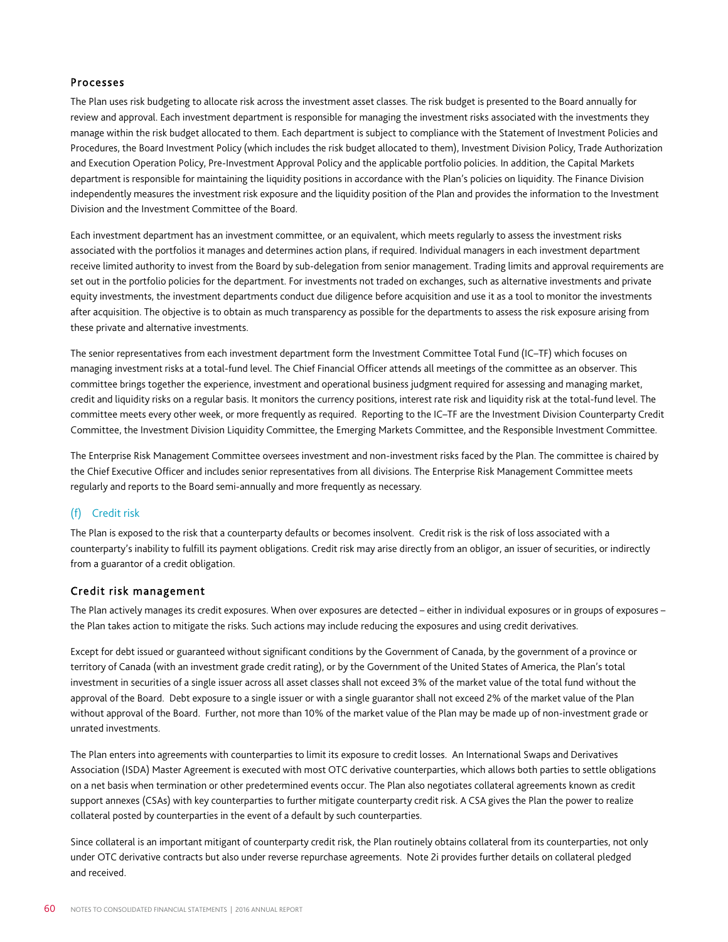#### Processes

The Plan uses risk budgeting to allocate risk across the investment asset classes. The risk budget is presented to the Board annually for review and approval. Each investment department is responsible for managing the investment risks associated with the investments they manage within the risk budget allocated to them. Each department is subject to compliance with the Statement of Investment Policies and Procedures, the Board Investment Policy (which includes the risk budget allocated to them), Investment Division Policy, Trade Authorization and Execution Operation Policy, Pre-Investment Approval Policy and the applicable portfolio policies. In addition, the Capital Markets department is responsible for maintaining the liquidity positions in accordance with the Plan's policies on liquidity. The Finance Division independently measures the investment risk exposure and the liquidity position of the Plan and provides the information to the Investment Division and the Investment Committee of the Board.

Each investment department has an investment committee, or an equivalent, which meets regularly to assess the investment risks associated with the portfolios it manages and determines action plans, if required. Individual managers in each investment department receive limited authority to invest from the Board by sub-delegation from senior management. Trading limits and approval requirements are set out in the portfolio policies for the department. For investments not traded on exchanges, such as alternative investments and private equity investments, the investment departments conduct due diligence before acquisition and use it as a tool to monitor the investments after acquisition. The objective is to obtain as much transparency as possible for the departments to assess the risk exposure arising from these private and alternative investments.

The senior representatives from each investment department form the Investment Committee Total Fund (IC–TF) which focuses on managing investment risks at a total-fund level. The Chief Financial Officer attends all meetings of the committee as an observer. This committee brings together the experience, investment and operational business judgment required for assessing and managing market, credit and liquidity risks on a regular basis. It monitors the currency positions, interest rate risk and liquidity risk at the total-fund level. The committee meets every other week, or more frequently as required. Reporting to the IC–TF are the Investment Division Counterparty Credit Committee, the Investment Division Liquidity Committee, the Emerging Markets Committee, and the Responsible Investment Committee.

The Enterprise Risk Management Committee oversees investment and non-investment risks faced by the Plan. The committee is chaired by the Chief Executive Officer and includes senior representatives from all divisions. The Enterprise Risk Management Committee meets regularly and reports to the Board semi-annually and more frequently as necessary.

#### (f) Credit risk

The Plan is exposed to the risk that a counterparty defaults or becomes insolvent. Credit risk is the risk of loss associated with a counterparty's inability to fulfill its payment obligations. Credit risk may arise directly from an obligor, an issuer of securities, or indirectly from a guarantor of a credit obligation.

# Credit risk management

The Plan actively manages its credit exposures. When over exposures are detected – either in individual exposures or in groups of exposures – the Plan takes action to mitigate the risks. Such actions may include reducing the exposures and using credit derivatives.

Except for debt issued or guaranteed without significant conditions by the Government of Canada, by the government of a province or territory of Canada (with an investment grade credit rating), or by the Government of the United States of America, the Plan's total investment in securities of a single issuer across all asset classes shall not exceed 3% of the market value of the total fund without the approval of the Board. Debt exposure to a single issuer or with a single guarantor shall not exceed 2% of the market value of the Plan without approval of the Board. Further, not more than 10% of the market value of the Plan may be made up of non-investment grade or unrated investments.

The Plan enters into agreements with counterparties to limit its exposure to credit losses. An International Swaps and Derivatives Association (ISDA) Master Agreement is executed with most OTC derivative counterparties, which allows both parties to settle obligations on a net basis when termination or other predetermined events occur. The Plan also negotiates collateral agreements known as credit support annexes (CSAs) with key counterparties to further mitigate counterparty credit risk. A CSA gives the Plan the power to realize collateral posted by counterparties in the event of a default by such counterparties.

Since collateral is an important mitigant of counterparty credit risk, the Plan routinely obtains collateral from its counterparties, not only under OTC derivative contracts but also under reverse repurchase agreements. Note 2i provides further details on collateral pledged and received.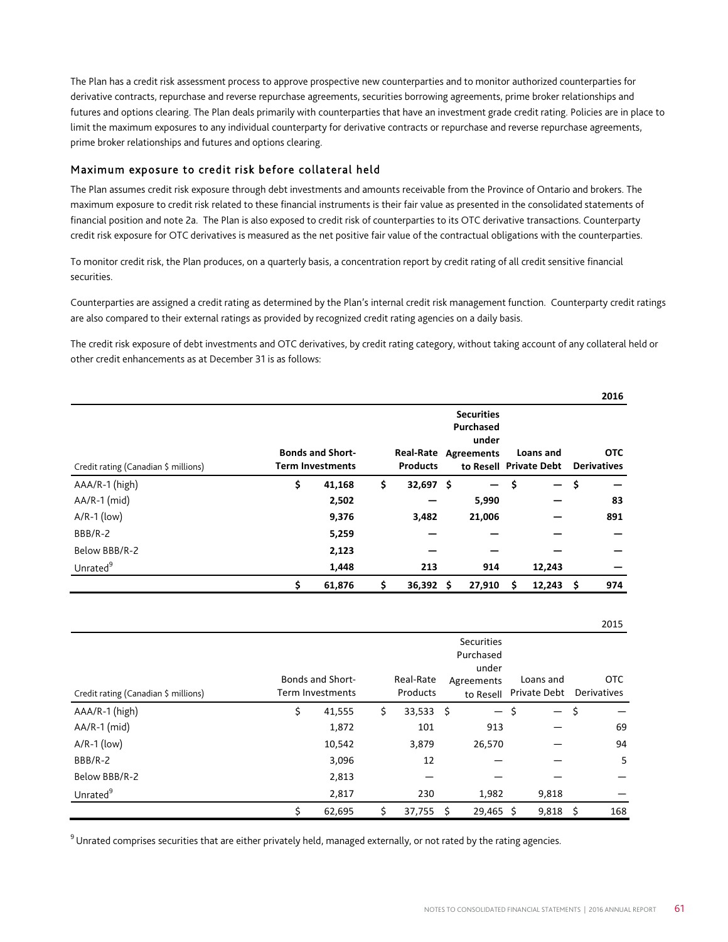The Plan has a credit risk assessment process to approve prospective new counterparties and to monitor authorized counterparties for derivative contracts, repurchase and reverse repurchase agreements, securities borrowing agreements, prime broker relationships and futures and options clearing. The Plan deals primarily with counterparties that have an investment grade credit rating. Policies are in place to limit the maximum exposures to any individual counterparty for derivative contracts or repurchase and reverse repurchase agreements, prime broker relationships and futures and options clearing.

## Maximum exposure to credit risk before collateral held

The Plan assumes credit risk exposure through debt investments and amounts receivable from the Province of Ontario and brokers. The maximum exposure to credit risk related to these financial instruments is their fair value as presented in the consolidated statements of financial position and note 2a. The Plan is also exposed to credit risk of counterparties to its OTC derivative transactions. Counterparty credit risk exposure for OTC derivatives is measured as the net positive fair value of the contractual obligations with the counterparties.

To monitor credit risk, the Plan produces, on a quarterly basis, a concentration report by credit rating of all credit sensitive financial securities.

Counterparties are assigned a credit rating as determined by the Plan's internal credit risk management function. Counterparty credit ratings are also compared to their external ratings as provided by recognized credit rating agencies on a daily basis.

The credit risk exposure of debt investments and OTC derivatives, by credit rating category, without taking account of any collateral held or other credit enhancements as at December 31 is as follows:

|                                      |                         |    |                             |                                         |                         |    | 2016               |
|--------------------------------------|-------------------------|----|-----------------------------|-----------------------------------------|-------------------------|----|--------------------|
|                                      |                         |    |                             | <b>Securities</b><br>Purchased<br>under |                         |    |                    |
|                                      | <b>Bonds and Short-</b> |    | <b>Real-Rate Agreements</b> |                                         | Loans and               |    | <b>OTC</b>         |
| Credit rating (Canadian \$ millions) | <b>Term Investments</b> |    | <b>Products</b>             | to Resell Private Debt                  |                         |    | <b>Derivatives</b> |
| AAA/R-1 (high)                       | \$<br>41,168            | \$ | $32,697$ \$                 | $\qquad \qquad$                         | \$<br>$\qquad \qquad -$ | \$ |                    |
| $AA/R-1$ (mid)                       | 2,502                   |    |                             | 5,990                                   |                         |    | 83                 |
| $A/R-1$ (low)                        | 9,376                   |    | 3,482                       | 21,006                                  |                         |    | 891                |
| BBB/R-2                              | 5,259                   |    |                             |                                         |                         |    |                    |
| Below BBB/R-2                        | 2,123                   |    |                             |                                         |                         |    |                    |
| Unrated <sup>9</sup>                 | 1,448                   |    | 213                         | 914                                     | 12,243                  |    |                    |
|                                      | \$<br>61,876            | s  | $36,392$ \$                 | 27,910                                  | 12,243                  | s  | 974                |

|                                      |                         |    |             |   |                                         |                         | 2015        |
|--------------------------------------|-------------------------|----|-------------|---|-----------------------------------------|-------------------------|-------------|
|                                      |                         |    |             |   | <b>Securities</b><br>Purchased<br>under |                         |             |
|                                      | <b>Bonds and Short-</b> |    | Real-Rate   |   | Agreements                              | Loans and               | <b>OTC</b>  |
| Credit rating (Canadian \$ millions) | <b>Term Investments</b> |    | Products    |   | to Resell                               | Private Debt            | Derivatives |
| AAA/R-1 (high)                       | \$<br>41,555            | \$ | $33,533$ \$ |   | $\overline{\phantom{0}}$                | \$<br>$\qquad \qquad -$ | \$          |
| AA/R-1 (mid)                         | 1,872                   |    | 101         |   | 913                                     |                         | 69          |
| $A/R-1$ (low)                        | 10,542                  |    | 3,879       |   | 26,570                                  |                         | 94          |
| BBB/R-2                              | 3,096                   |    | 12          |   |                                         |                         | 5           |
| Below BBB/R-2                        | 2,813                   |    |             |   |                                         |                         |             |
| Unrated                              | 2,817                   |    | 230         |   | 1,982                                   | 9,818                   |             |
|                                      | 62,695                  | S  | 37,755      | Ś | 29,465                                  | 9,818<br>S              | 168<br>\$   |

 $9$  Unrated comprises securities that are either privately held, managed externally, or not rated by the rating agencies.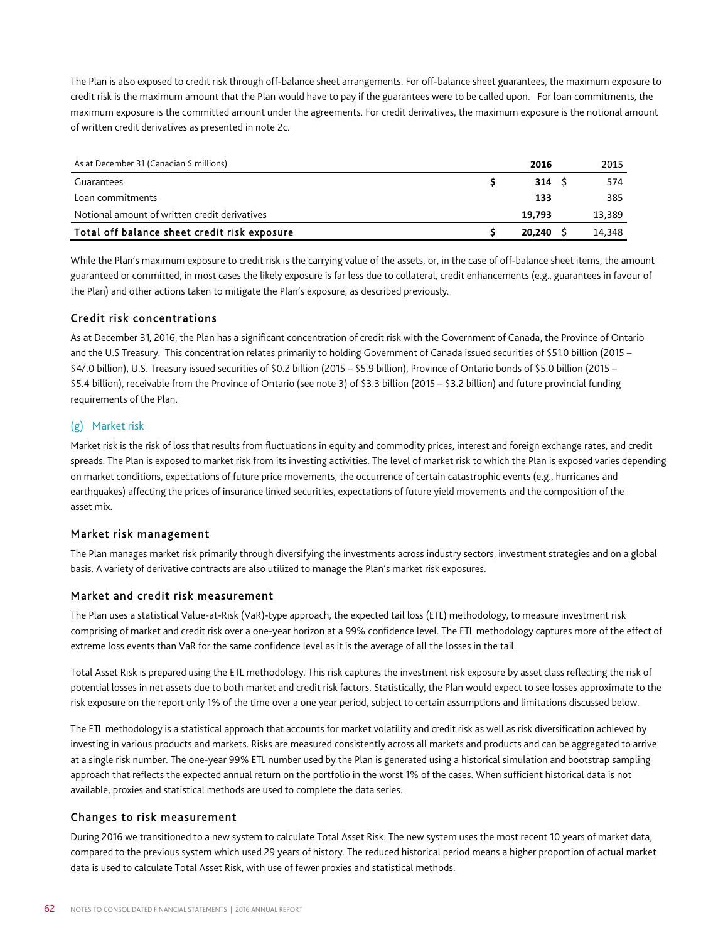The Plan is also exposed to credit risk through off-balance sheet arrangements. For off-balance sheet guarantees, the maximum exposure to credit risk is the maximum amount that the Plan would have to pay if the guarantees were to be called upon. For loan commitments, the maximum exposure is the committed amount under the agreements. For credit derivatives, the maximum exposure is the notional amount of written credit derivatives as presented in note 2c.

| As at December 31 (Canadian \$ millions)      | 2016          | 2015   |
|-----------------------------------------------|---------------|--------|
| Guarantees                                    | $314 \quad S$ | 574    |
| Loan commitments                              | 133           | 385    |
| Notional amount of written credit derivatives | 19.793        | 13,389 |
| Total off balance sheet credit risk exposure  | 20.240        | 14.348 |

While the Plan's maximum exposure to credit risk is the carrying value of the assets, or, in the case of off-balance sheet items, the amount guaranteed or committed, in most cases the likely exposure is far less due to collateral, credit enhancements (e.g., guarantees in favour of the Plan) and other actions taken to mitigate the Plan's exposure, as described previously.

# Credit risk concentrations

As at December 31, 2016, the Plan has a significant concentration of credit risk with the Government of Canada, the Province of Ontario and the U.S Treasury. This concentration relates primarily to holding Government of Canada issued securities of \$51.0 billion (2015 – \$47.0 billion), U.S. Treasury issued securities of \$0.2 billion (2015 – \$5.9 billion), Province of Ontario bonds of \$5.0 billion (2015 – \$5.4 billion), receivable from the Province of Ontario (see note 3) of \$3.3 billion (2015 – \$3.2 billion) and future provincial funding requirements of the Plan.

# (g) Market risk

Market risk is the risk of loss that results from fluctuations in equity and commodity prices, interest and foreign exchange rates, and credit spreads. The Plan is exposed to market risk from its investing activities. The level of market risk to which the Plan is exposed varies depending on market conditions, expectations of future price movements, the occurrence of certain catastrophic events (e.g., hurricanes and earthquakes) affecting the prices of insurance linked securities, expectations of future yield movements and the composition of the asset mix.

## Market risk management

The Plan manages market risk primarily through diversifying the investments across industry sectors, investment strategies and on a global basis. A variety of derivative contracts are also utilized to manage the Plan's market risk exposures.

## Market and credit risk measurement

The Plan uses a statistical Value-at-Risk (VaR)-type approach, the expected tail loss (ETL) methodology, to measure investment risk comprising of market and credit risk over a one-year horizon at a 99% confidence level. The ETL methodology captures more of the effect of extreme loss events than VaR for the same confidence level as it is the average of all the losses in the tail.

Total Asset Risk is prepared using the ETL methodology. This risk captures the investment risk exposure by asset class reflecting the risk of potential losses in net assets due to both market and credit risk factors. Statistically, the Plan would expect to see losses approximate to the risk exposure on the report only 1% of the time over a one year period, subject to certain assumptions and limitations discussed below.

The ETL methodology is a statistical approach that accounts for market volatility and credit risk as well as risk diversification achieved by investing in various products and markets. Risks are measured consistently across all markets and products and can be aggregated to arrive at a single risk number. The one-year 99% ETL number used by the Plan is generated using a historical simulation and bootstrap sampling approach that reflects the expected annual return on the portfolio in the worst 1% of the cases. When sufficient historical data is not available, proxies and statistical methods are used to complete the data series.

# Changes to risk measurement

During 2016 we transitioned to a new system to calculate Total Asset Risk. The new system uses the most recent 10 years of market data, compared to the previous system which used 29 years of history. The reduced historical period means a higher proportion of actual market data is used to calculate Total Asset Risk, with use of fewer proxies and statistical methods.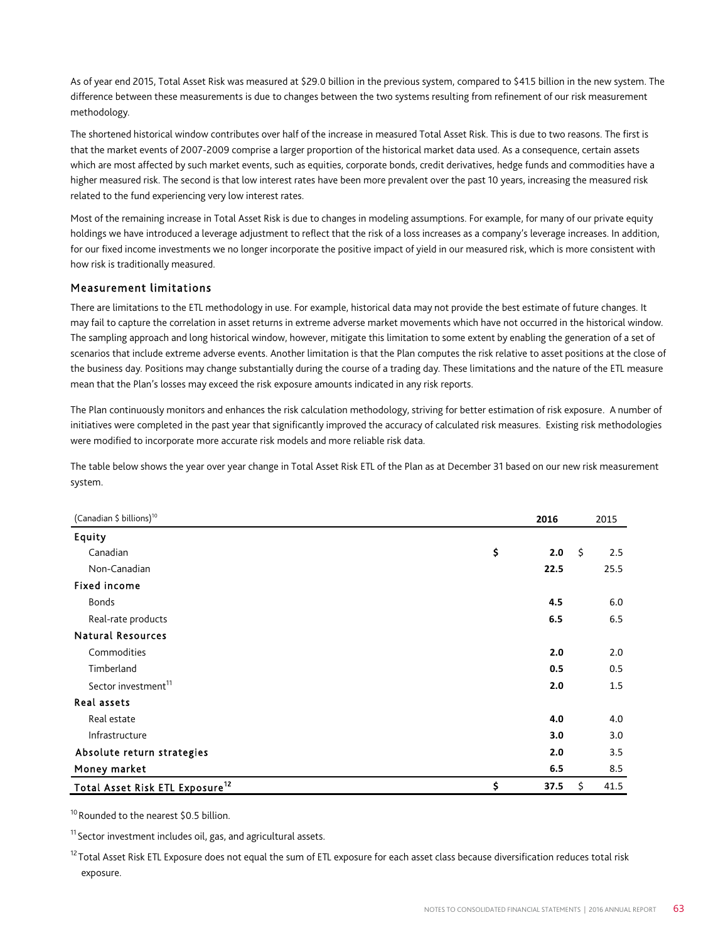As of year end 2015, Total Asset Risk was measured at \$29.0 billion in the previous system, compared to \$41.5 billion in the new system. The difference between these measurements is due to changes between the two systems resulting from refinement of our risk measurement methodology.

The shortened historical window contributes over half of the increase in measured Total Asset Risk. This is due to two reasons. The first is that the market events of 2007-2009 comprise a larger proportion of the historical market data used. As a consequence, certain assets which are most affected by such market events, such as equities, corporate bonds, credit derivatives, hedge funds and commodities have a higher measured risk. The second is that low interest rates have been more prevalent over the past 10 years, increasing the measured risk related to the fund experiencing very low interest rates.

Most of the remaining increase in Total Asset Risk is due to changes in modeling assumptions. For example, for many of our private equity holdings we have introduced a leverage adjustment to reflect that the risk of a loss increases as a company's leverage increases. In addition, for our fixed income investments we no longer incorporate the positive impact of yield in our measured risk, which is more consistent with how risk is traditionally measured.

## Measurement limitations

There are limitations to the ETL methodology in use. For example, historical data may not provide the best estimate of future changes. It may fail to capture the correlation in asset returns in extreme adverse market movements which have not occurred in the historical window. The sampling approach and long historical window, however, mitigate this limitation to some extent by enabling the generation of a set of scenarios that include extreme adverse events. Another limitation is that the Plan computes the risk relative to asset positions at the close of the business day. Positions may change substantially during the course of a trading day. These limitations and the nature of the ETL measure mean that the Plan's losses may exceed the risk exposure amounts indicated in any risk reports.

The Plan continuously monitors and enhances the risk calculation methodology, striving for better estimation of risk exposure. A number of initiatives were completed in the past year that significantly improved the accuracy of calculated risk measures. Existing risk methodologies were modified to incorporate more accurate risk models and more reliable risk data.

The table below shows the year over year change in Total Asset Risk ETL of the Plan as at December 31 based on our new risk measurement system.

| (Canadian \$ billions) <sup>10</sup>        | 2016       | 2015       |
|---------------------------------------------|------------|------------|
| Equity                                      |            |            |
| Canadian                                    | \$<br>2.0  | \$<br>2.5  |
| Non-Canadian                                | 22.5       | 25.5       |
| <b>Fixed income</b>                         |            |            |
| <b>Bonds</b>                                | 4.5        | 6.0        |
| Real-rate products                          | 6.5        | 6.5        |
| <b>Natural Resources</b>                    |            |            |
| Commodities                                 | 2.0        | 2.0        |
| Timberland                                  | 0.5        | 0.5        |
| Sector investment <sup>11</sup>             | 2.0        | 1.5        |
| <b>Real assets</b>                          |            |            |
| Real estate                                 | 4.0        | 4.0        |
| Infrastructure                              | 3.0        | 3.0        |
| Absolute return strategies                  | 2.0        | 3.5        |
| Money market                                | 6.5        | 8.5        |
| Total Asset Risk ETL Exposure <sup>12</sup> | \$<br>37.5 | \$<br>41.5 |

<sup>10</sup> Rounded to the nearest \$0.5 billion.

<sup>11</sup> Sector investment includes oil, gas, and agricultural assets.

<sup>12</sup> Total Asset Risk ETL Exposure does not equal the sum of ETL exposure for each asset class because diversification reduces total risk exposure.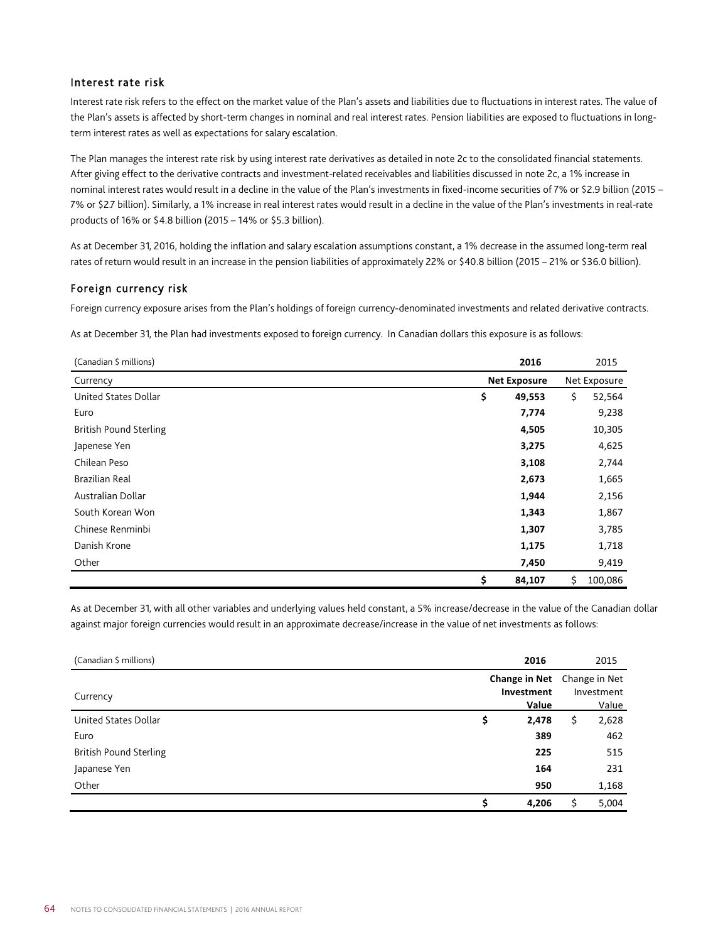# Interest rate risk

Interest rate risk refers to the effect on the market value of the Plan's assets and liabilities due to fluctuations in interest rates. The value of the Plan's assets is affected by short-term changes in nominal and real interest rates. Pension liabilities are exposed to fluctuations in longterm interest rates as well as expectations for salary escalation.

The Plan manages the interest rate risk by using interest rate derivatives as detailed in note 2c to the consolidated financial statements. After giving effect to the derivative contracts and investment-related receivables and liabilities discussed in note 2c, a 1% increase in nominal interest rates would result in a decline in the value of the Plan's investments in fixed-income securities of 7% or \$2.9 billion (2015 – 7% or \$2.7 billion). Similarly, a 1% increase in real interest rates would result in a decline in the value of the Plan's investments in real-rate products of 16% or \$4.8 billion (2015 – 14% or \$5.3 billion).

As at December 31, 2016, holding the inflation and salary escalation assumptions constant, a 1% decrease in the assumed long-term real rates of return would result in an increase in the pension liabilities of approximately 22% or \$40.8 billion (2015 – 21% or \$36.0 billion).

# Foreign currency risk

Foreign currency exposure arises from the Plan's holdings of foreign currency-denominated investments and related derivative contracts.

As at December 31, the Plan had investments exposed to foreign currency. In Canadian dollars this exposure is as follows:

| (Canadian \$ millions)        | 2016                | 2015          |
|-------------------------------|---------------------|---------------|
| Currency                      | <b>Net Exposure</b> | Net Exposure  |
| United States Dollar          | \$<br>49,553        | \$<br>52,564  |
| Euro                          | 7,774               | 9,238         |
| <b>British Pound Sterling</b> | 4,505               | 10,305        |
| Japenese Yen                  | 3,275               | 4,625         |
| Chilean Peso                  | 3,108               | 2,744         |
| <b>Brazilian Real</b>         | 2,673               | 1,665         |
| Australian Dollar             | 1,944               | 2,156         |
| South Korean Won              | 1,343               | 1,867         |
| Chinese Renminbi              | 1,307               | 3,785         |
| Danish Krone                  | 1,175               | 1,718         |
| Other                         | 7,450               | 9,419         |
|                               | \$<br>84,107        | \$<br>100,086 |

As at December 31, with all other variables and underlying values held constant, a 5% increase/decrease in the value of the Canadian dollar against major foreign currencies would result in an approximate decrease/increase in the value of net investments as follows:

| (Canadian \$ millions)        | 2016                        |   | 2015                |
|-------------------------------|-----------------------------|---|---------------------|
|                               | Change in Net Change in Net |   |                     |
| Currency                      | Investment<br>Value         |   | Investment<br>Value |
| United States Dollar          | \$<br>2,478                 | Ş | 2,628               |
| Euro                          | 389                         |   | 462                 |
| <b>British Pound Sterling</b> | 225                         |   | 515                 |
| Japanese Yen                  | 164                         |   | 231                 |
| Other                         | 950                         |   | 1,168               |
|                               | 4,206                       |   | 5,004               |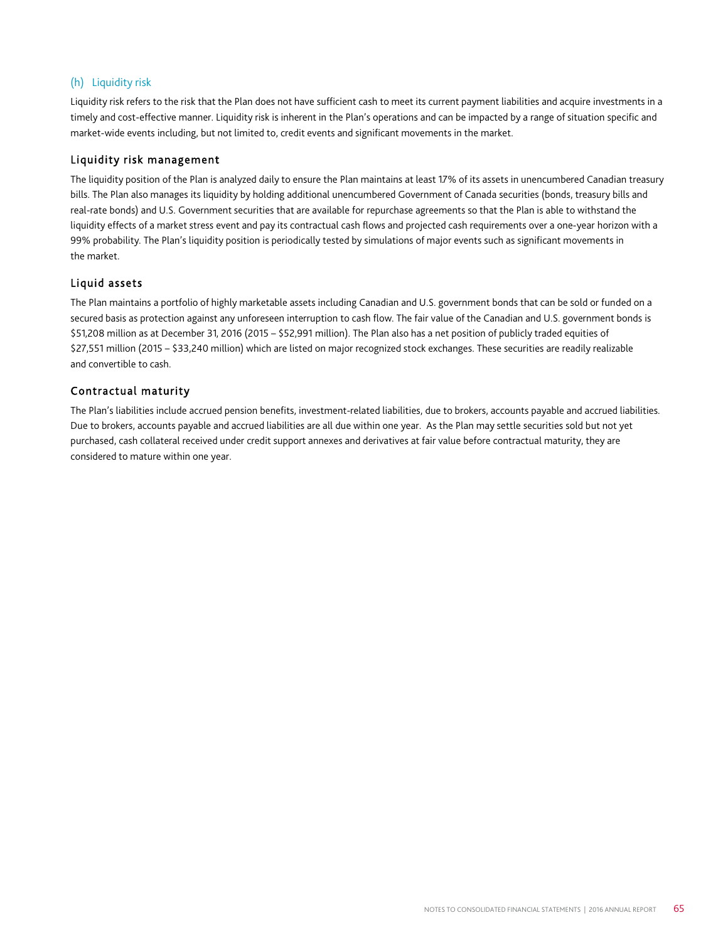# (h) Liquidity risk

Liquidity risk refers to the risk that the Plan does not have sufficient cash to meet its current payment liabilities and acquire investments in a timely and cost-effective manner. Liquidity risk is inherent in the Plan's operations and can be impacted by a range of situation specific and market-wide events including, but not limited to, credit events and significant movements in the market.

# Liquidity risk management

The liquidity position of the Plan is analyzed daily to ensure the Plan maintains at least 17% of its assets in unencumbered Canadian treasury bills. The Plan also manages its liquidity by holding additional unencumbered Government of Canada securities (bonds, treasury bills and real-rate bonds) and U.S. Government securities that are available for repurchase agreements so that the Plan is able to withstand the liquidity effects of a market stress event and pay its contractual cash flows and projected cash requirements over a one-year horizon with a 99% probability. The Plan's liquidity position is periodically tested by simulations of major events such as significant movements in the market.

# Liquid assets

The Plan maintains a portfolio of highly marketable assets including Canadian and U.S. government bonds that can be sold or funded on a secured basis as protection against any unforeseen interruption to cash flow. The fair value of the Canadian and U.S. government bonds is \$51,208 million as at December 31, 2016 (2015 – \$52,991 million). The Plan also has a net position of publicly traded equities of \$27,551 million (2015 – \$33,240 million) which are listed on major recognized stock exchanges. These securities are readily realizable and convertible to cash.

# Contractual maturity

The Plan's liabilities include accrued pension benefits, investment-related liabilities, due to brokers, accounts payable and accrued liabilities. Due to brokers, accounts payable and accrued liabilities are all due within one year. As the Plan may settle securities sold but not yet purchased, cash collateral received under credit support annexes and derivatives at fair value before contractual maturity, they are considered to mature within one year.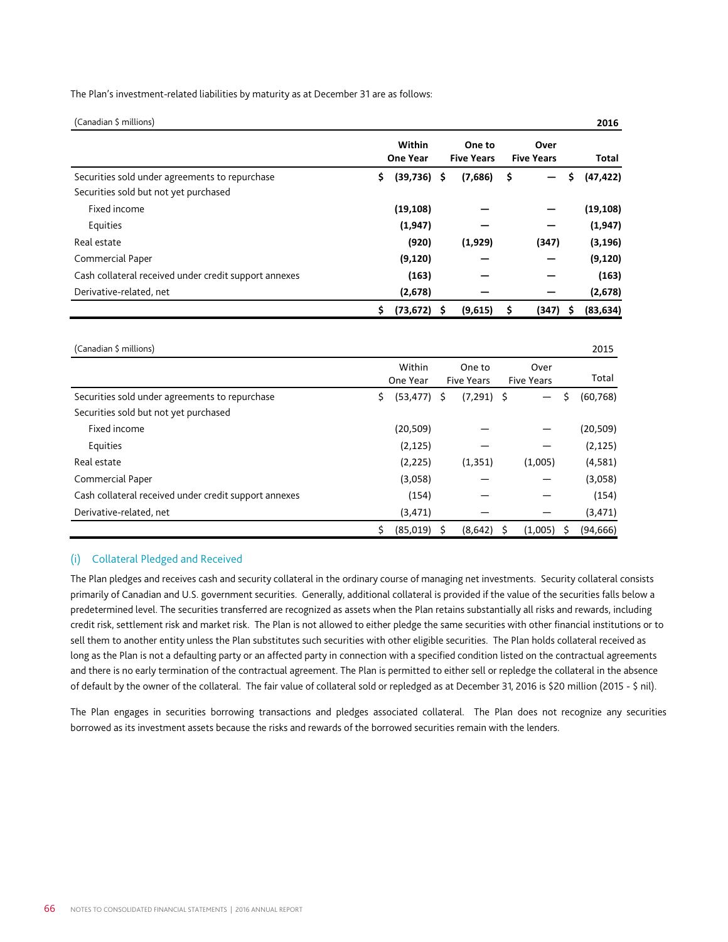The Plan's investment-related liabilities by maturity as at December 31 are as follows:

| (Canadian \$ millions)                                |                           |    |                             |    |                           | 2016            |
|-------------------------------------------------------|---------------------------|----|-----------------------------|----|---------------------------|-----------------|
|                                                       | Within<br><b>One Year</b> |    | One to<br><b>Five Years</b> |    | Over<br><b>Five Years</b> | Total           |
| Securities sold under agreements to repurchase        | (39, 736)<br>\$           | \$ | (7,686)                     | \$ |                           | \$<br>(47, 422) |
| Securities sold but not yet purchased                 |                           |    |                             |    |                           |                 |
| Fixed income                                          | (19, 108)                 |    |                             |    |                           | (19, 108)       |
| Equities                                              | (1, 947)                  |    |                             |    |                           | (1, 947)        |
| Real estate                                           | (920)                     |    | (1,929)                     |    | (347)                     | (3, 196)        |
| <b>Commercial Paper</b>                               | (9, 120)                  |    |                             |    |                           | (9, 120)        |
| Cash collateral received under credit support annexes | (163)                     |    |                             |    |                           | (163)           |
| Derivative-related, net                               | (2,678)                   |    |                             |    |                           | (2,678)         |
|                                                       | (73, 672)<br>\$           | s  | (9,615)                     | S  | (347)                     | (83, 634)       |

| (Canadian \$ millions)                                |                      |                             |                           | 2015           |
|-------------------------------------------------------|----------------------|-----------------------------|---------------------------|----------------|
|                                                       | Within<br>One Year   | One to<br><b>Five Years</b> | Over<br><b>Five Years</b> | Total          |
| Securities sold under agreements to repurchase        | $(53, 477)$ \$<br>\$ | $(7,291)$ \$                |                           | (60, 768)<br>Ś |
| Securities sold but not yet purchased                 |                      |                             |                           |                |
| Fixed income                                          | (20, 509)            |                             |                           | (20, 509)      |
| Equities                                              | (2, 125)             |                             |                           | (2, 125)       |
| Real estate                                           | (2, 225)             | (1, 351)                    | (1,005)                   | (4,581)        |
| Commercial Paper                                      | (3,058)              |                             |                           | (3,058)        |
| Cash collateral received under credit support annexes | (154)                |                             |                           | (154)          |
| Derivative-related, net                               | (3, 471)             |                             |                           | (3, 471)       |
|                                                       | \$<br>$(85,019)$ \$  | (8,642)                     | (1,005)<br>S              | (94, 666)<br>S |

## (i) Collateral Pledged and Received

The Plan pledges and receives cash and security collateral in the ordinary course of managing net investments. Security collateral consists primarily of Canadian and U.S. government securities. Generally, additional collateral is provided if the value of the securities falls below a predetermined level. The securities transferred are recognized as assets when the Plan retains substantially all risks and rewards, including credit risk, settlement risk and market risk. The Plan is not allowed to either pledge the same securities with other financial institutions or to sell them to another entity unless the Plan substitutes such securities with other eligible securities. The Plan holds collateral received as long as the Plan is not a defaulting party or an affected party in connection with a specified condition listed on the contractual agreements and there is no early termination of the contractual agreement. The Plan is permitted to either sell or repledge the collateral in the absence of default by the owner of the collateral. The fair value of collateral sold or repledged as at December 31, 2016 is \$20 million (2015 - \$ nil).

The Plan engages in securities borrowing transactions and pledges associated collateral. The Plan does not recognize any securities borrowed as its investment assets because the risks and rewards of the borrowed securities remain with the lenders.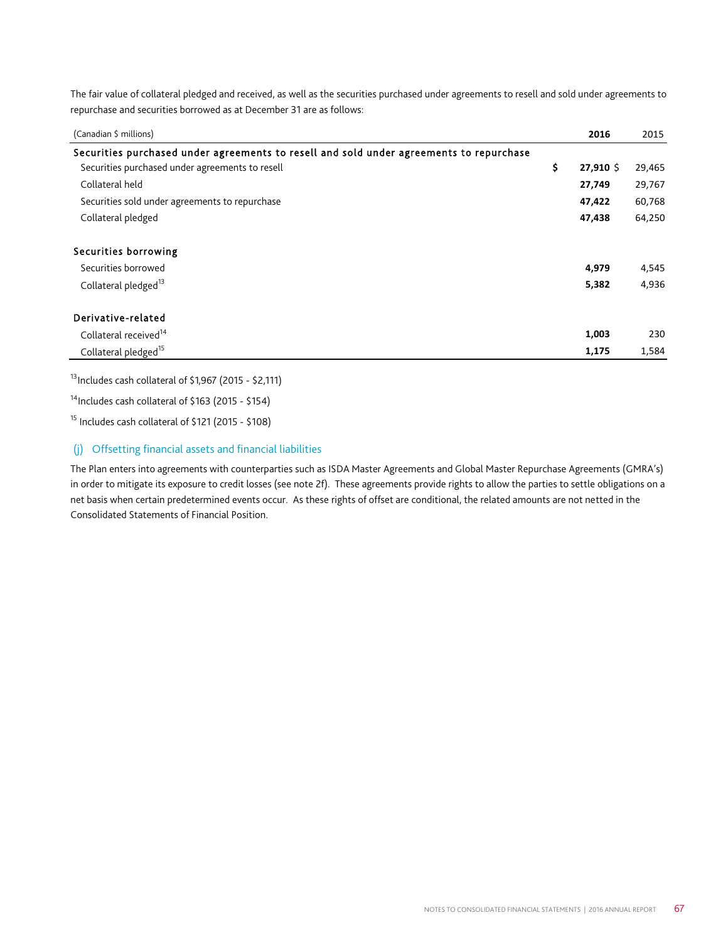The fair value of collateral pledged and received, as well as the securities purchased under agreements to resell and sold under agreements to repurchase and securities borrowed as at December 31 are as follows:

| (Canadian \$ millions)                                                                  | 2016                    | 2015   |
|-----------------------------------------------------------------------------------------|-------------------------|--------|
| Securities purchased under agreements to resell and sold under agreements to repurchase |                         |        |
| Securities purchased under agreements to resell                                         | \$<br>$27,910 \text{ }$ | 29,465 |
| Collateral held                                                                         | 27,749                  | 29,767 |
| Securities sold under agreements to repurchase                                          | 47,422                  | 60,768 |
| Collateral pledged                                                                      | 47,438                  | 64,250 |
| Securities borrowing                                                                    |                         |        |
| Securities borrowed                                                                     | 4,979                   | 4,545  |
| Collateral pledged <sup>13</sup>                                                        | 5,382                   | 4,936  |
| Derivative-related                                                                      |                         |        |
| Collateral received <sup>14</sup>                                                       | 1,003                   | 230    |
| Collateral pledged <sup>15</sup>                                                        | 1,175                   | 1,584  |

 $13$ Includes cash collateral of \$1,967 (2015 - \$2,111)

<sup>14</sup>Includes cash collateral of \$163 (2015 - \$154)

15 Includes cash collateral of \$121 (2015 - \$108)

#### (j) Offsetting financial assets and financial liabilities

The Plan enters into agreements with counterparties such as ISDA Master Agreements and Global Master Repurchase Agreements (GMRA's) in order to mitigate its exposure to credit losses (see note 2f). These agreements provide rights to allow the parties to settle obligations on a net basis when certain predetermined events occur. As these rights of offset are conditional, the related amounts are not netted in the Consolidated Statements of Financial Position.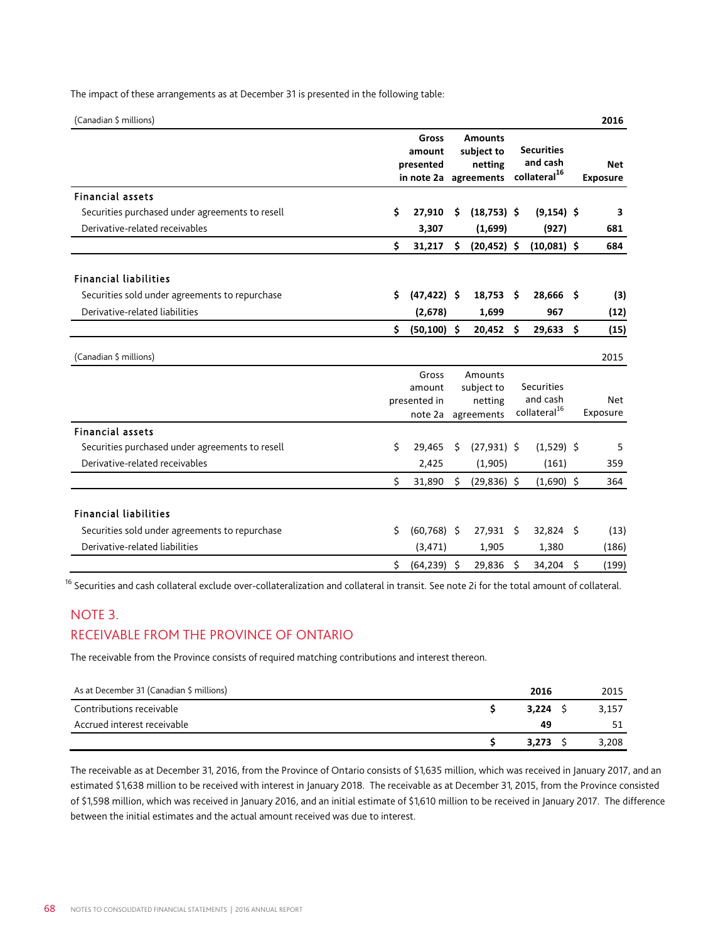| (Canadian \$ millions)                          |    |                |    |                       |                                      | 2016            |
|-------------------------------------------------|----|----------------|----|-----------------------|--------------------------------------|-----------------|
|                                                 |    | Gross          |    | <b>Amounts</b>        |                                      |                 |
|                                                 |    | amount         |    | subject to            | <b>Securities</b>                    |                 |
|                                                 |    | presented      |    | netting               | and cash<br>collateral <sup>16</sup> | <b>Net</b>      |
|                                                 |    |                |    | in note 2a agreements |                                      | <b>Exposure</b> |
| <b>Financial assets</b>                         |    |                |    |                       |                                      |                 |
| Securities purchased under agreements to resell | Ś. | 27,910         | \$ | $(18, 753)$ \$        | $(9, 154)$ \$                        | з               |
| Derivative-related receivables                  |    | 3,307          |    | (1,699)               | (927)                                | 681             |
|                                                 | \$ | 31,217         | \$ | $(20, 452)$ \$        | $(10,081)$ \$                        | 684             |
| <b>Financial liabilities</b>                    |    |                |    |                       |                                      |                 |
| Securities sold under agreements to repurchase  | \$ | $(47, 422)$ \$ |    | $18,753$ \$           | 28,666 \$                            | (3)             |
| Derivative-related liabilities                  |    | (2,678)        |    | 1,699                 | 967                                  | (12)            |
|                                                 | \$ | (50, 100)      | \$ | 20,452                | \$<br>29,633                         | \$<br>(15)      |
| (Canadian \$ millions)                          |    |                |    |                       |                                      | 2015            |
|                                                 |    | Gross          |    | Amounts               |                                      |                 |
|                                                 |    | amount         |    | subject to            | <b>Securities</b>                    |                 |
|                                                 |    | presented in   |    | netting               | and cash<br>collateral <sup>16</sup> | <b>Net</b>      |
|                                                 |    | note 2a        |    | agreements            |                                      | Exposure        |
| <b>Financial assets</b>                         |    |                |    |                       |                                      |                 |
| Securities purchased under agreements to resell | Ś. | 29,465         | Ś. | $(27,931)$ \$         | $(1,529)$ \$                         | 5               |
| Derivative-related receivables                  |    | 2,425          |    | (1,905)               | (161)                                | 359             |
|                                                 | \$ | 31,890         | \$ | $(29,836)$ \$         | $(1,690)$ \$                         | 364             |
| <b>Financial liabilities</b>                    |    |                |    |                       |                                      |                 |
| Securities sold under agreements to repurchase  | \$ | $(60, 768)$ \$ |    | $27,931$ \$           | $32,824$ \$                          | (13)            |
| Derivative-related liabilities                  |    | (3, 471)       |    | 1,905                 | 1,380                                | (186)           |
|                                                 | \$ | $(64, 239)$ \$ |    | 29,836                | \$<br>34,204                         | \$<br>(199)     |

The impact of these arrangements as at December 31 is presented in the following table:

<sup>16</sup> Securities and cash collateral exclude over-collateralization and collateral in transit. See note 2i for the total amount of collateral.

# NOTE 3.

# RECEIVABLE FROM THE PROVINCE OF ONTARIO

The receivable from the Province consists of required matching contributions and interest thereon.

| As at December 31 (Canadian \$ millions) | 2016  | 2015  |
|------------------------------------------|-------|-------|
| Contributions receivable                 | 3.224 | 3,157 |
| Accrued interest receivable              | 49    |       |
|                                          | 3.273 | 3,208 |

The receivable as at December 31, 2016, from the Province of Ontario consists of \$1,635 million, which was received in January 2017, and an estimated \$1,638 million to be received with interest in January 2018. The receivable as at December 31, 2015, from the Province consisted of \$1,598 million, which was received in January 2016, and an initial estimate of \$1,610 million to be received in January 2017. The difference between the initial estimates and the actual amount received was due to interest.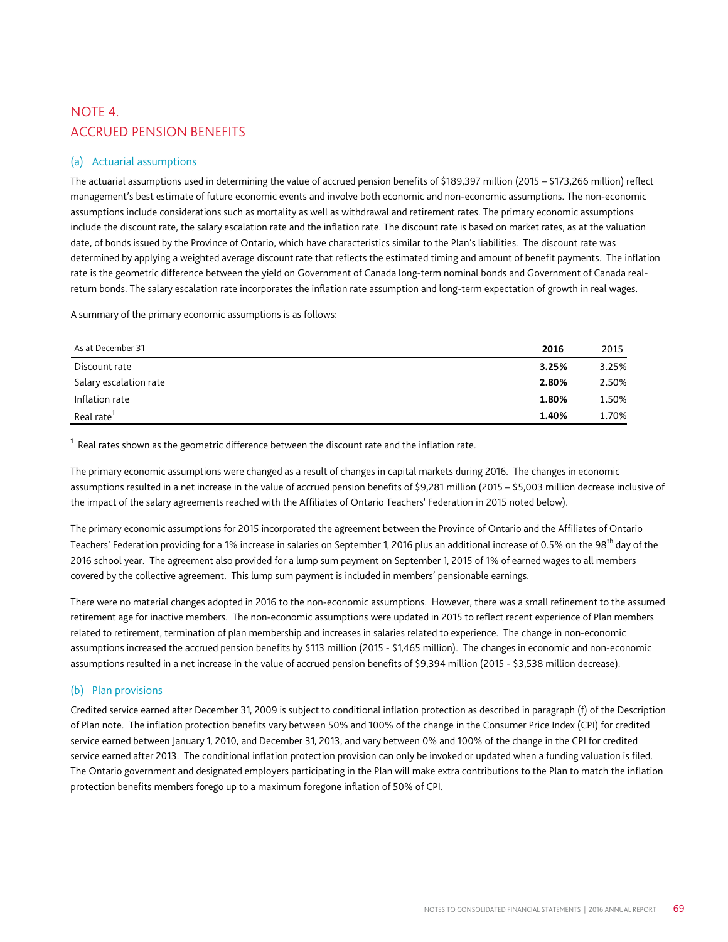# NOTE 4. ACCRUED PENSION BENEFITS

# (a) Actuarial assumptions

The actuarial assumptions used in determining the value of accrued pension benefits of \$189,397 million (2015 – \$173,266 million) reflect management's best estimate of future economic events and involve both economic and non-economic assumptions. The non-economic assumptions include considerations such as mortality as well as withdrawal and retirement rates. The primary economic assumptions include the discount rate, the salary escalation rate and the inflation rate. The discount rate is based on market rates, as at the valuation date, of bonds issued by the Province of Ontario, which have characteristics similar to the Plan's liabilities. The discount rate was determined by applying a weighted average discount rate that reflects the estimated timing and amount of benefit payments. The inflation rate is the geometric difference between the yield on Government of Canada long-term nominal bonds and Government of Canada realreturn bonds. The salary escalation rate incorporates the inflation rate assumption and long-term expectation of growth in real wages.

A summary of the primary economic assumptions is as follows:

| As at December 31      | 2016  | 2015  |
|------------------------|-------|-------|
| Discount rate          | 3.25% | 3.25% |
| Salary escalation rate | 2.80% | 2.50% |
| Inflation rate         | 1.80% | 1.50% |
| Real rate <sup>1</sup> | 1.40% | 1.70% |

 $1$  Real rates shown as the geometric difference between the discount rate and the inflation rate.

The primary economic assumptions were changed as a result of changes in capital markets during 2016. The changes in economic assumptions resulted in a net increase in the value of accrued pension benefits of \$9,281 million (2015 – \$5,003 million decrease inclusive of the impact of the salary agreements reached with the Affiliates of Ontario Teachers' Federation in 2015 noted below).

The primary economic assumptions for 2015 incorporated the agreement between the Province of Ontario and the Affiliates of Ontario Teachers' Federation providing for a 1% increase in salaries on September 1, 2016 plus an additional increase of 0.5% on the 98<sup>th</sup> day of the 2016 school year. The agreement also provided for a lump sum payment on September 1, 2015 of 1% of earned wages to all members covered by the collective agreement. This lump sum payment is included in members' pensionable earnings.

There were no material changes adopted in 2016 to the non-economic assumptions. However, there was a small refinement to the assumed retirement age for inactive members. The non-economic assumptions were updated in 2015 to reflect recent experience of Plan members related to retirement, termination of plan membership and increases in salaries related to experience. The change in non-economic assumptions increased the accrued pension benefits by \$113 million (2015 - \$1,465 million). The changes in economic and non-economic assumptions resulted in a net increase in the value of accrued pension benefits of \$9,394 million (2015 - \$3,538 million decrease).

# (b) Plan provisions

Credited service earned after December 31, 2009 is subject to conditional inflation protection as described in paragraph (f) of the Description of Plan note. The inflation protection benefits vary between 50% and 100% of the change in the Consumer Price Index (CPI) for credited service earned between January 1, 2010, and December 31, 2013, and vary between 0% and 100% of the change in the CPI for credited service earned after 2013. The conditional inflation protection provision can only be invoked or updated when a funding valuation is filed. The Ontario government and designated employers participating in the Plan will make extra contributions to the Plan to match the inflation protection benefits members forego up to a maximum foregone inflation of 50% of CPI.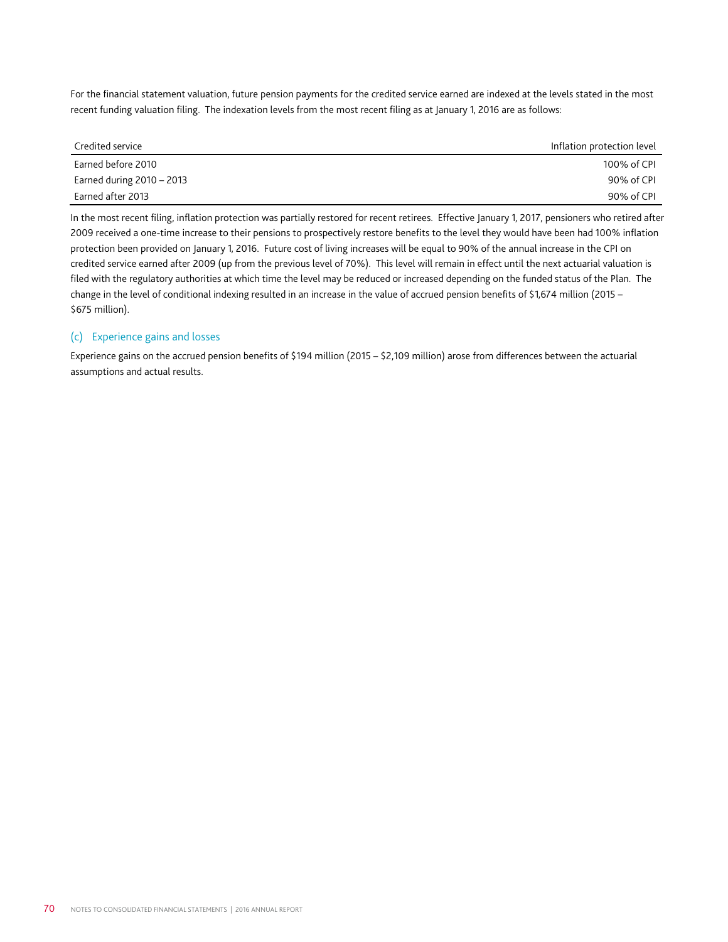For the financial statement valuation, future pension payments for the credited service earned are indexed at the levels stated in the most recent funding valuation filing. The indexation levels from the most recent filing as at January 1, 2016 are as follows:

| Credited service            | Inflation protection level |
|-----------------------------|----------------------------|
| Earned before 2010          | 100% of CPI                |
| Earned during $2010 - 2013$ | 90% of CPI                 |
| Earned after 2013           | 90% of CPI                 |

In the most recent filing, inflation protection was partially restored for recent retirees. Effective January 1, 2017, pensioners who retired after 2009 received a one-time increase to their pensions to prospectively restore benefits to the level they would have been had 100% inflation protection been provided on January 1, 2016. Future cost of living increases will be equal to 90% of the annual increase in the CPI on credited service earned after 2009 (up from the previous level of 70%). This level will remain in effect until the next actuarial valuation is filed with the regulatory authorities at which time the level may be reduced or increased depending on the funded status of the Plan. The change in the level of conditional indexing resulted in an increase in the value of accrued pension benefits of \$1,674 million (2015 – \$675 million).

#### (c) Experience gains and losses

Experience gains on the accrued pension benefits of \$194 million (2015 – \$2,109 million) arose from differences between the actuarial assumptions and actual results.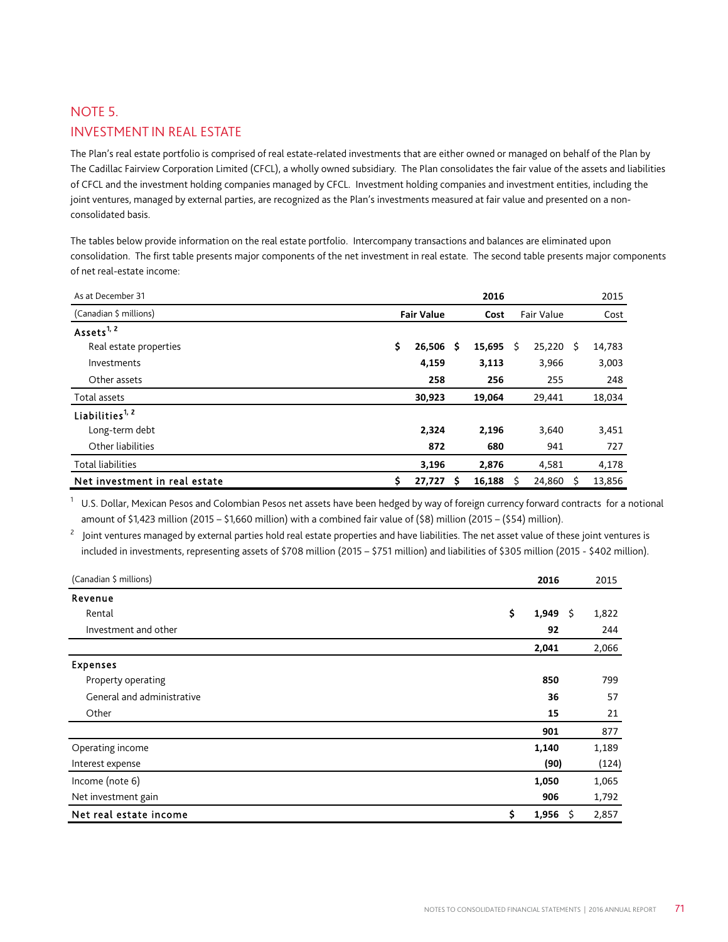# NOTE 5. INVESTMENT IN REAL ESTATE

The Plan's real estate portfolio is comprised of real estate-related investments that are either owned or managed on behalf of the Plan by The Cadillac Fairview Corporation Limited (CFCL), a wholly owned subsidiary. The Plan consolidates the fair value of the assets and liabilities of CFCL and the investment holding companies managed by CFCL. Investment holding companies and investment entities, including the joint ventures, managed by external parties, are recognized as the Plan's investments measured at fair value and presented on a nonconsolidated basis.

The tables below provide information on the real estate portfolio. Intercompany transactions and balances are eliminated upon consolidation. The first table presents major components of the net investment in real estate. The second table presents major components of net real-estate income:

| As at December 31             |                   | 2016         |                   | 2015         |
|-------------------------------|-------------------|--------------|-------------------|--------------|
| (Canadian \$ millions)        | <b>Fair Value</b> | Cost         | <b>Fair Value</b> | Cost         |
| Assets <sup>1, 2</sup>        |                   |              |                   |              |
| Real estate properties        | \$<br>26,506      | 15,695<br>\$ | 25,220<br>\$      | \$<br>14,783 |
| Investments                   | 4,159             | 3,113        | 3,966             | 3,003        |
| Other assets                  | 258               | 256          | 255               | 248          |
| Total assets                  | 30,923            | 19,064       | 29,441            | 18,034       |
| Liabilities <sup>1, 2</sup>   |                   |              |                   |              |
| Long-term debt                | 2,324             | 2,196        | 3,640             | 3,451        |
| Other liabilities             | 872               | 680          | 941               | 727          |
| <b>Total liabilities</b>      | 3,196             | 2,876        | 4,581             | 4,178        |
| Net investment in real estate | \$<br>27,727      | 16,188<br>S  | 24,860<br>S       | 13,856<br>S  |

 $1$  U.S. Dollar, Mexican Pesos and Colombian Pesos net assets have been hedged by way of foreign currency forward contracts for a notional amount of \$1,423 million (2015 – \$1,660 million) with a combined fair value of (\$8) million (2015 – (\$54) million).

<sup>2</sup> Joint ventures managed by external parties hold real estate properties and have liabilities. The net asset value of these joint ventures is included in investments, representing assets of \$708 million (2015 – \$751 million) and liabilities of \$305 million (2015 - \$402 million).

| (Canadian \$ millions)     | 2016        | 2015        |
|----------------------------|-------------|-------------|
| Revenue                    |             |             |
| Rental                     | \$<br>1,949 | \$<br>1,822 |
| Investment and other       | 92          | 244         |
|                            | 2,041       | 2,066       |
| <b>Expenses</b>            |             |             |
| Property operating         | 850         | 799         |
| General and administrative | 36          | 57          |
| Other                      | 15          | 21          |
|                            | 901         | 877         |
| Operating income           | 1,140       | 1,189       |
| Interest expense           | (90)        | (124)       |
| Income (note 6)            | 1,050       | 1,065       |
| Net investment gain        | 906         | 1,792       |
| Net real estate income     | \$<br>1,956 | 2,857<br>S  |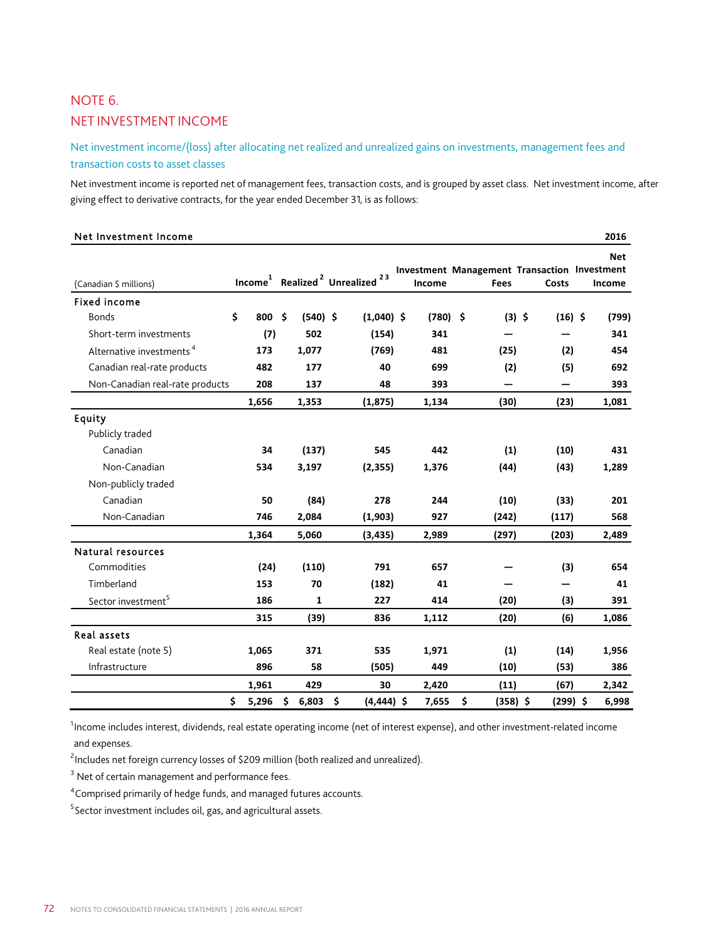# NOTE 6. NET INVESTMENT INCOME

Net investment income/(loss) after allocating net realized and unrealized gains on investments, management fees and transaction costs to asset classes

Net investment income is reported net of management fees, transaction costs, and is grouped by asset class. Net investment income, after giving effect to derivative contracts, for the year ended December 31, is as follows:

| Net Investment Income                |             |        |              |                                                                    |            |                  |                                                              | 2016                 |
|--------------------------------------|-------------|--------|--------------|--------------------------------------------------------------------|------------|------------------|--------------------------------------------------------------|----------------------|
| (Canadian \$ millions)               |             |        |              | Income <sup>1</sup> Realized <sup>2</sup> Unrealized <sup>23</sup> | Income     | Fees             | <b>Investment Management Transaction Investment</b><br>Costs | <b>Net</b><br>Income |
| <b>Fixed income</b>                  |             |        |              |                                                                    |            |                  |                                                              |                      |
| <b>Bonds</b>                         | \$          | 800 \$ | $(540)$ \$   | $(1,040)$ \$                                                       | $(780)$ \$ | $(3)$ \$         | $(16)$ \$                                                    | (799)                |
| Short-term investments               |             | (7)    | 502          | (154)                                                              | 341        |                  |                                                              | 341                  |
| Alternative investments <sup>4</sup> | 173         |        | 1,077        | (769)                                                              | 481        | (25)             | (2)                                                          | 454                  |
| Canadian real-rate products          | 482         |        | 177          | 40                                                                 | 699        | (2)              | (5)                                                          | 692                  |
| Non-Canadian real-rate products      | 208         |        | 137          | 48                                                                 | 393        |                  |                                                              | 393                  |
|                                      | 1,656       |        | 1,353        | (1,875)                                                            | 1,134      | (30)             | (23)                                                         | 1,081                |
| Equity                               |             |        |              |                                                                    |            |                  |                                                              |                      |
| Publicly traded                      |             |        |              |                                                                    |            |                  |                                                              |                      |
| Canadian                             |             | 34     | (137)        | 545                                                                | 442        | (1)              | (10)                                                         | 431                  |
| Non-Canadian                         | 534         |        | 3,197        | (2, 355)                                                           | 1,376      | (44)             | (43)                                                         | 1,289                |
| Non-publicly traded                  |             |        |              |                                                                    |            |                  |                                                              |                      |
| Canadian                             |             | 50     | (84)         | 278                                                                | 244        | (10)             | (33)                                                         | 201                  |
| Non-Canadian                         | 746         |        | 2,084        | (1,903)                                                            | 927        | (242)            | (117)                                                        | 568                  |
|                                      | 1,364       |        | 5,060        | (3, 435)                                                           | 2,989      | (297)            | (203)                                                        | 2,489                |
| Natural resources                    |             |        |              |                                                                    |            |                  |                                                              |                      |
| Commodities                          |             | (24)   | (110)        | 791                                                                | 657        |                  | (3)                                                          | 654                  |
| Timberland                           | 153         |        | 70           | (182)                                                              | 41         |                  |                                                              | 41                   |
| Sector investment <sup>5</sup>       | 186         |        | $\mathbf{1}$ | 227                                                                | 414        | (20)             | (3)                                                          | 391                  |
|                                      | 315         |        | (39)         | 836                                                                | 1,112      | (20)             | (6)                                                          | 1,086                |
| <b>Real assets</b>                   |             |        |              |                                                                    |            |                  |                                                              |                      |
| Real estate (note 5)                 | 1,065       |        | 371          | 535                                                                | 1,971      | (1)              | (14)                                                         | 1,956                |
| Infrastructure                       | 896         |        | 58           | (505)                                                              | 449        | (10)             | (53)                                                         | 386                  |
|                                      | 1,961       |        | 429          | 30                                                                 | 2,420      | (11)             | (67)                                                         | 2,342                |
|                                      | \$<br>5,296 |        | 6,803<br>\$  | \$<br>$(4, 444)$ \$                                                | 7,655      | \$<br>$(358)$ \$ | $(299)$ \$                                                   | 6,998                |

<sup>1</sup>Income includes interest, dividends, real estate operating income (net of interest expense), and other investment-related income and expenses.

 $^{\mathsf{2}}$ Includes net foreign currency losses of \$209 million (both realized and unrealized).

<sup>3</sup> Net of certain management and performance fees.

<sup>4</sup> Comprised primarily of hedge funds, and managed futures accounts.

<sup>5</sup> Sector investment includes oil, gas, and agricultural assets.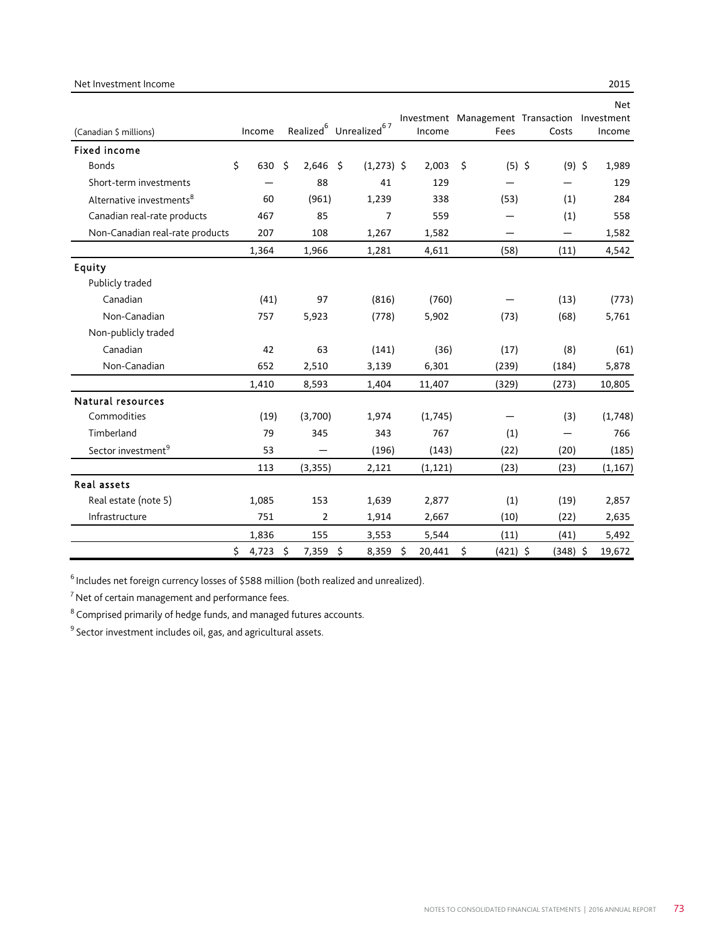#### Net Investment Income

| ł<br>×<br>٠ | ۰.<br>× |
|-------------|---------|

|                                      |             |             |                     |                                                |    |          |                  |                                            | <b>Net</b>           |
|--------------------------------------|-------------|-------------|---------------------|------------------------------------------------|----|----------|------------------|--------------------------------------------|----------------------|
| (Canadian \$ millions)               | Income      |             |                     | Realized <sup>6</sup> Unrealized <sup>67</sup> |    | Income   | Fees             | Investment Management Transaction<br>Costs | Investment<br>Income |
| <b>Fixed income</b>                  |             |             |                     |                                                |    |          |                  |                                            |                      |
| <b>Bonds</b>                         | \$<br>630   | \$<br>2,646 | $\ddot{\mathsf{S}}$ | $(1,273)$ \$                                   |    | 2,003    | \$<br>$(5)$ \$   | $(9)$ \$                                   | 1,989                |
| Short-term investments               |             |             | 88                  | 41                                             |    | 129      |                  |                                            | 129                  |
| Alternative investments <sup>8</sup> | 60          | (961)       |                     | 1,239                                          |    | 338      | (53)             | (1)                                        | 284                  |
| Canadian real-rate products          | 467         |             | 85                  | 7                                              |    | 559      |                  | (1)                                        | 558                  |
| Non-Canadian real-rate products      | 207         | 108         |                     | 1,267                                          |    | 1,582    |                  | $\overline{\phantom{0}}$                   | 1,582                |
|                                      | 1,364       | 1,966       |                     | 1,281                                          |    | 4,611    | (58)             | (11)                                       | 4,542                |
| Equity                               |             |             |                     |                                                |    |          |                  |                                            |                      |
| Publicly traded                      |             |             |                     |                                                |    |          |                  |                                            |                      |
| Canadian                             | (41)        |             | 97                  | (816)                                          |    | (760)    |                  | (13)                                       | (773)                |
| Non-Canadian                         | 757         | 5,923       |                     | (778)                                          |    | 5,902    | (73)             | (68)                                       | 5,761                |
| Non-publicly traded                  |             |             |                     |                                                |    |          |                  |                                            |                      |
| Canadian                             | 42          |             | 63                  | (141)                                          |    | (36)     | (17)             | (8)                                        | (61)                 |
| Non-Canadian                         | 652         | 2,510       |                     | 3,139                                          |    | 6,301    | (239)            | (184)                                      | 5,878                |
|                                      | 1,410       | 8,593       |                     | 1,404                                          |    | 11,407   | (329)            | (273)                                      | 10,805               |
| Natural resources                    |             |             |                     |                                                |    |          |                  |                                            |                      |
| Commodities                          | (19)        | (3,700)     |                     | 1,974                                          |    | (1,745)  |                  | (3)                                        | (1,748)              |
| Timberland                           | 79          | 345         |                     | 343                                            |    | 767      | (1)              |                                            | 766                  |
| Sector investment <sup>9</sup>       | 53          |             |                     | (196)                                          |    | (143)    | (22)             | (20)                                       | (185)                |
|                                      | 113         | (3, 355)    |                     | 2,121                                          |    | (1, 121) | (23)             | (23)                                       | (1, 167)             |
| Real assets                          |             |             |                     |                                                |    |          |                  |                                            |                      |
| Real estate (note 5)                 | 1,085       | 153         |                     | 1,639                                          |    | 2,877    | (1)              | (19)                                       | 2,857                |
| Infrastructure                       | 751         |             | 2                   | 1,914                                          |    | 2,667    | (10)             | (22)                                       | 2,635                |
|                                      | 1,836       | 155         |                     | 3,553                                          |    | 5,544    | (11)             | (41)                                       | 5,492                |
|                                      | \$<br>4,723 | \$<br>7,359 |                     | $\zeta$<br>8,359                               | S. | 20,441   | \$<br>$(421)$ \$ | $(348)$ \$                                 | 19,672               |

 $^6$  Includes net foreign currency losses of \$588 million (both realized and unrealized).

 $<sup>7</sup>$  Net of certain management and performance fees.</sup>

8 Comprised primarily of hedge funds, and managed futures accounts.

<sup>9</sup> Sector investment includes oil, gas, and agricultural assets.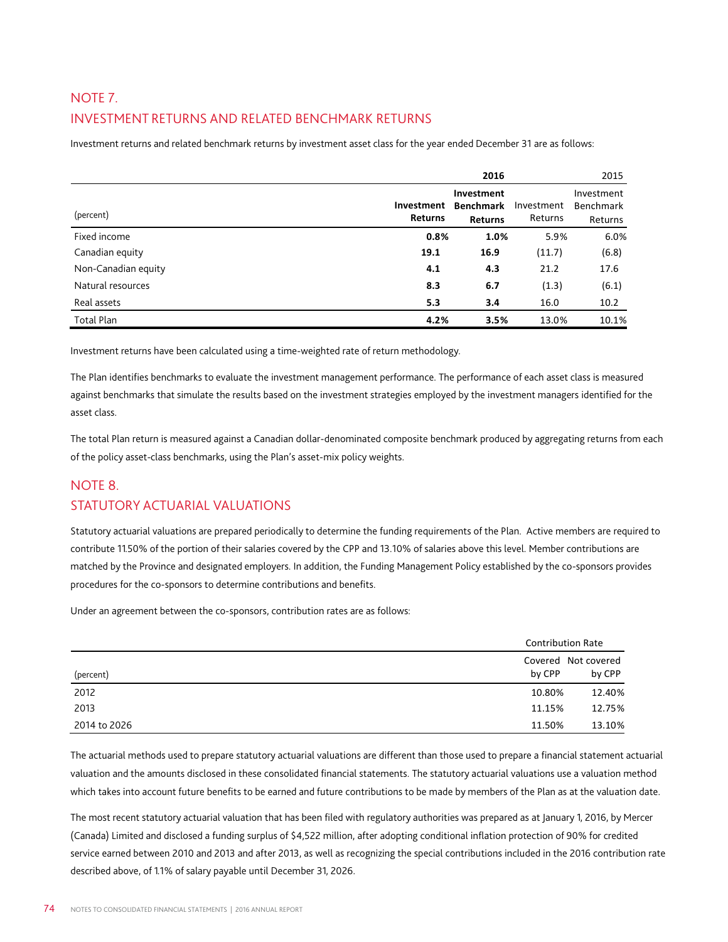# NOTE 7. INVESTMENT RETURNS AND RELATED BENCHMARK RETURNS

Investment returns and related benchmark returns by investment asset class for the year ended December 31 are as follows:

|                     |                              | 2016                                             |                       | 2015                                      |
|---------------------|------------------------------|--------------------------------------------------|-----------------------|-------------------------------------------|
| (percent)           | Investment<br><b>Returns</b> | Investment<br><b>Benchmark</b><br><b>Returns</b> | Investment<br>Returns | Investment<br><b>Benchmark</b><br>Returns |
| Fixed income        | 0.8%                         | 1.0%                                             | 5.9%                  | 6.0%                                      |
| Canadian equity     | 19.1                         | 16.9                                             | (11.7)                | (6.8)                                     |
| Non-Canadian equity | 4.1                          | 4.3                                              | 21.2                  | 17.6                                      |
| Natural resources   | 8.3                          | 6.7                                              | (1.3)                 | (6.1)                                     |
| Real assets         | 5.3                          | 3.4                                              | 16.0                  | 10.2                                      |
| <b>Total Plan</b>   | 4.2%                         | 3.5%                                             | 13.0%                 | 10.1%                                     |

Investment returns have been calculated using a time-weighted rate of return methodology.

The Plan identifies benchmarks to evaluate the investment management performance. The performance of each asset class is measured against benchmarks that simulate the results based on the investment strategies employed by the investment managers identified for the asset class.

The total Plan return is measured against a Canadian dollar-denominated composite benchmark produced by aggregating returns from each of the policy asset-class benchmarks, using the Plan's asset-mix policy weights.

# NOTE 8.

# STATUTORY ACTUARIAL VALUATIONS

Statutory actuarial valuations are prepared periodically to determine the funding requirements of the Plan. Active members are required to contribute 11.50% of the portion of their salaries covered by the CPP and 13.10% of salaries above this level. Member contributions are matched by the Province and designated employers. In addition, the Funding Management Policy established by the co-sponsors provides procedures for the co-sponsors to determine contributions and benefits.

Under an agreement between the co-sponsors, contribution rates are as follows:

|              |        | <b>Contribution Rate</b>      |  |  |  |  |
|--------------|--------|-------------------------------|--|--|--|--|
| (percent)    | by CPP | Covered Not covered<br>by CPP |  |  |  |  |
| 2012         | 10.80% | 12.40%                        |  |  |  |  |
| 2013         | 11.15% | 12.75%                        |  |  |  |  |
| 2014 to 2026 | 11.50% | 13.10%                        |  |  |  |  |

The actuarial methods used to prepare statutory actuarial valuations are different than those used to prepare a financial statement actuarial valuation and the amounts disclosed in these consolidated financial statements. The statutory actuarial valuations use a valuation method which takes into account future benefits to be earned and future contributions to be made by members of the Plan as at the valuation date.

The most recent statutory actuarial valuation that has been filed with regulatory authorities was prepared as at January 1, 2016, by Mercer (Canada) Limited and disclosed a funding surplus of \$4,522 million, after adopting conditional inflation protection of 90% for credited service earned between 2010 and 2013 and after 2013, as well as recognizing the special contributions included in the 2016 contribution rate described above, of 1.1% of salary payable until December 31, 2026.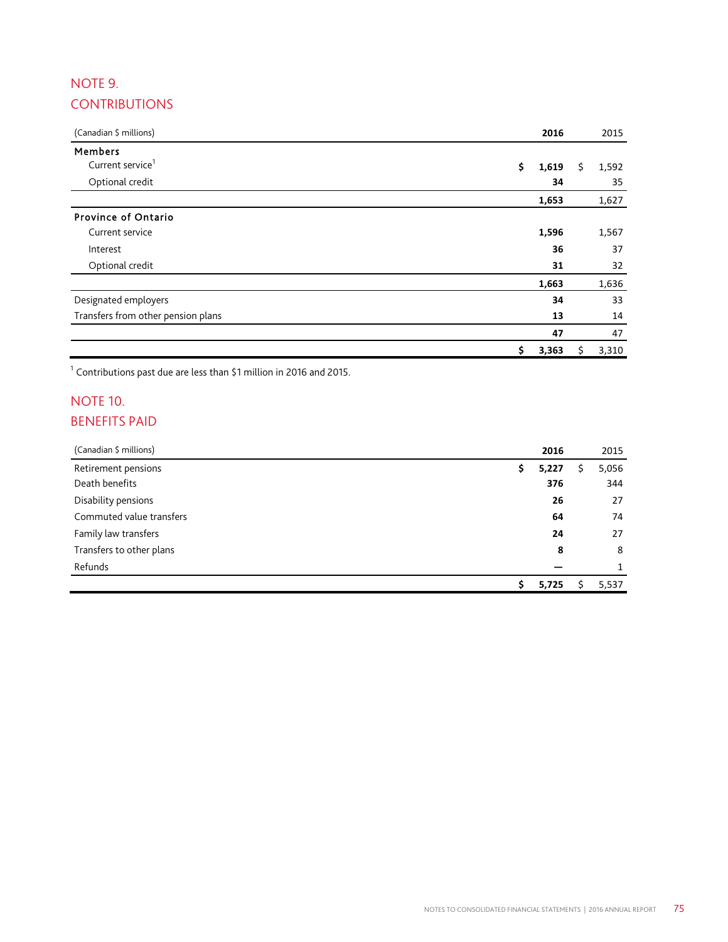# NOTE 9. **CONTRIBUTIONS**

| (Canadian \$ millions)             | 2016        | 2015        |
|------------------------------------|-------------|-------------|
| Members                            |             |             |
| Current service <sup>1</sup>       | \$<br>1,619 | \$<br>1,592 |
| Optional credit                    | 34          | 35          |
|                                    | 1,653       | 1,627       |
| <b>Province of Ontario</b>         |             |             |
| Current service                    | 1,596       | 1,567       |
| Interest                           | 36          | 37          |
| Optional credit                    | 31          | 32          |
|                                    | 1,663       | 1,636       |
| Designated employers               | 34          | 33          |
| Transfers from other pension plans | 13          | 14          |
|                                    | 47          | 47          |
|                                    | \$<br>3,363 | 3,310<br>\$ |

 $1$  Contributions past due are less than \$1 million in 2016 and 2015.

# NOTE 10. BENEFITS PAID

| (Canadian \$ millions)   | 2016        |   | 2015  |
|--------------------------|-------------|---|-------|
| Retirement pensions      | \$<br>5,227 | S | 5,056 |
| Death benefits           | 376         |   | 344   |
| Disability pensions      | 26          |   | 27    |
| Commuted value transfers | 64          |   | 74    |
| Family law transfers     | 24          |   | 27    |
| Transfers to other plans | 8           |   | 8     |
| Refunds                  |             |   | 1     |
|                          | \$<br>5,725 |   | 5,537 |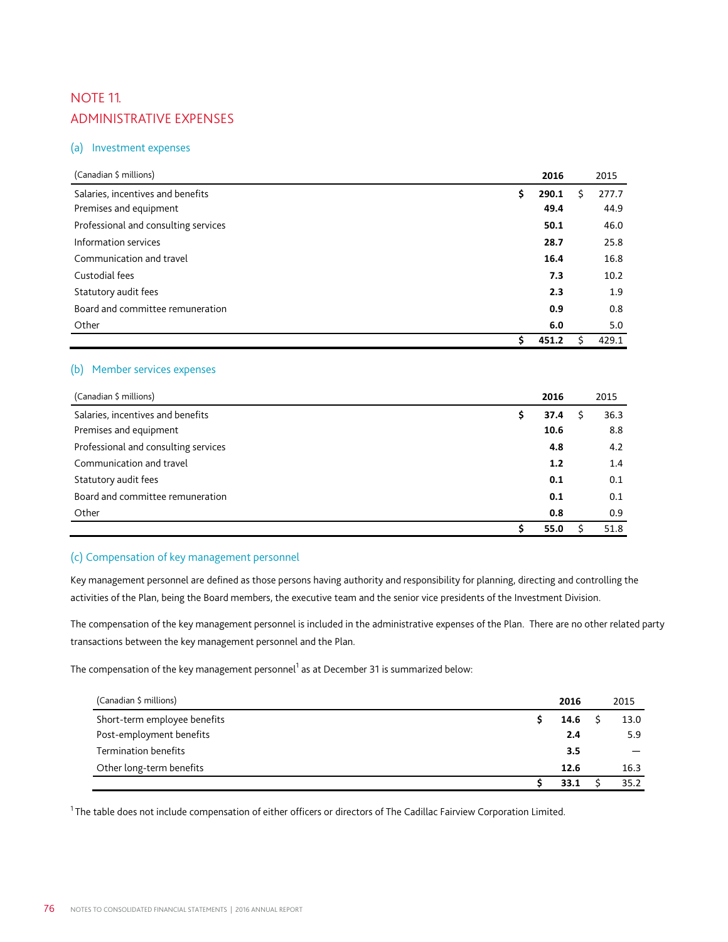# NOTE 11. ADMINISTRATIVE EXPENSES

#### (a) Investment expenses

| (Canadian \$ millions)               | 2016        |   | 2015  |
|--------------------------------------|-------------|---|-------|
| Salaries, incentives and benefits    | \$<br>290.1 | S | 277.7 |
| Premises and equipment               | 49.4        |   | 44.9  |
| Professional and consulting services | 50.1        |   | 46.0  |
| Information services                 | 28.7        |   | 25.8  |
| Communication and travel             | 16.4        |   | 16.8  |
| Custodial fees                       | 7.3         |   | 10.2  |
| Statutory audit fees                 | 2.3         |   | 1.9   |
| Board and committee remuneration     | 0.9         |   | 0.8   |
| Other                                | 6.0         |   | 5.0   |
|                                      | \$<br>451.2 | ς | 429.1 |

# (b) Member services expenses

| (Canadian \$ millions)               | 2016       | 2015 |
|--------------------------------------|------------|------|
| Salaries, incentives and benefits    | \$<br>37.4 | 36.3 |
| Premises and equipment               | 10.6       | 8.8  |
| Professional and consulting services | 4.8        | 4.2  |
| Communication and travel             | 1.2        | 1.4  |
| Statutory audit fees                 | 0.1        | 0.1  |
| Board and committee remuneration     | 0.1        | 0.1  |
| Other                                | 0.8        | 0.9  |
|                                      | 55.0       | 51.8 |

## (c) Compensation of key management personnel

Key management personnel are defined as those persons having authority and responsibility for planning, directing and controlling the activities of the Plan, being the Board members, the executive team and the senior vice presidents of the Investment Division.

The compensation of the key management personnel is included in the administrative expenses of the Plan. There are no other related party transactions between the key management personnel and the Plan.

The compensation of the key management personnel $^{\rm 1}$  as at December 31 is summarized below:

| (Canadian \$ millions)       | 2016 | 2015 |
|------------------------------|------|------|
| Short-term employee benefits | 14.6 | 13.0 |
| Post-employment benefits     | 2.4  | 5.9  |
| Termination benefits         | 3.5  |      |
| Other long-term benefits     | 12.6 | 16.3 |
|                              | 33.1 | 35.2 |

 $1$ The table does not include compensation of either officers or directors of The Cadillac Fairview Corporation Limited.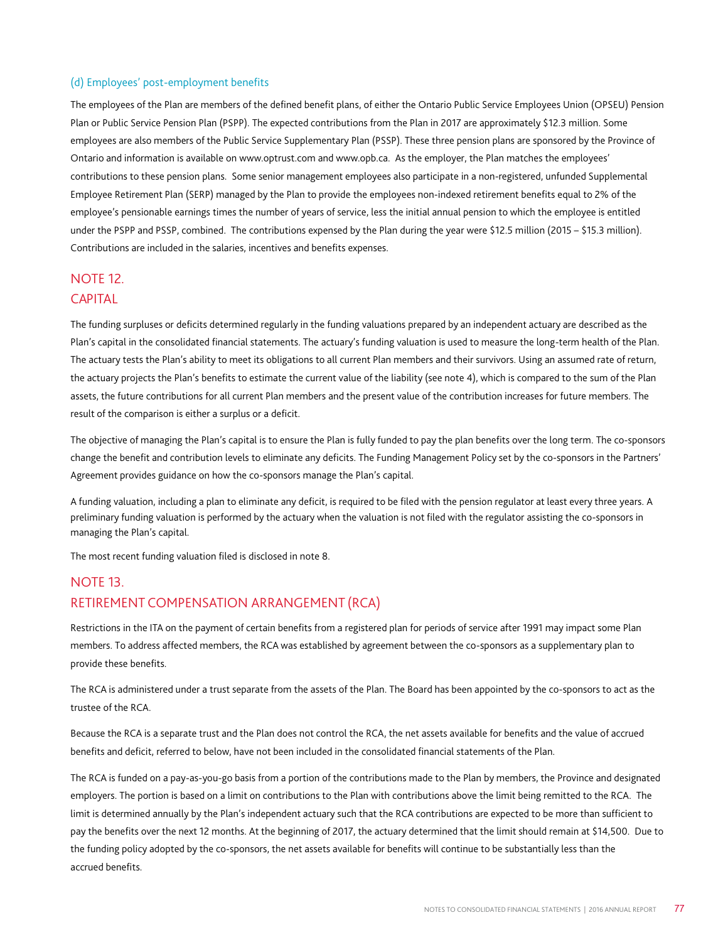#### (d) Employees' post-employment benefits

The employees of the Plan are members of the defined benefit plans, of either the Ontario Public Service Employees Union (OPSEU) Pension Plan or Public Service Pension Plan (PSPP). The expected contributions from the Plan in 2017 are approximately \$12.3 million. Some employees are also members of the Public Service Supplementary Plan (PSSP). These three pension plans are sponsored by the Province of Ontario and information is available on www.optrust.com and www.opb.ca. As the employer, the Plan matches the employees' contributions to these pension plans. Some senior management employees also participate in a non-registered, unfunded Supplemental Employee Retirement Plan (SERP) managed by the Plan to provide the employees non-indexed retirement benefits equal to 2% of the employee's pensionable earnings times the number of years of service, less the initial annual pension to which the employee is entitled under the PSPP and PSSP, combined. The contributions expensed by the Plan during the year were \$12.5 million (2015 – \$15.3 million). Contributions are included in the salaries, incentives and benefits expenses.

# NOTE 12. CAPITAL

The funding surpluses or deficits determined regularly in the funding valuations prepared by an independent actuary are described as the Plan's capital in the consolidated financial statements. The actuary's funding valuation is used to measure the long-term health of the Plan. The actuary tests the Plan's ability to meet its obligations to all current Plan members and their survivors. Using an assumed rate of return, the actuary projects the Plan's benefits to estimate the current value of the liability (see note 4), which is compared to the sum of the Plan assets, the future contributions for all current Plan members and the present value of the contribution increases for future members. The result of the comparison is either a surplus or a deficit.

The objective of managing the Plan's capital is to ensure the Plan is fully funded to pay the plan benefits over the long term. The co-sponsors change the benefit and contribution levels to eliminate any deficits. The Funding Management Policy set by the co-sponsors in the Partners' Agreement provides guidance on how the co-sponsors manage the Plan's capital.

A funding valuation, including a plan to eliminate any deficit, is required to be filed with the pension regulator at least every three years. A preliminary funding valuation is performed by the actuary when the valuation is not filed with the regulator assisting the co-sponsors in managing the Plan's capital.

The most recent funding valuation filed is disclosed in note 8.

# NOTE 13. RETIREMENT COMPENSATION ARRANGEMENT (RCA)

Restrictions in the ITA on the payment of certain benefits from a registered plan for periods of service after 1991 may impact some Plan members. To address affected members, the RCA was established by agreement between the co-sponsors as a supplementary plan to provide these benefits.

The RCA is administered under a trust separate from the assets of the Plan. The Board has been appointed by the co-sponsors to act as the trustee of the RCA.

Because the RCA is a separate trust and the Plan does not control the RCA, the net assets available for benefits and the value of accrued benefits and deficit, referred to below, have not been included in the consolidated financial statements of the Plan.

The RCA is funded on a pay-as-you-go basis from a portion of the contributions made to the Plan by members, the Province and designated employers. The portion is based on a limit on contributions to the Plan with contributions above the limit being remitted to the RCA. The limit is determined annually by the Plan's independent actuary such that the RCA contributions are expected to be more than sufficient to pay the benefits over the next 12 months. At the beginning of 2017, the actuary determined that the limit should remain at \$14,500. Due to the funding policy adopted by the co-sponsors, the net assets available for benefits will continue to be substantially less than the accrued benefits.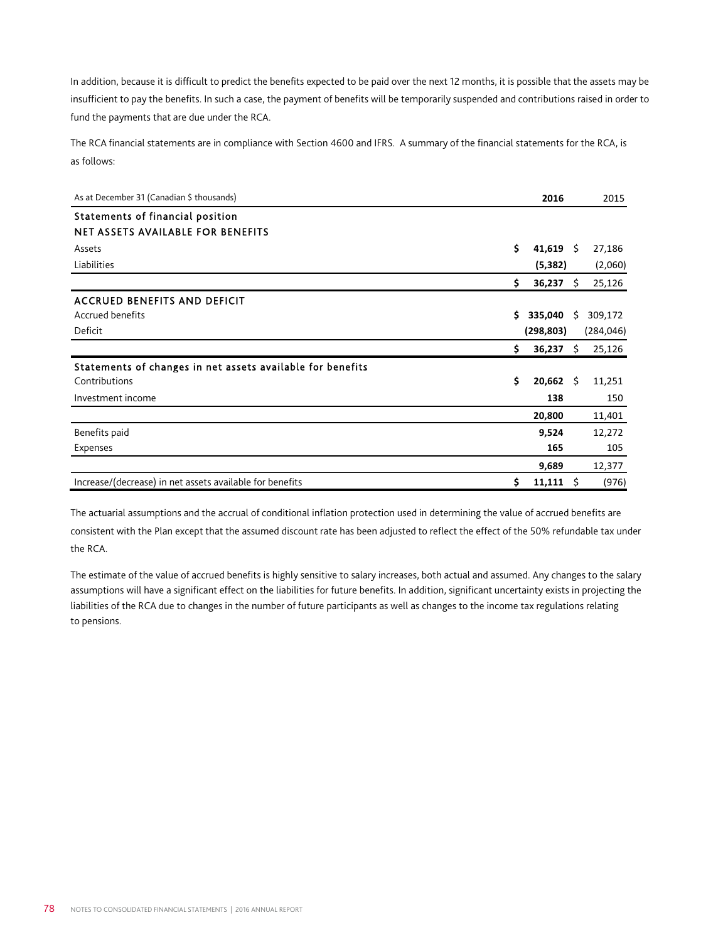In addition, because it is difficult to predict the benefits expected to be paid over the next 12 months, it is possible that the assets may be insufficient to pay the benefits. In such a case, the payment of benefits will be temporarily suspended and contributions raised in order to fund the payments that are due under the RCA.

The RCA financial statements are in compliance with Section 4600 and IFRS. A summary of the financial statements for the RCA, is as follows:

| As at December 31 (Canadian \$ thousands)                  | 2016                       |      | 2015       |
|------------------------------------------------------------|----------------------------|------|------------|
| Statements of financial position                           |                            |      |            |
| <b>NET ASSETS AVAILABLE FOR BENEFITS</b>                   |                            |      |            |
| Assets                                                     | \$<br>41,619 \$            |      | 27,186     |
| Liabilities                                                | (5,382)                    |      | (2,060)    |
|                                                            | \$<br>36,237               | S.   | 25,126     |
| <b>ACCRUED BENEFITS AND DEFICIT</b>                        |                            |      |            |
| Accrued benefits                                           | \$335,040                  | Ś.   | 309,172    |
| Deficit                                                    | (298, 803)                 |      | (284, 046) |
|                                                            | \$<br>36,237               | - \$ | 25,126     |
| Statements of changes in net assets available for benefits |                            |      |            |
| Contributions                                              | \$<br>$20,662 \quad \zeta$ |      | 11,251     |
| Investment income                                          | 138                        |      | 150        |
|                                                            | 20,800                     |      | 11,401     |
| Benefits paid                                              | 9,524                      |      | 12,272     |
| Expenses                                                   | 165                        |      | 105        |
|                                                            | 9,689                      |      | 12,377     |
| Increase/(decrease) in net assets available for benefits   | \$<br>11,111               | - \$ | (976)      |

The actuarial assumptions and the accrual of conditional inflation protection used in determining the value of accrued benefits are consistent with the Plan except that the assumed discount rate has been adjusted to reflect the effect of the 50% refundable tax under the RCA.

The estimate of the value of accrued benefits is highly sensitive to salary increases, both actual and assumed. Any changes to the salary assumptions will have a significant effect on the liabilities for future benefits. In addition, significant uncertainty exists in projecting the liabilities of the RCA due to changes in the number of future participants as well as changes to the income tax regulations relating to pensions.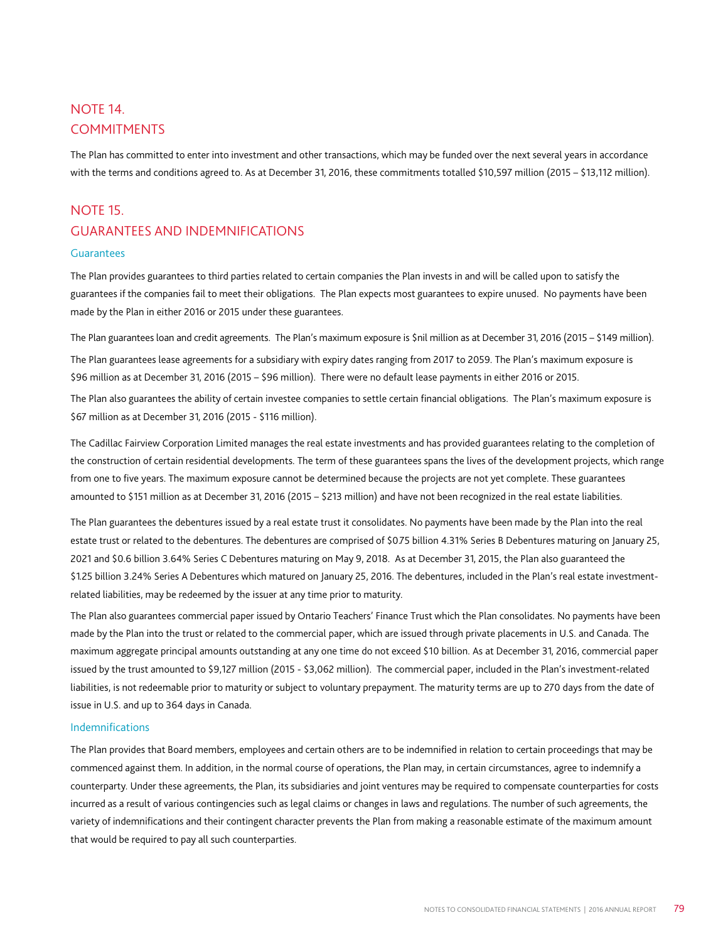# NOTE 14. COMMITMENTS

The Plan has committed to enter into investment and other transactions, which may be funded over the next several years in accordance with the terms and conditions agreed to. As at December 31, 2016, these commitments totalled \$10,597 million (2015 – \$13,112 million).

# NOTE 15. GUARANTEES AND INDEMNIFICATIONS

#### **Guarantees**

The Plan provides guarantees to third parties related to certain companies the Plan invests in and will be called upon to satisfy the guarantees if the companies fail to meet their obligations. The Plan expects most guarantees to expire unused. No payments have been made by the Plan in either 2016 or 2015 under these guarantees.

The Plan guarantees loan and credit agreements. The Plan's maximum exposure is \$nil million as at December 31, 2016 (2015 – \$149 million). The Plan guarantees lease agreements for a subsidiary with expiry dates ranging from 2017 to 2059. The Plan's maximum exposure is \$96 million as at December 31, 2016 (2015 – \$96 million). There were no default lease payments in either 2016 or 2015.

The Plan also guarantees the ability of certain investee companies to settle certain financial obligations. The Plan's maximum exposure is \$67 million as at December 31, 2016 (2015 - \$116 million).

The Cadillac Fairview Corporation Limited manages the real estate investments and has provided guarantees relating to the completion of the construction of certain residential developments. The term of these guarantees spans the lives of the development projects, which range from one to five years. The maximum exposure cannot be determined because the projects are not yet complete. These guarantees amounted to \$151 million as at December 31, 2016 (2015 – \$213 million) and have not been recognized in the real estate liabilities.

The Plan guarantees the debentures issued by a real estate trust it consolidates. No payments have been made by the Plan into the real estate trust or related to the debentures. The debentures are comprised of \$0.75 billion 4.31% Series B Debentures maturing on January 25, 2021 and \$0.6 billion 3.64% Series C Debentures maturing on May 9, 2018. As at December 31, 2015, the Plan also guaranteed the \$1.25 billion 3.24% Series A Debentures which matured on January 25, 2016. The debentures, included in the Plan's real estate investmentrelated liabilities, may be redeemed by the issuer at any time prior to maturity.

The Plan also guarantees commercial paper issued by Ontario Teachers' Finance Trust which the Plan consolidates. No payments have been made by the Plan into the trust or related to the commercial paper, which are issued through private placements in U.S. and Canada. The maximum aggregate principal amounts outstanding at any one time do not exceed \$10 billion. As at December 31, 2016, commercial paper issued by the trust amounted to \$9,127 million (2015 - \$3,062 million). The commercial paper, included in the Plan's investment-related liabilities, is not redeemable prior to maturity or subject to voluntary prepayment. The maturity terms are up to 270 days from the date of issue in U.S. and up to 364 days in Canada.

#### Indemnifications

The Plan provides that Board members, employees and certain others are to be indemnified in relation to certain proceedings that may be commenced against them. In addition, in the normal course of operations, the Plan may, in certain circumstances, agree to indemnify a counterparty. Under these agreements, the Plan, its subsidiaries and joint ventures may be required to compensate counterparties for costs incurred as a result of various contingencies such as legal claims or changes in laws and regulations. The number of such agreements, the variety of indemnifications and their contingent character prevents the Plan from making a reasonable estimate of the maximum amount that would be required to pay all such counterparties.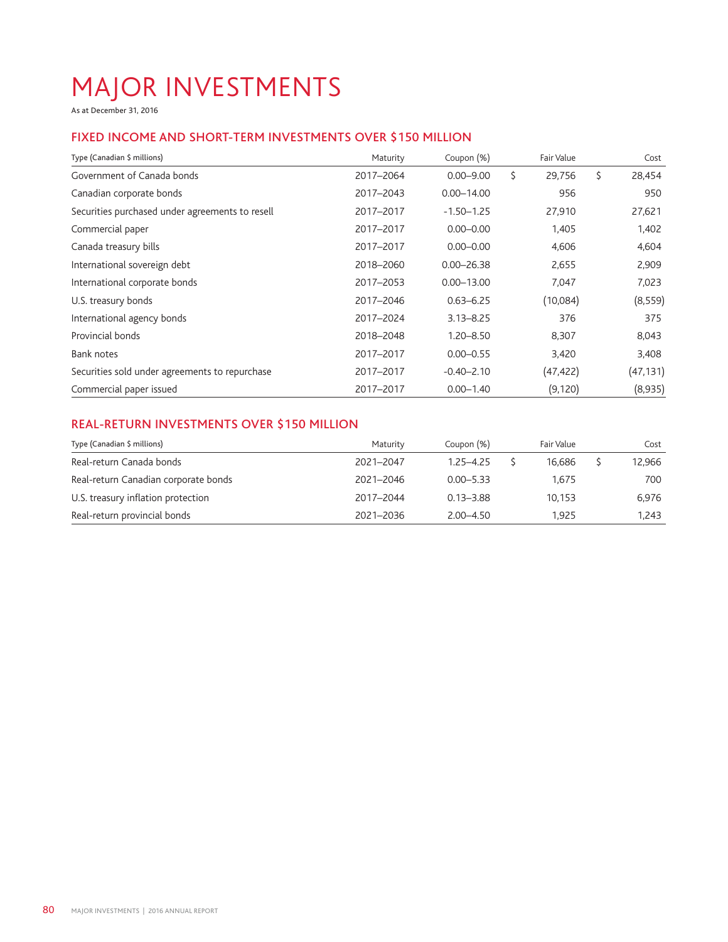# MAJOR INVESTMENTS

As at December 31, 2016

# FIXED INCOME AND SHORT-TERM INVESTMENTS OVER \$150 MILLION

| Type (Canadian \$ millions)                     | Maturity  | Coupon (%)     | Fair Value   | Cost         |
|-------------------------------------------------|-----------|----------------|--------------|--------------|
| Government of Canada bonds                      | 2017-2064 | $0.00 - 9.00$  | \$<br>29,756 | \$<br>28,454 |
| Canadian corporate bonds                        | 2017-2043 | $0.00 - 14.00$ | 956          | 950          |
| Securities purchased under agreements to resell | 2017-2017 | $-1.50 - 1.25$ | 27,910       | 27,621       |
| Commercial paper                                | 2017-2017 | $0.00 - 0.00$  | 1,405        | 1,402        |
| Canada treasury bills                           | 2017-2017 | $0.00 - 0.00$  | 4,606        | 4,604        |
| International sovereign debt                    | 2018-2060 | $0.00 - 26.38$ | 2,655        | 2,909        |
| International corporate bonds                   | 2017-2053 | $0.00 - 13.00$ | 7,047        | 7,023        |
| U.S. treasury bonds                             | 2017-2046 | $0.63 - 6.25$  | (10,084)     | (8, 559)     |
| International agency bonds                      | 2017-2024 | $3.13 - 8.25$  | 376          | 375          |
| Provincial bonds                                | 2018-2048 | $1.20 - 8.50$  | 8,307        | 8,043        |
| Bank notes                                      | 2017-2017 | $0.00 - 0.55$  | 3,420        | 3,408        |
| Securities sold under agreements to repurchase  | 2017-2017 | $-0.40 - 2.10$ | (47, 422)    | (47,131)     |
| Commercial paper issued                         | 2017-2017 | $0.00 - 1.40$  | (9, 120)     | (8,935)      |

# REAL-RETURN INVESTMENTS OVER \$150 MILLION

| Type (Canadian \$ millions)          | Maturity  | Coupon (%)    | Fair Value | Cost   |
|--------------------------------------|-----------|---------------|------------|--------|
| Real-return Canada bonds             | 2021-2047 | $1.25 - 4.25$ | 16.686     | 12.966 |
| Real-return Canadian corporate bonds | 2021-2046 | $0.00 - 5.33$ | 1.675      | 700    |
| U.S. treasury inflation protection   | 2017-2044 | $0.13 - 3.88$ | 10.153     | 6.976  |
| Real-return provincial bonds         | 2021-2036 | $2.00 - 4.50$ | 1.925      | 1.243  |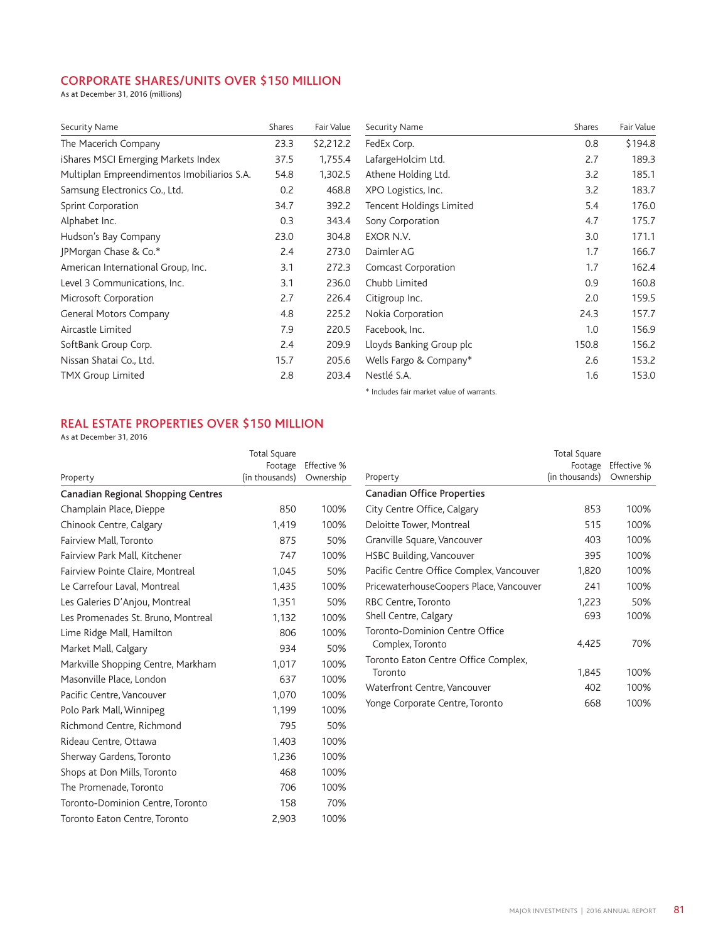# CORPORATE SHARES/UNITS OVER \$150 MILLION

As at December 31, 2016 (millions)

| Security Name                               | Shares | Fair Value | Security Name                             | Shares | Fair Value |
|---------------------------------------------|--------|------------|-------------------------------------------|--------|------------|
| The Macerich Company                        | 23.3   | \$2,212.2  | FedEx Corp.                               | 0.8    | \$194.8    |
| iShares MSCI Emerging Markets Index         | 37.5   | 1,755.4    | LafargeHolcim Ltd.                        | 2.7    | 189.3      |
| Multiplan Empreendimentos Imobiliarios S.A. | 54.8   | 1,302.5    | Athene Holding Ltd.                       | 3.2    | 185.1      |
| Samsung Electronics Co., Ltd.               | 0.2    | 468.8      | XPO Logistics, Inc.                       | 3.2    | 183.7      |
| Sprint Corporation                          | 34.7   | 392.2      | Tencent Holdings Limited                  | 5.4    | 176.0      |
| Alphabet Inc.                               | 0.3    | 343.4      | Sony Corporation                          | 4.7    | 175.7      |
| Hudson's Bay Company                        | 23.0   | 304.8      | EXOR N.V.                                 | 3.0    | 171.1      |
| JPMorgan Chase & Co.*                       | 2.4    | 273.0      | Daimler AG                                | 1.7    | 166.7      |
| American International Group, Inc.          | 3.1    | 272.3      | Comcast Corporation                       | 1.7    | 162.4      |
| Level 3 Communications, Inc.                | 3.1    | 236.0      | Chubb Limited                             | 0.9    | 160.8      |
| Microsoft Corporation                       | 2.7    | 226.4      | Citigroup Inc.                            | 2.0    | 159.5      |
| General Motors Company                      | 4.8    | 225.2      | Nokia Corporation                         | 24.3   | 157.7      |
| Aircastle Limited                           | 7.9    | 220.5      | Facebook, Inc.                            | 1.0    | 156.9      |
| SoftBank Group Corp.                        | 2.4    | 209.9      | Lloyds Banking Group plc                  | 150.8  | 156.2      |
| Nissan Shatai Co., Ltd.                     | 15.7   | 205.6      | Wells Fargo & Company*                    | 2.6    | 153.2      |
| <b>TMX Group Limited</b>                    | 2.8    | 203.4      | Nestlé S.A.                               | 1.6    | 153.0      |
|                                             |        |            | * Includes fair market value of warrants. |        |            |

# REAL ESTATE PROPERTIES OVER \$150 MILLION

As at December 31, 2016

|                                    | Total Square              |                          |  |  |
|------------------------------------|---------------------------|--------------------------|--|--|
| Property                           | Footage<br>(in thousands) | Effective %<br>Ownership |  |  |
|                                    |                           |                          |  |  |
| Canadian Regional Shopping Centres |                           |                          |  |  |
| Champlain Place, Dieppe            | 850                       | 100%                     |  |  |
| Chinook Centre, Calgary            | 1.419                     | 100%                     |  |  |
| Fairview Mall, Toronto             | 875                       | 50%                      |  |  |
| Fairview Park Mall, Kitchener      | 747                       | 100%                     |  |  |
| Fairview Pointe Claire, Montreal   | 1.045                     | 50%                      |  |  |
| Le Carrefour Laval, Montreal       | 1,435                     | 100%                     |  |  |
| Les Galeries D'Anjou, Montreal     | 1.351                     | 50%                      |  |  |
| Les Promenades St. Bruno, Montreal | 1,132                     | 100%                     |  |  |
| Lime Ridge Mall, Hamilton          | 806                       | 100%                     |  |  |
| Market Mall, Calgary               | 934                       | 50%                      |  |  |
| Markville Shopping Centre, Markham | 1.017                     | 100%                     |  |  |
| Masonville Place, London           | 637                       | 100%                     |  |  |
| Pacific Centre, Vancouver          | 1,070                     | 100%                     |  |  |
| Polo Park Mall, Winnipeg           | 1,199                     | 100%                     |  |  |
| Richmond Centre, Richmond          | 795                       | 50%                      |  |  |
| Rideau Centre, Ottawa              | 1.403                     | 100%                     |  |  |
| Sherway Gardens, Toronto           | 1,236                     | 100%                     |  |  |
| Shops at Don Mills, Toronto        | 468                       | 100%                     |  |  |
| The Promenade, Toronto             | 706                       | 100%                     |  |  |
| Toronto-Dominion Centre, Toronto   | 158                       | 70%                      |  |  |
| Toronto Eaton Centre, Toronto      | 2,903                     | 100%                     |  |  |

| Property                                 | Total Square<br>Footage<br>(in thousands) | Effective %<br>Ownership |
|------------------------------------------|-------------------------------------------|--------------------------|
| <b>Canadian Office Properties</b>        |                                           |                          |
| City Centre Office, Calgary              | 853                                       | 100%                     |
| Deloitte Tower, Montreal                 | 515                                       | 100%                     |
| Granville Square, Vancouver              | 403                                       | 100%                     |
| HSBC Building, Vancouver                 | 395                                       | 100%                     |
| Pacific Centre Office Complex, Vancouver | 1,820                                     | 100%                     |
| PricewaterhouseCoopers Place, Vancouver  | 241                                       | 100%                     |
| RBC Centre, Toronto                      | 1,223                                     | 50%                      |
| Shell Centre, Calgary                    | 693                                       | 100%                     |
| Toronto-Dominion Centre Office           |                                           |                          |
| Complex, Toronto                         | 4,425                                     | 70%                      |
| Toronto Eaton Centre Office Complex,     |                                           |                          |
| Toronto                                  | 1,845                                     | 100%                     |
| Waterfront Centre, Vancouver             | 402                                       | 100%                     |
| Yonge Corporate Centre, Toronto          | 668                                       | 100%                     |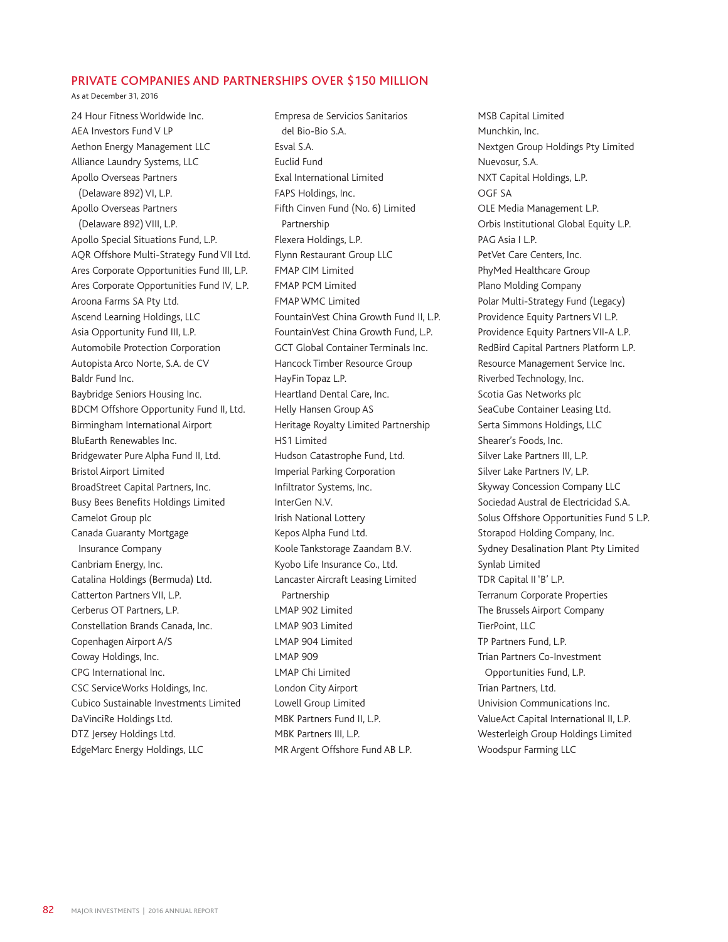#### PRIVATE COMPANIES AND PARTNERSHIPS OVER \$150 MILLION

As at December 31, 2016

24 Hour Fitness Worldwide Inc. AEA Investors Fund V LP Aethon Energy Management LLC Alliance Laundry Systems, LLC Apollo Overseas Partners (Delaware 892) VI, L.P. Apollo Overseas Partners (Delaware 892) VIII, L.P. Apollo Special Situations Fund, L.P. AQR Offshore Multi-Strategy Fund VII Ltd. Ares Corporate Opportunities Fund III, L.P. Ares Corporate Opportunities Fund IV, L.P. Aroona Farms SA Pty Ltd. Ascend Learning Holdings, LLC Asia Opportunity Fund III, L.P. Automobile Protection Corporation Autopista Arco Norte, S.A. de CV Baldr Fund Inc. Baybridge Seniors Housing Inc. BDCM Offshore Opportunity Fund II, Ltd. Birmingham International Airport BluEarth Renewables Inc. Bridgewater Pure Alpha Fund II, Ltd. Bristol Airport Limited BroadStreet Capital Partners, Inc. Busy Bees Benefits Holdings Limited Camelot Group plc Canada Guaranty Mortgage Insurance Company Canbriam Energy, Inc. Catalina Holdings (Bermuda) Ltd. Catterton Partners VII, L.P. Cerberus OT Partners, L.P. Constellation Brands Canada, Inc. Copenhagen Airport A/S Coway Holdings, Inc. CPG International Inc. CSC ServiceWorks Holdings, Inc. Cubico Sustainable Investments Limited DaVinciRe Holdings Ltd. DTZ Jersey Holdings Ltd. EdgeMarc Energy Holdings, LLC

Empresa de Servicios Sanitarios del Bio-Bio S.A. Esval S.A. Euclid Fund Exal International Limited FAPS Holdings, Inc. Fifth Cinven Fund (No. 6) Limited Partnership Flexera Holdings, L.P. Flynn Restaurant Group LLC FMAP CIM Limited FMAP PCM Limited FMAP WMC Limited FountainVest China Growth Fund II, L.P. FountainVest China Growth Fund, L.P. GCT Global Container Terminals Inc. Hancock Timber Resource Group HayFin Topaz L.P. Heartland Dental Care, Inc. Helly Hansen Group AS Heritage Royalty Limited Partnership HS1 Limited Hudson Catastrophe Fund, Ltd. Imperial Parking Corporation Infiltrator Systems, Inc. InterGen N.V. Irish National Lottery Kepos Alpha Fund Ltd. Koole Tankstorage Zaandam B.V. Kyobo Life Insurance Co., Ltd. Lancaster Aircraft Leasing Limited Partnership LMAP 902 Limited LMAP 903 Limited LMAP 904 Limited LMAP 909 LMAP Chi Limited London City Airport Lowell Group Limited MBK Partners Fund II, L.P. MBK Partners III, L.P. MR Argent Offshore Fund AB L.P.

MSB Capital Limited Munchkin, Inc. Nextgen Group Holdings Pty Limited Nuevosur, S.A. NXT Capital Holdings, L.P. OGF SA OLE Media Management L.P. Orbis Institutional Global Equity L.P. PAG Asia I L.P. PetVet Care Centers, Inc. PhyMed Healthcare Group Plano Molding Company Polar Multi-Strategy Fund (Legacy) Providence Equity Partners VI L.P. Providence Equity Partners VII-A L.P. RedBird Capital Partners Platform L.P. Resource Management Service Inc. Riverbed Technology, Inc. Scotia Gas Networks plc SeaCube Container Leasing Ltd. Serta Simmons Holdings, LLC Shearer's Foods, Inc. Silver Lake Partners III, L.P. Silver Lake Partners IV, L.P. Skyway Concession Company LLC Sociedad Austral de Electricidad S.A. Solus Offshore Opportunities Fund 5 L.P. Storapod Holding Company, Inc. Sydney Desalination Plant Pty Limited Synlab Limited TDR Capital II 'B' L.P. Terranum Corporate Properties The Brussels Airport Company TierPoint, LLC TP Partners Fund, L.P. Trian Partners Co-Investment Opportunities Fund, L.P. Trian Partners, Ltd. Univision Communications Inc. ValueAct Capital International II, L.P. Westerleigh Group Holdings Limited Woodspur Farming LLC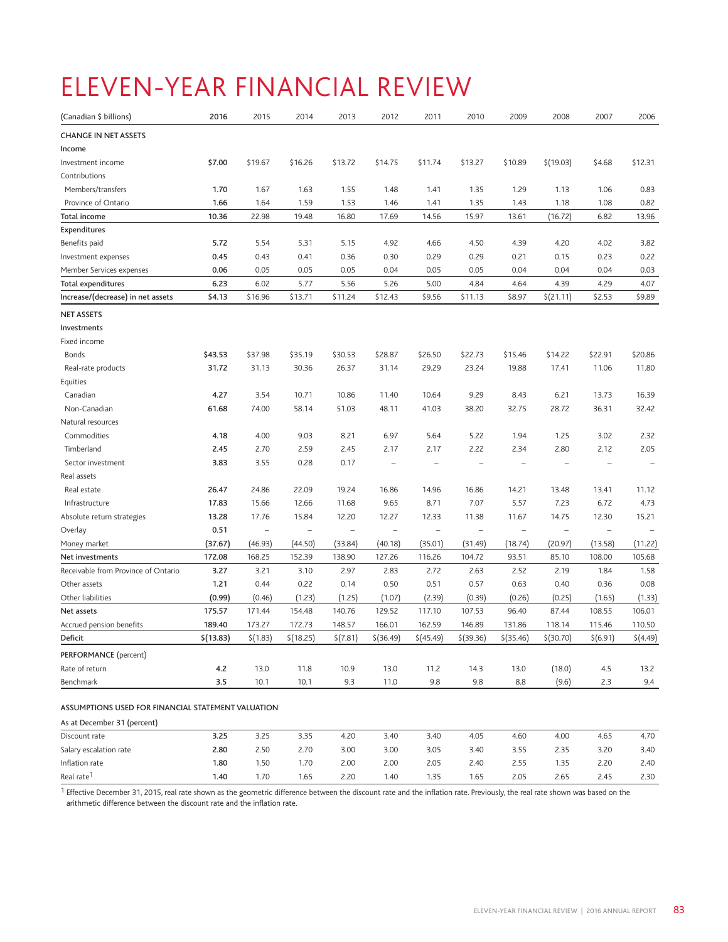# ELEVEN-YEAR FINANCIAL REVIEW

| <b>CHANGE IN NET ASSETS</b><br>Income<br>\$7.00<br>\$16.26<br>\$(19.03)<br>\$4.68<br>\$12.31<br>Investment income<br>\$19.67<br>\$13.72<br>\$14.75<br>\$11.74<br>\$13.27<br>\$10.89<br>Contributions<br>Members/transfers<br>1.55<br>1.29<br>0.83<br>1.70<br>1.67<br>1.63<br>1.48<br>1.41<br>1.35<br>1.13<br>1.06<br>1.66<br>1.64<br>1.59<br>1.53<br>1.35<br>1.43<br>1.08<br>0.82<br>Province of Ontario<br>1.46<br>1.41<br>1.18<br>10.36<br>22.98<br>16.80<br>17.69<br>14.56<br>15.97<br>13.61<br>6.82<br>13.96<br>Total income<br>19.48<br>(16.72)<br>Expenditures<br>Benefits paid<br>5.72<br>5.54<br>5.31<br>5.15<br>4.92<br>4.50<br>4.39<br>4.02<br>3.82<br>4.66<br>4.20<br>0.45<br>0.43<br>0.30<br>0.21<br>0.22<br>Investment expenses<br>0.41<br>0.36<br>0.29<br>0.29<br>0.15<br>0.23<br>0.05<br>0.05<br>0.05<br>0.04<br>0.05<br>0.05<br>0.04<br>0.04<br>0.03<br>Member Services expenses<br>0.06<br>0.04<br>6.23<br>6.02<br>5.77<br>5.56<br>5.26<br>5.00<br>4.84<br>4.64<br>4.39<br>4.29<br>4.07<br>Total expenditures<br>\$4.13<br>\$16.96<br>\$13.71<br>\$11.24<br>\$12.43<br>\$9.56<br>\$11.13<br>\$8.97<br>\$(21.11)<br>\$2.53<br>\$9.89<br>Increase/(decrease) in net assets<br><b>NET ASSETS</b><br>Investments<br>Fixed income<br>\$43.53<br>\$37.98<br>\$35.19<br>\$30.53<br>\$28.87<br>\$26.50<br>\$22.73<br>\$15.46<br>\$14.22<br>\$22.91<br>\$20.86<br>Bonds<br>Real-rate products<br>31.72<br>31.13<br>30.36<br>26.37<br>31.14<br>29.29<br>23.24<br>19.88<br>17.41<br>11.06<br>11.80<br>Equities<br>4.27<br>3.54<br>10.71<br>10.86<br>10.64<br>9.29<br>8.43<br>6.21<br>13.73<br>16.39<br>Canadian<br>11.40<br>61.68<br>74.00<br>58.14<br>51.03<br>48.11<br>41.03<br>38.20<br>32.75<br>28.72<br>36.31<br>32.42<br>Non-Canadian<br>Natural resources<br>Commodities<br>4.00<br>9.03<br>8.21<br>6.97<br>5.22<br>1.94<br>3.02<br>2.32<br>4.18<br>5.64<br>1.25<br>2.70<br>2.17<br>2.34<br>2.05<br>Timberland<br>2.45<br>2.59<br>2.45<br>2.17<br>2.22<br>2.80<br>2.12<br>3.83<br>3.55<br>0.28<br>Sector investment<br>0.17<br>$\overline{a}$<br>Real assets<br>26.47<br>24.86<br>22.09<br>19.24<br>16.86<br>14.96<br>16.86<br>14.21<br>Real estate<br>13.48<br>13.41<br>11.12<br>4.73<br>17.83<br>15.66<br>12.66<br>9.65<br>8.71<br>7.07<br>5.57<br>7.23<br>6.72<br>Infrastructure<br>11.68<br>17.76<br>12.27<br>11.67<br>15.21<br>Absolute return strategies<br>13.28<br>15.84<br>12.20<br>12.33<br>11.38<br>14.75<br>12.30<br>Overlay<br>0.51<br>$\overline{a}$<br>$\qquad \qquad -$<br>$\overline{\phantom{0}}$<br>$\qquad \qquad -$<br>(37.67)<br>(46.93)<br>(44.50)<br>Money market<br>(33.84)<br>(40.18)<br>(35.01)<br>(31.49)<br>(18.74)<br>(20.97)<br>(13.58)<br>(11.22)<br>172.08<br>168.25<br>152.39<br>127.26<br>116.26<br>104.72<br>93.51<br>85.10<br>108.00<br>105.68<br>Net investments<br>138.90<br>Receivable from Province of Ontario<br>3.27<br>3.21<br>3.10<br>2.97<br>2.83<br>2.72<br>2.63<br>2.52<br>2.19<br>1.84<br>1.58<br>1.21<br>0.44<br>0.22<br>0.50<br>0.51<br>0.57<br>0.63<br>0.36<br>0.08<br>Other assets<br>0.14<br>0.40<br>Other liabilities<br>(1.25)<br>(0.99)<br>(0.46)<br>(1.23)<br>(1.07)<br>(2.39)<br>(0.39)<br>(0.26)<br>(0.25)<br>(1.65)<br>(1.33)<br>175.57<br>171.44<br>154.48<br>140.76<br>129.52<br>117.10<br>107.53<br>96.40<br>87.44<br>108.55<br>106.01<br>Net assets<br>189.40<br>173.27<br>172.73<br>148.57<br>166.01<br>162.59<br>146.89<br>131.86<br>118.14<br>115.46<br>110.50<br>Accrued pension benefits<br>\$(13.83)<br>\$(18.25)<br>\$ (45.49)<br>$$$ (39.36)<br>\$ (30.70)<br>\$(6.91)<br>\$(4.49)<br>Deficit<br>\$(1.83)<br>\$(7.81)<br>$$$ (36.49)<br>\$(35.46)<br>PERFORMANCE (percent)<br>4.2<br>13.0<br>11.8<br>10.9<br>13.0<br>(18.0)<br>4.5<br>Rate of return<br>13.0<br>11.2<br>14.3<br>13.2<br>9.8<br>$8.8\,$<br>Benchmark<br>3.5<br>10.1<br>10.1<br>9.3<br>11.0<br>9.8<br>(9.6)<br>2.3<br>9.4<br>ASSUMPTIONS USED FOR FINANCIAL STATEMENT VALUATION<br>As at December 31 (percent)<br>3.25<br>3.25<br>3.35<br>4.20<br>3.40<br>3.40<br>4.60<br>4.65<br>4.70<br>Discount rate<br>4.05<br>4.00<br>2.50<br>Salary escalation rate<br>2.80<br>2.70<br>3.00<br>3.00<br>3.05<br>3.40<br>3.55<br>2.35<br>3.20<br>3.40<br>1.80<br>1.50<br>2.00<br>2.55<br>Inflation rate<br>1.70<br>2.00<br>2.05<br>2.40<br>1.35<br>2.20<br>2.40<br>Real rate <sup>1</sup><br>1.70<br>2.05<br>1.40<br>1.65<br>2.20<br>1.40<br>1.35<br>1.65<br>2.65<br>2.45<br>2.30 | (Canadian \$ billions) | 2016 | 2015 | 2014 | 2013 | 2012 | 2011 | 2010 | 2009 | 2008 | 2007 | 2006 |
|---------------------------------------------------------------------------------------------------------------------------------------------------------------------------------------------------------------------------------------------------------------------------------------------------------------------------------------------------------------------------------------------------------------------------------------------------------------------------------------------------------------------------------------------------------------------------------------------------------------------------------------------------------------------------------------------------------------------------------------------------------------------------------------------------------------------------------------------------------------------------------------------------------------------------------------------------------------------------------------------------------------------------------------------------------------------------------------------------------------------------------------------------------------------------------------------------------------------------------------------------------------------------------------------------------------------------------------------------------------------------------------------------------------------------------------------------------------------------------------------------------------------------------------------------------------------------------------------------------------------------------------------------------------------------------------------------------------------------------------------------------------------------------------------------------------------------------------------------------------------------------------------------------------------------------------------------------------------------------------------------------------------------------------------------------------------------------------------------------------------------------------------------------------------------------------------------------------------------------------------------------------------------------------------------------------------------------------------------------------------------------------------------------------------------------------------------------------------------------------------------------------------------------------------------------------------------------------------------------------------------------------------------------------------------------------------------------------------------------------------------------------------------------------------------------------------------------------------------------------------------------------------------------------------------------------------------------------------------------------------------------------------------------------------------------------------------------------------------------------------------------------------------------------------------------------------------------------------------------------------------------------------------------------------------------------------------------------------------------------------------------------------------------------------------------------------------------------------------------------------------------------------------------------------------------------------------------------------------------------------------------------------------------------------------------------------------------------------------------------------------------------------------------------------------------------------------------------------------------------------------------------------------------------------------------------------------------------------------------------------------------------------------------------------------------------------------------------------------------------------------------------------------------------------------------------------------------------------------------------------------------------------------------------------------------------------------------------------------------------------------------------------------------------------------|------------------------|------|------|------|------|------|------|------|------|------|------|------|
|                                                                                                                                                                                                                                                                                                                                                                                                                                                                                                                                                                                                                                                                                                                                                                                                                                                                                                                                                                                                                                                                                                                                                                                                                                                                                                                                                                                                                                                                                                                                                                                                                                                                                                                                                                                                                                                                                                                                                                                                                                                                                                                                                                                                                                                                                                                                                                                                                                                                                                                                                                                                                                                                                                                                                                                                                                                                                                                                                                                                                                                                                                                                                                                                                                                                                                                                                                                                                                                                                                                                                                                                                                                                                                                                                                                                                                                                                                                                                                                                                                                                                                                                                                                                                                                                                                                                                                                                                           |                        |      |      |      |      |      |      |      |      |      |      |      |
|                                                                                                                                                                                                                                                                                                                                                                                                                                                                                                                                                                                                                                                                                                                                                                                                                                                                                                                                                                                                                                                                                                                                                                                                                                                                                                                                                                                                                                                                                                                                                                                                                                                                                                                                                                                                                                                                                                                                                                                                                                                                                                                                                                                                                                                                                                                                                                                                                                                                                                                                                                                                                                                                                                                                                                                                                                                                                                                                                                                                                                                                                                                                                                                                                                                                                                                                                                                                                                                                                                                                                                                                                                                                                                                                                                                                                                                                                                                                                                                                                                                                                                                                                                                                                                                                                                                                                                                                                           |                        |      |      |      |      |      |      |      |      |      |      |      |
|                                                                                                                                                                                                                                                                                                                                                                                                                                                                                                                                                                                                                                                                                                                                                                                                                                                                                                                                                                                                                                                                                                                                                                                                                                                                                                                                                                                                                                                                                                                                                                                                                                                                                                                                                                                                                                                                                                                                                                                                                                                                                                                                                                                                                                                                                                                                                                                                                                                                                                                                                                                                                                                                                                                                                                                                                                                                                                                                                                                                                                                                                                                                                                                                                                                                                                                                                                                                                                                                                                                                                                                                                                                                                                                                                                                                                                                                                                                                                                                                                                                                                                                                                                                                                                                                                                                                                                                                                           |                        |      |      |      |      |      |      |      |      |      |      |      |
|                                                                                                                                                                                                                                                                                                                                                                                                                                                                                                                                                                                                                                                                                                                                                                                                                                                                                                                                                                                                                                                                                                                                                                                                                                                                                                                                                                                                                                                                                                                                                                                                                                                                                                                                                                                                                                                                                                                                                                                                                                                                                                                                                                                                                                                                                                                                                                                                                                                                                                                                                                                                                                                                                                                                                                                                                                                                                                                                                                                                                                                                                                                                                                                                                                                                                                                                                                                                                                                                                                                                                                                                                                                                                                                                                                                                                                                                                                                                                                                                                                                                                                                                                                                                                                                                                                                                                                                                                           |                        |      |      |      |      |      |      |      |      |      |      |      |
|                                                                                                                                                                                                                                                                                                                                                                                                                                                                                                                                                                                                                                                                                                                                                                                                                                                                                                                                                                                                                                                                                                                                                                                                                                                                                                                                                                                                                                                                                                                                                                                                                                                                                                                                                                                                                                                                                                                                                                                                                                                                                                                                                                                                                                                                                                                                                                                                                                                                                                                                                                                                                                                                                                                                                                                                                                                                                                                                                                                                                                                                                                                                                                                                                                                                                                                                                                                                                                                                                                                                                                                                                                                                                                                                                                                                                                                                                                                                                                                                                                                                                                                                                                                                                                                                                                                                                                                                                           |                        |      |      |      |      |      |      |      |      |      |      |      |
|                                                                                                                                                                                                                                                                                                                                                                                                                                                                                                                                                                                                                                                                                                                                                                                                                                                                                                                                                                                                                                                                                                                                                                                                                                                                                                                                                                                                                                                                                                                                                                                                                                                                                                                                                                                                                                                                                                                                                                                                                                                                                                                                                                                                                                                                                                                                                                                                                                                                                                                                                                                                                                                                                                                                                                                                                                                                                                                                                                                                                                                                                                                                                                                                                                                                                                                                                                                                                                                                                                                                                                                                                                                                                                                                                                                                                                                                                                                                                                                                                                                                                                                                                                                                                                                                                                                                                                                                                           |                        |      |      |      |      |      |      |      |      |      |      |      |
|                                                                                                                                                                                                                                                                                                                                                                                                                                                                                                                                                                                                                                                                                                                                                                                                                                                                                                                                                                                                                                                                                                                                                                                                                                                                                                                                                                                                                                                                                                                                                                                                                                                                                                                                                                                                                                                                                                                                                                                                                                                                                                                                                                                                                                                                                                                                                                                                                                                                                                                                                                                                                                                                                                                                                                                                                                                                                                                                                                                                                                                                                                                                                                                                                                                                                                                                                                                                                                                                                                                                                                                                                                                                                                                                                                                                                                                                                                                                                                                                                                                                                                                                                                                                                                                                                                                                                                                                                           |                        |      |      |      |      |      |      |      |      |      |      |      |
|                                                                                                                                                                                                                                                                                                                                                                                                                                                                                                                                                                                                                                                                                                                                                                                                                                                                                                                                                                                                                                                                                                                                                                                                                                                                                                                                                                                                                                                                                                                                                                                                                                                                                                                                                                                                                                                                                                                                                                                                                                                                                                                                                                                                                                                                                                                                                                                                                                                                                                                                                                                                                                                                                                                                                                                                                                                                                                                                                                                                                                                                                                                                                                                                                                                                                                                                                                                                                                                                                                                                                                                                                                                                                                                                                                                                                                                                                                                                                                                                                                                                                                                                                                                                                                                                                                                                                                                                                           |                        |      |      |      |      |      |      |      |      |      |      |      |
|                                                                                                                                                                                                                                                                                                                                                                                                                                                                                                                                                                                                                                                                                                                                                                                                                                                                                                                                                                                                                                                                                                                                                                                                                                                                                                                                                                                                                                                                                                                                                                                                                                                                                                                                                                                                                                                                                                                                                                                                                                                                                                                                                                                                                                                                                                                                                                                                                                                                                                                                                                                                                                                                                                                                                                                                                                                                                                                                                                                                                                                                                                                                                                                                                                                                                                                                                                                                                                                                                                                                                                                                                                                                                                                                                                                                                                                                                                                                                                                                                                                                                                                                                                                                                                                                                                                                                                                                                           |                        |      |      |      |      |      |      |      |      |      |      |      |
|                                                                                                                                                                                                                                                                                                                                                                                                                                                                                                                                                                                                                                                                                                                                                                                                                                                                                                                                                                                                                                                                                                                                                                                                                                                                                                                                                                                                                                                                                                                                                                                                                                                                                                                                                                                                                                                                                                                                                                                                                                                                                                                                                                                                                                                                                                                                                                                                                                                                                                                                                                                                                                                                                                                                                                                                                                                                                                                                                                                                                                                                                                                                                                                                                                                                                                                                                                                                                                                                                                                                                                                                                                                                                                                                                                                                                                                                                                                                                                                                                                                                                                                                                                                                                                                                                                                                                                                                                           |                        |      |      |      |      |      |      |      |      |      |      |      |
|                                                                                                                                                                                                                                                                                                                                                                                                                                                                                                                                                                                                                                                                                                                                                                                                                                                                                                                                                                                                                                                                                                                                                                                                                                                                                                                                                                                                                                                                                                                                                                                                                                                                                                                                                                                                                                                                                                                                                                                                                                                                                                                                                                                                                                                                                                                                                                                                                                                                                                                                                                                                                                                                                                                                                                                                                                                                                                                                                                                                                                                                                                                                                                                                                                                                                                                                                                                                                                                                                                                                                                                                                                                                                                                                                                                                                                                                                                                                                                                                                                                                                                                                                                                                                                                                                                                                                                                                                           |                        |      |      |      |      |      |      |      |      |      |      |      |
|                                                                                                                                                                                                                                                                                                                                                                                                                                                                                                                                                                                                                                                                                                                                                                                                                                                                                                                                                                                                                                                                                                                                                                                                                                                                                                                                                                                                                                                                                                                                                                                                                                                                                                                                                                                                                                                                                                                                                                                                                                                                                                                                                                                                                                                                                                                                                                                                                                                                                                                                                                                                                                                                                                                                                                                                                                                                                                                                                                                                                                                                                                                                                                                                                                                                                                                                                                                                                                                                                                                                                                                                                                                                                                                                                                                                                                                                                                                                                                                                                                                                                                                                                                                                                                                                                                                                                                                                                           |                        |      |      |      |      |      |      |      |      |      |      |      |
|                                                                                                                                                                                                                                                                                                                                                                                                                                                                                                                                                                                                                                                                                                                                                                                                                                                                                                                                                                                                                                                                                                                                                                                                                                                                                                                                                                                                                                                                                                                                                                                                                                                                                                                                                                                                                                                                                                                                                                                                                                                                                                                                                                                                                                                                                                                                                                                                                                                                                                                                                                                                                                                                                                                                                                                                                                                                                                                                                                                                                                                                                                                                                                                                                                                                                                                                                                                                                                                                                                                                                                                                                                                                                                                                                                                                                                                                                                                                                                                                                                                                                                                                                                                                                                                                                                                                                                                                                           |                        |      |      |      |      |      |      |      |      |      |      |      |
|                                                                                                                                                                                                                                                                                                                                                                                                                                                                                                                                                                                                                                                                                                                                                                                                                                                                                                                                                                                                                                                                                                                                                                                                                                                                                                                                                                                                                                                                                                                                                                                                                                                                                                                                                                                                                                                                                                                                                                                                                                                                                                                                                                                                                                                                                                                                                                                                                                                                                                                                                                                                                                                                                                                                                                                                                                                                                                                                                                                                                                                                                                                                                                                                                                                                                                                                                                                                                                                                                                                                                                                                                                                                                                                                                                                                                                                                                                                                                                                                                                                                                                                                                                                                                                                                                                                                                                                                                           |                        |      |      |      |      |      |      |      |      |      |      |      |
|                                                                                                                                                                                                                                                                                                                                                                                                                                                                                                                                                                                                                                                                                                                                                                                                                                                                                                                                                                                                                                                                                                                                                                                                                                                                                                                                                                                                                                                                                                                                                                                                                                                                                                                                                                                                                                                                                                                                                                                                                                                                                                                                                                                                                                                                                                                                                                                                                                                                                                                                                                                                                                                                                                                                                                                                                                                                                                                                                                                                                                                                                                                                                                                                                                                                                                                                                                                                                                                                                                                                                                                                                                                                                                                                                                                                                                                                                                                                                                                                                                                                                                                                                                                                                                                                                                                                                                                                                           |                        |      |      |      |      |      |      |      |      |      |      |      |
|                                                                                                                                                                                                                                                                                                                                                                                                                                                                                                                                                                                                                                                                                                                                                                                                                                                                                                                                                                                                                                                                                                                                                                                                                                                                                                                                                                                                                                                                                                                                                                                                                                                                                                                                                                                                                                                                                                                                                                                                                                                                                                                                                                                                                                                                                                                                                                                                                                                                                                                                                                                                                                                                                                                                                                                                                                                                                                                                                                                                                                                                                                                                                                                                                                                                                                                                                                                                                                                                                                                                                                                                                                                                                                                                                                                                                                                                                                                                                                                                                                                                                                                                                                                                                                                                                                                                                                                                                           |                        |      |      |      |      |      |      |      |      |      |      |      |
|                                                                                                                                                                                                                                                                                                                                                                                                                                                                                                                                                                                                                                                                                                                                                                                                                                                                                                                                                                                                                                                                                                                                                                                                                                                                                                                                                                                                                                                                                                                                                                                                                                                                                                                                                                                                                                                                                                                                                                                                                                                                                                                                                                                                                                                                                                                                                                                                                                                                                                                                                                                                                                                                                                                                                                                                                                                                                                                                                                                                                                                                                                                                                                                                                                                                                                                                                                                                                                                                                                                                                                                                                                                                                                                                                                                                                                                                                                                                                                                                                                                                                                                                                                                                                                                                                                                                                                                                                           |                        |      |      |      |      |      |      |      |      |      |      |      |
|                                                                                                                                                                                                                                                                                                                                                                                                                                                                                                                                                                                                                                                                                                                                                                                                                                                                                                                                                                                                                                                                                                                                                                                                                                                                                                                                                                                                                                                                                                                                                                                                                                                                                                                                                                                                                                                                                                                                                                                                                                                                                                                                                                                                                                                                                                                                                                                                                                                                                                                                                                                                                                                                                                                                                                                                                                                                                                                                                                                                                                                                                                                                                                                                                                                                                                                                                                                                                                                                                                                                                                                                                                                                                                                                                                                                                                                                                                                                                                                                                                                                                                                                                                                                                                                                                                                                                                                                                           |                        |      |      |      |      |      |      |      |      |      |      |      |
|                                                                                                                                                                                                                                                                                                                                                                                                                                                                                                                                                                                                                                                                                                                                                                                                                                                                                                                                                                                                                                                                                                                                                                                                                                                                                                                                                                                                                                                                                                                                                                                                                                                                                                                                                                                                                                                                                                                                                                                                                                                                                                                                                                                                                                                                                                                                                                                                                                                                                                                                                                                                                                                                                                                                                                                                                                                                                                                                                                                                                                                                                                                                                                                                                                                                                                                                                                                                                                                                                                                                                                                                                                                                                                                                                                                                                                                                                                                                                                                                                                                                                                                                                                                                                                                                                                                                                                                                                           |                        |      |      |      |      |      |      |      |      |      |      |      |
|                                                                                                                                                                                                                                                                                                                                                                                                                                                                                                                                                                                                                                                                                                                                                                                                                                                                                                                                                                                                                                                                                                                                                                                                                                                                                                                                                                                                                                                                                                                                                                                                                                                                                                                                                                                                                                                                                                                                                                                                                                                                                                                                                                                                                                                                                                                                                                                                                                                                                                                                                                                                                                                                                                                                                                                                                                                                                                                                                                                                                                                                                                                                                                                                                                                                                                                                                                                                                                                                                                                                                                                                                                                                                                                                                                                                                                                                                                                                                                                                                                                                                                                                                                                                                                                                                                                                                                                                                           |                        |      |      |      |      |      |      |      |      |      |      |      |
|                                                                                                                                                                                                                                                                                                                                                                                                                                                                                                                                                                                                                                                                                                                                                                                                                                                                                                                                                                                                                                                                                                                                                                                                                                                                                                                                                                                                                                                                                                                                                                                                                                                                                                                                                                                                                                                                                                                                                                                                                                                                                                                                                                                                                                                                                                                                                                                                                                                                                                                                                                                                                                                                                                                                                                                                                                                                                                                                                                                                                                                                                                                                                                                                                                                                                                                                                                                                                                                                                                                                                                                                                                                                                                                                                                                                                                                                                                                                                                                                                                                                                                                                                                                                                                                                                                                                                                                                                           |                        |      |      |      |      |      |      |      |      |      |      |      |
|                                                                                                                                                                                                                                                                                                                                                                                                                                                                                                                                                                                                                                                                                                                                                                                                                                                                                                                                                                                                                                                                                                                                                                                                                                                                                                                                                                                                                                                                                                                                                                                                                                                                                                                                                                                                                                                                                                                                                                                                                                                                                                                                                                                                                                                                                                                                                                                                                                                                                                                                                                                                                                                                                                                                                                                                                                                                                                                                                                                                                                                                                                                                                                                                                                                                                                                                                                                                                                                                                                                                                                                                                                                                                                                                                                                                                                                                                                                                                                                                                                                                                                                                                                                                                                                                                                                                                                                                                           |                        |      |      |      |      |      |      |      |      |      |      |      |
|                                                                                                                                                                                                                                                                                                                                                                                                                                                                                                                                                                                                                                                                                                                                                                                                                                                                                                                                                                                                                                                                                                                                                                                                                                                                                                                                                                                                                                                                                                                                                                                                                                                                                                                                                                                                                                                                                                                                                                                                                                                                                                                                                                                                                                                                                                                                                                                                                                                                                                                                                                                                                                                                                                                                                                                                                                                                                                                                                                                                                                                                                                                                                                                                                                                                                                                                                                                                                                                                                                                                                                                                                                                                                                                                                                                                                                                                                                                                                                                                                                                                                                                                                                                                                                                                                                                                                                                                                           |                        |      |      |      |      |      |      |      |      |      |      |      |
|                                                                                                                                                                                                                                                                                                                                                                                                                                                                                                                                                                                                                                                                                                                                                                                                                                                                                                                                                                                                                                                                                                                                                                                                                                                                                                                                                                                                                                                                                                                                                                                                                                                                                                                                                                                                                                                                                                                                                                                                                                                                                                                                                                                                                                                                                                                                                                                                                                                                                                                                                                                                                                                                                                                                                                                                                                                                                                                                                                                                                                                                                                                                                                                                                                                                                                                                                                                                                                                                                                                                                                                                                                                                                                                                                                                                                                                                                                                                                                                                                                                                                                                                                                                                                                                                                                                                                                                                                           |                        |      |      |      |      |      |      |      |      |      |      |      |
|                                                                                                                                                                                                                                                                                                                                                                                                                                                                                                                                                                                                                                                                                                                                                                                                                                                                                                                                                                                                                                                                                                                                                                                                                                                                                                                                                                                                                                                                                                                                                                                                                                                                                                                                                                                                                                                                                                                                                                                                                                                                                                                                                                                                                                                                                                                                                                                                                                                                                                                                                                                                                                                                                                                                                                                                                                                                                                                                                                                                                                                                                                                                                                                                                                                                                                                                                                                                                                                                                                                                                                                                                                                                                                                                                                                                                                                                                                                                                                                                                                                                                                                                                                                                                                                                                                                                                                                                                           |                        |      |      |      |      |      |      |      |      |      |      |      |
|                                                                                                                                                                                                                                                                                                                                                                                                                                                                                                                                                                                                                                                                                                                                                                                                                                                                                                                                                                                                                                                                                                                                                                                                                                                                                                                                                                                                                                                                                                                                                                                                                                                                                                                                                                                                                                                                                                                                                                                                                                                                                                                                                                                                                                                                                                                                                                                                                                                                                                                                                                                                                                                                                                                                                                                                                                                                                                                                                                                                                                                                                                                                                                                                                                                                                                                                                                                                                                                                                                                                                                                                                                                                                                                                                                                                                                                                                                                                                                                                                                                                                                                                                                                                                                                                                                                                                                                                                           |                        |      |      |      |      |      |      |      |      |      |      |      |
|                                                                                                                                                                                                                                                                                                                                                                                                                                                                                                                                                                                                                                                                                                                                                                                                                                                                                                                                                                                                                                                                                                                                                                                                                                                                                                                                                                                                                                                                                                                                                                                                                                                                                                                                                                                                                                                                                                                                                                                                                                                                                                                                                                                                                                                                                                                                                                                                                                                                                                                                                                                                                                                                                                                                                                                                                                                                                                                                                                                                                                                                                                                                                                                                                                                                                                                                                                                                                                                                                                                                                                                                                                                                                                                                                                                                                                                                                                                                                                                                                                                                                                                                                                                                                                                                                                                                                                                                                           |                        |      |      |      |      |      |      |      |      |      |      |      |
|                                                                                                                                                                                                                                                                                                                                                                                                                                                                                                                                                                                                                                                                                                                                                                                                                                                                                                                                                                                                                                                                                                                                                                                                                                                                                                                                                                                                                                                                                                                                                                                                                                                                                                                                                                                                                                                                                                                                                                                                                                                                                                                                                                                                                                                                                                                                                                                                                                                                                                                                                                                                                                                                                                                                                                                                                                                                                                                                                                                                                                                                                                                                                                                                                                                                                                                                                                                                                                                                                                                                                                                                                                                                                                                                                                                                                                                                                                                                                                                                                                                                                                                                                                                                                                                                                                                                                                                                                           |                        |      |      |      |      |      |      |      |      |      |      |      |
|                                                                                                                                                                                                                                                                                                                                                                                                                                                                                                                                                                                                                                                                                                                                                                                                                                                                                                                                                                                                                                                                                                                                                                                                                                                                                                                                                                                                                                                                                                                                                                                                                                                                                                                                                                                                                                                                                                                                                                                                                                                                                                                                                                                                                                                                                                                                                                                                                                                                                                                                                                                                                                                                                                                                                                                                                                                                                                                                                                                                                                                                                                                                                                                                                                                                                                                                                                                                                                                                                                                                                                                                                                                                                                                                                                                                                                                                                                                                                                                                                                                                                                                                                                                                                                                                                                                                                                                                                           |                        |      |      |      |      |      |      |      |      |      |      |      |
|                                                                                                                                                                                                                                                                                                                                                                                                                                                                                                                                                                                                                                                                                                                                                                                                                                                                                                                                                                                                                                                                                                                                                                                                                                                                                                                                                                                                                                                                                                                                                                                                                                                                                                                                                                                                                                                                                                                                                                                                                                                                                                                                                                                                                                                                                                                                                                                                                                                                                                                                                                                                                                                                                                                                                                                                                                                                                                                                                                                                                                                                                                                                                                                                                                                                                                                                                                                                                                                                                                                                                                                                                                                                                                                                                                                                                                                                                                                                                                                                                                                                                                                                                                                                                                                                                                                                                                                                                           |                        |      |      |      |      |      |      |      |      |      |      |      |
|                                                                                                                                                                                                                                                                                                                                                                                                                                                                                                                                                                                                                                                                                                                                                                                                                                                                                                                                                                                                                                                                                                                                                                                                                                                                                                                                                                                                                                                                                                                                                                                                                                                                                                                                                                                                                                                                                                                                                                                                                                                                                                                                                                                                                                                                                                                                                                                                                                                                                                                                                                                                                                                                                                                                                                                                                                                                                                                                                                                                                                                                                                                                                                                                                                                                                                                                                                                                                                                                                                                                                                                                                                                                                                                                                                                                                                                                                                                                                                                                                                                                                                                                                                                                                                                                                                                                                                                                                           |                        |      |      |      |      |      |      |      |      |      |      |      |
|                                                                                                                                                                                                                                                                                                                                                                                                                                                                                                                                                                                                                                                                                                                                                                                                                                                                                                                                                                                                                                                                                                                                                                                                                                                                                                                                                                                                                                                                                                                                                                                                                                                                                                                                                                                                                                                                                                                                                                                                                                                                                                                                                                                                                                                                                                                                                                                                                                                                                                                                                                                                                                                                                                                                                                                                                                                                                                                                                                                                                                                                                                                                                                                                                                                                                                                                                                                                                                                                                                                                                                                                                                                                                                                                                                                                                                                                                                                                                                                                                                                                                                                                                                                                                                                                                                                                                                                                                           |                        |      |      |      |      |      |      |      |      |      |      |      |
|                                                                                                                                                                                                                                                                                                                                                                                                                                                                                                                                                                                                                                                                                                                                                                                                                                                                                                                                                                                                                                                                                                                                                                                                                                                                                                                                                                                                                                                                                                                                                                                                                                                                                                                                                                                                                                                                                                                                                                                                                                                                                                                                                                                                                                                                                                                                                                                                                                                                                                                                                                                                                                                                                                                                                                                                                                                                                                                                                                                                                                                                                                                                                                                                                                                                                                                                                                                                                                                                                                                                                                                                                                                                                                                                                                                                                                                                                                                                                                                                                                                                                                                                                                                                                                                                                                                                                                                                                           |                        |      |      |      |      |      |      |      |      |      |      |      |
|                                                                                                                                                                                                                                                                                                                                                                                                                                                                                                                                                                                                                                                                                                                                                                                                                                                                                                                                                                                                                                                                                                                                                                                                                                                                                                                                                                                                                                                                                                                                                                                                                                                                                                                                                                                                                                                                                                                                                                                                                                                                                                                                                                                                                                                                                                                                                                                                                                                                                                                                                                                                                                                                                                                                                                                                                                                                                                                                                                                                                                                                                                                                                                                                                                                                                                                                                                                                                                                                                                                                                                                                                                                                                                                                                                                                                                                                                                                                                                                                                                                                                                                                                                                                                                                                                                                                                                                                                           |                        |      |      |      |      |      |      |      |      |      |      |      |
|                                                                                                                                                                                                                                                                                                                                                                                                                                                                                                                                                                                                                                                                                                                                                                                                                                                                                                                                                                                                                                                                                                                                                                                                                                                                                                                                                                                                                                                                                                                                                                                                                                                                                                                                                                                                                                                                                                                                                                                                                                                                                                                                                                                                                                                                                                                                                                                                                                                                                                                                                                                                                                                                                                                                                                                                                                                                                                                                                                                                                                                                                                                                                                                                                                                                                                                                                                                                                                                                                                                                                                                                                                                                                                                                                                                                                                                                                                                                                                                                                                                                                                                                                                                                                                                                                                                                                                                                                           |                        |      |      |      |      |      |      |      |      |      |      |      |
|                                                                                                                                                                                                                                                                                                                                                                                                                                                                                                                                                                                                                                                                                                                                                                                                                                                                                                                                                                                                                                                                                                                                                                                                                                                                                                                                                                                                                                                                                                                                                                                                                                                                                                                                                                                                                                                                                                                                                                                                                                                                                                                                                                                                                                                                                                                                                                                                                                                                                                                                                                                                                                                                                                                                                                                                                                                                                                                                                                                                                                                                                                                                                                                                                                                                                                                                                                                                                                                                                                                                                                                                                                                                                                                                                                                                                                                                                                                                                                                                                                                                                                                                                                                                                                                                                                                                                                                                                           |                        |      |      |      |      |      |      |      |      |      |      |      |
|                                                                                                                                                                                                                                                                                                                                                                                                                                                                                                                                                                                                                                                                                                                                                                                                                                                                                                                                                                                                                                                                                                                                                                                                                                                                                                                                                                                                                                                                                                                                                                                                                                                                                                                                                                                                                                                                                                                                                                                                                                                                                                                                                                                                                                                                                                                                                                                                                                                                                                                                                                                                                                                                                                                                                                                                                                                                                                                                                                                                                                                                                                                                                                                                                                                                                                                                                                                                                                                                                                                                                                                                                                                                                                                                                                                                                                                                                                                                                                                                                                                                                                                                                                                                                                                                                                                                                                                                                           |                        |      |      |      |      |      |      |      |      |      |      |      |
|                                                                                                                                                                                                                                                                                                                                                                                                                                                                                                                                                                                                                                                                                                                                                                                                                                                                                                                                                                                                                                                                                                                                                                                                                                                                                                                                                                                                                                                                                                                                                                                                                                                                                                                                                                                                                                                                                                                                                                                                                                                                                                                                                                                                                                                                                                                                                                                                                                                                                                                                                                                                                                                                                                                                                                                                                                                                                                                                                                                                                                                                                                                                                                                                                                                                                                                                                                                                                                                                                                                                                                                                                                                                                                                                                                                                                                                                                                                                                                                                                                                                                                                                                                                                                                                                                                                                                                                                                           |                        |      |      |      |      |      |      |      |      |      |      |      |
|                                                                                                                                                                                                                                                                                                                                                                                                                                                                                                                                                                                                                                                                                                                                                                                                                                                                                                                                                                                                                                                                                                                                                                                                                                                                                                                                                                                                                                                                                                                                                                                                                                                                                                                                                                                                                                                                                                                                                                                                                                                                                                                                                                                                                                                                                                                                                                                                                                                                                                                                                                                                                                                                                                                                                                                                                                                                                                                                                                                                                                                                                                                                                                                                                                                                                                                                                                                                                                                                                                                                                                                                                                                                                                                                                                                                                                                                                                                                                                                                                                                                                                                                                                                                                                                                                                                                                                                                                           |                        |      |      |      |      |      |      |      |      |      |      |      |
|                                                                                                                                                                                                                                                                                                                                                                                                                                                                                                                                                                                                                                                                                                                                                                                                                                                                                                                                                                                                                                                                                                                                                                                                                                                                                                                                                                                                                                                                                                                                                                                                                                                                                                                                                                                                                                                                                                                                                                                                                                                                                                                                                                                                                                                                                                                                                                                                                                                                                                                                                                                                                                                                                                                                                                                                                                                                                                                                                                                                                                                                                                                                                                                                                                                                                                                                                                                                                                                                                                                                                                                                                                                                                                                                                                                                                                                                                                                                                                                                                                                                                                                                                                                                                                                                                                                                                                                                                           |                        |      |      |      |      |      |      |      |      |      |      |      |
|                                                                                                                                                                                                                                                                                                                                                                                                                                                                                                                                                                                                                                                                                                                                                                                                                                                                                                                                                                                                                                                                                                                                                                                                                                                                                                                                                                                                                                                                                                                                                                                                                                                                                                                                                                                                                                                                                                                                                                                                                                                                                                                                                                                                                                                                                                                                                                                                                                                                                                                                                                                                                                                                                                                                                                                                                                                                                                                                                                                                                                                                                                                                                                                                                                                                                                                                                                                                                                                                                                                                                                                                                                                                                                                                                                                                                                                                                                                                                                                                                                                                                                                                                                                                                                                                                                                                                                                                                           |                        |      |      |      |      |      |      |      |      |      |      |      |
|                                                                                                                                                                                                                                                                                                                                                                                                                                                                                                                                                                                                                                                                                                                                                                                                                                                                                                                                                                                                                                                                                                                                                                                                                                                                                                                                                                                                                                                                                                                                                                                                                                                                                                                                                                                                                                                                                                                                                                                                                                                                                                                                                                                                                                                                                                                                                                                                                                                                                                                                                                                                                                                                                                                                                                                                                                                                                                                                                                                                                                                                                                                                                                                                                                                                                                                                                                                                                                                                                                                                                                                                                                                                                                                                                                                                                                                                                                                                                                                                                                                                                                                                                                                                                                                                                                                                                                                                                           |                        |      |      |      |      |      |      |      |      |      |      |      |
|                                                                                                                                                                                                                                                                                                                                                                                                                                                                                                                                                                                                                                                                                                                                                                                                                                                                                                                                                                                                                                                                                                                                                                                                                                                                                                                                                                                                                                                                                                                                                                                                                                                                                                                                                                                                                                                                                                                                                                                                                                                                                                                                                                                                                                                                                                                                                                                                                                                                                                                                                                                                                                                                                                                                                                                                                                                                                                                                                                                                                                                                                                                                                                                                                                                                                                                                                                                                                                                                                                                                                                                                                                                                                                                                                                                                                                                                                                                                                                                                                                                                                                                                                                                                                                                                                                                                                                                                                           |                        |      |      |      |      |      |      |      |      |      |      |      |
|                                                                                                                                                                                                                                                                                                                                                                                                                                                                                                                                                                                                                                                                                                                                                                                                                                                                                                                                                                                                                                                                                                                                                                                                                                                                                                                                                                                                                                                                                                                                                                                                                                                                                                                                                                                                                                                                                                                                                                                                                                                                                                                                                                                                                                                                                                                                                                                                                                                                                                                                                                                                                                                                                                                                                                                                                                                                                                                                                                                                                                                                                                                                                                                                                                                                                                                                                                                                                                                                                                                                                                                                                                                                                                                                                                                                                                                                                                                                                                                                                                                                                                                                                                                                                                                                                                                                                                                                                           |                        |      |      |      |      |      |      |      |      |      |      |      |
|                                                                                                                                                                                                                                                                                                                                                                                                                                                                                                                                                                                                                                                                                                                                                                                                                                                                                                                                                                                                                                                                                                                                                                                                                                                                                                                                                                                                                                                                                                                                                                                                                                                                                                                                                                                                                                                                                                                                                                                                                                                                                                                                                                                                                                                                                                                                                                                                                                                                                                                                                                                                                                                                                                                                                                                                                                                                                                                                                                                                                                                                                                                                                                                                                                                                                                                                                                                                                                                                                                                                                                                                                                                                                                                                                                                                                                                                                                                                                                                                                                                                                                                                                                                                                                                                                                                                                                                                                           |                        |      |      |      |      |      |      |      |      |      |      |      |
|                                                                                                                                                                                                                                                                                                                                                                                                                                                                                                                                                                                                                                                                                                                                                                                                                                                                                                                                                                                                                                                                                                                                                                                                                                                                                                                                                                                                                                                                                                                                                                                                                                                                                                                                                                                                                                                                                                                                                                                                                                                                                                                                                                                                                                                                                                                                                                                                                                                                                                                                                                                                                                                                                                                                                                                                                                                                                                                                                                                                                                                                                                                                                                                                                                                                                                                                                                                                                                                                                                                                                                                                                                                                                                                                                                                                                                                                                                                                                                                                                                                                                                                                                                                                                                                                                                                                                                                                                           |                        |      |      |      |      |      |      |      |      |      |      |      |
|                                                                                                                                                                                                                                                                                                                                                                                                                                                                                                                                                                                                                                                                                                                                                                                                                                                                                                                                                                                                                                                                                                                                                                                                                                                                                                                                                                                                                                                                                                                                                                                                                                                                                                                                                                                                                                                                                                                                                                                                                                                                                                                                                                                                                                                                                                                                                                                                                                                                                                                                                                                                                                                                                                                                                                                                                                                                                                                                                                                                                                                                                                                                                                                                                                                                                                                                                                                                                                                                                                                                                                                                                                                                                                                                                                                                                                                                                                                                                                                                                                                                                                                                                                                                                                                                                                                                                                                                                           |                        |      |      |      |      |      |      |      |      |      |      |      |

<sup>1</sup> Effective December 31, 2015, real rate shown as the geometric difference between the discount rate and the inflation rate. Previously, the real rate shown was based on the arithmetic difference between the discount rate and the inflation rate.